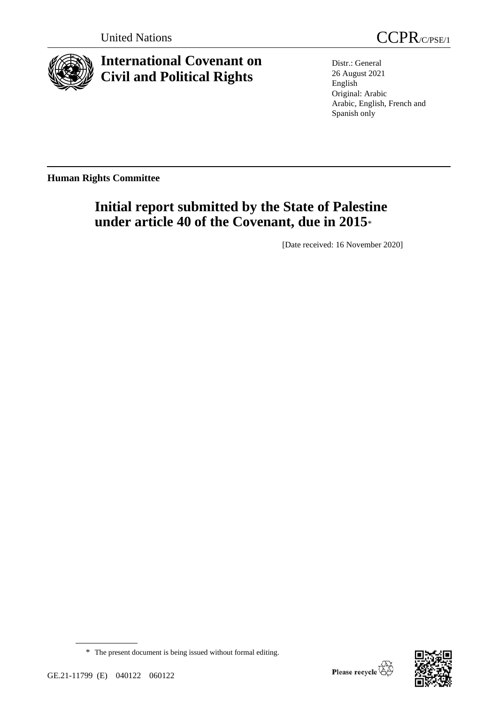

**International Covenant on Civil and Political Rights**



Distr.: General 26 August 2021 English Original: Arabic Arabic, English, French and Spanish only

**Human Rights Committee**

# **Initial report submitted by the State of Palestine under article 40 of the Covenant, due in 2015**\*

[Date received: 16 November 2020]

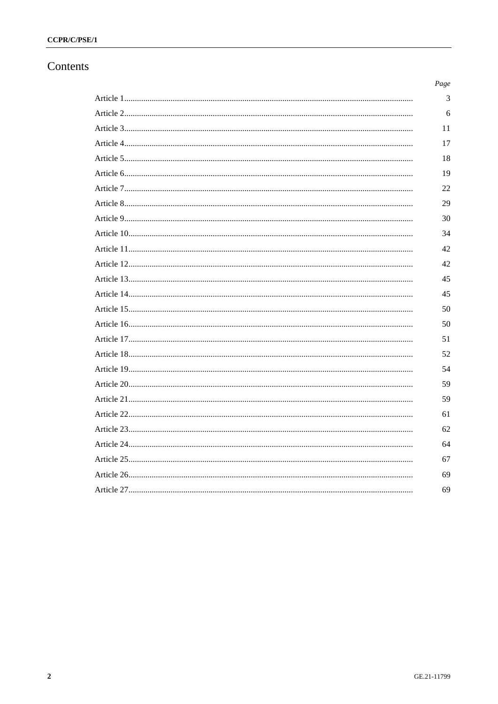# Contents

| Page |
|------|
| 3    |
| 6    |
| 11   |
| 17   |
| 18   |
| 19   |
| 22   |
| 29   |
| 30   |
| 34   |
| 42   |
| 42   |
| 45   |
| 45   |
| 50   |
| 50   |
| 51   |
| 52   |
| 54   |
| 59   |
| 59   |
| 61   |
| 62   |
| 64   |
| 67   |
| 69   |
| 69   |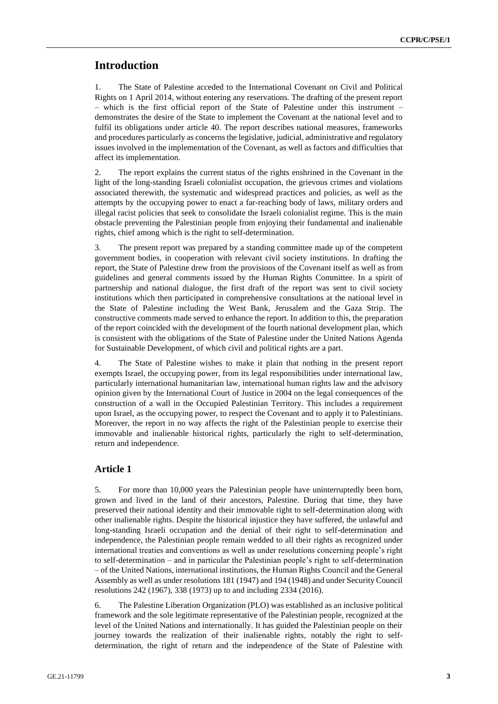# **Introduction**

1. The State of Palestine acceded to the International Covenant on Civil and Political Rights on 1 April 2014, without entering any reservations. The drafting of the present report – which is the first official report of the State of Palestine under this instrument – demonstrates the desire of the State to implement the Covenant at the national level and to fulfil its obligations under article 40. The report describes national measures, frameworks and procedures particularly as concerns the legislative, judicial, administrative and regulatory issues involved in the implementation of the Covenant, as well as factors and difficulties that affect its implementation.

2. The report explains the current status of the rights enshrined in the Covenant in the light of the long-standing Israeli colonialist occupation, the grievous crimes and violations associated therewith, the systematic and widespread practices and policies, as well as the attempts by the occupying power to enact a far-reaching body of laws, military orders and illegal racist policies that seek to consolidate the Israeli colonialist regime. This is the main obstacle preventing the Palestinian people from enjoying their fundamental and inalienable rights, chief among which is the right to self-determination.

3. The present report was prepared by a standing committee made up of the competent government bodies, in cooperation with relevant civil society institutions. In drafting the report, the State of Palestine drew from the provisions of the Covenant itself as well as from guidelines and general comments issued by the Human Rights Committee. In a spirit of partnership and national dialogue, the first draft of the report was sent to civil society institutions which then participated in comprehensive consultations at the national level in the State of Palestine including the West Bank, Jerusalem and the Gaza Strip. The constructive comments made served to enhance the report. In addition to this, the preparation of the report coincided with the development of the fourth national development plan, which is consistent with the obligations of the State of Palestine under the United Nations Agenda for Sustainable Development, of which civil and political rights are a part.

4. The State of Palestine wishes to make it plain that nothing in the present report exempts Israel, the occupying power, from its legal responsibilities under international law, particularly international humanitarian law, international human rights law and the advisory opinion given by the International Court of Justice in 2004 on the legal consequences of the construction of a wall in the Occupied Palestinian Territory. This includes a requirement upon Israel, as the occupying power, to respect the Covenant and to apply it to Palestinians. Moreover, the report in no way affects the right of the Palestinian people to exercise their immovable and inalienable historical rights, particularly the right to self-determination, return and independence.

# **Article 1**

5. For more than 10,000 years the Palestinian people have uninterruptedly been born, grown and lived in the land of their ancestors, Palestine. During that time, they have preserved their national identity and their immovable right to self-determination along with other inalienable rights. Despite the historical injustice they have suffered, the unlawful and long-standing Israeli occupation and the denial of their right to self-determination and independence, the Palestinian people remain wedded to all their rights as recognized under international treaties and conventions as well as under resolutions concerning people's right to self-determination – and in particular the Palestinian people's right to self-determination – of the United Nations, international institutions, the Human Rights Council and the General Assembly as well as under resolutions 181 (1947) and 194 (1948) and under Security Council resolutions 242 (1967), 338 (1973) up to and including 2334 (2016).

6. The Palestine Liberation Organization (PLO) was established as an inclusive political framework and the sole legitimate representative of the Palestinian people, recognized at the level of the United Nations and internationally. It has guided the Palestinian people on their journey towards the realization of their inalienable rights, notably the right to selfdetermination, the right of return and the independence of the State of Palestine with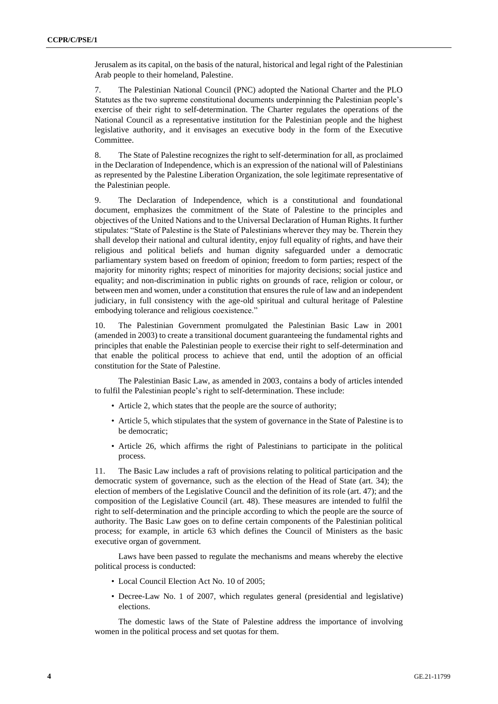Jerusalem as its capital, on the basis of the natural, historical and legal right of the Palestinian Arab people to their homeland, Palestine.

7. The Palestinian National Council (PNC) adopted the National Charter and the PLO Statutes as the two supreme constitutional documents underpinning the Palestinian people's exercise of their right to self-determination. The Charter regulates the operations of the National Council as a representative institution for the Palestinian people and the highest legislative authority, and it envisages an executive body in the form of the Executive Committee.

8. The State of Palestine recognizes the right to self-determination for all, as proclaimed in the Declaration of Independence, which is an expression of the national will of Palestinians as represented by the Palestine Liberation Organization, the sole legitimate representative of the Palestinian people.

9. The Declaration of Independence, which is a constitutional and foundational document, emphasizes the commitment of the State of Palestine to the principles and objectives of the United Nations and to the Universal Declaration of Human Rights. It further stipulates: "State of Palestine is the State of Palestinians wherever they may be. Therein they shall develop their national and cultural identity, enjoy full equality of rights, and have their religious and political beliefs and human dignity safeguarded under a democratic parliamentary system based on freedom of opinion; freedom to form parties; respect of the majority for minority rights; respect of minorities for majority decisions; social justice and equality; and non-discrimination in public rights on grounds of race, religion or colour, or between men and women, under a constitution that ensures the rule of law and an independent judiciary, in full consistency with the age-old spiritual and cultural heritage of Palestine embodying tolerance and religious coexistence."

10. The Palestinian Government promulgated the Palestinian Basic Law in 2001 (amended in 2003) to create a transitional document guaranteeing the fundamental rights and principles that enable the Palestinian people to exercise their right to self-determination and that enable the political process to achieve that end, until the adoption of an official constitution for the State of Palestine.

The Palestinian Basic Law, as amended in 2003, contains a body of articles intended to fulfil the Palestinian people's right to self-determination. These include:

- Article 2, which states that the people are the source of authority;
- Article 5, which stipulates that the system of governance in the State of Palestine is to be democratic;
- Article 26, which affirms the right of Palestinians to participate in the political process.

11. The Basic Law includes a raft of provisions relating to political participation and the democratic system of governance, such as the election of the Head of State (art. 34); the election of members of the Legislative Council and the definition of its role (art. 47); and the composition of the Legislative Council (art. 48). These measures are intended to fulfil the right to self-determination and the principle according to which the people are the source of authority. The Basic Law goes on to define certain components of the Palestinian political process; for example, in article 63 which defines the Council of Ministers as the basic executive organ of government.

Laws have been passed to regulate the mechanisms and means whereby the elective political process is conducted:

- Local Council Election Act No. 10 of 2005;
- Decree-Law No. 1 of 2007, which regulates general (presidential and legislative) elections.

The domestic laws of the State of Palestine address the importance of involving women in the political process and set quotas for them.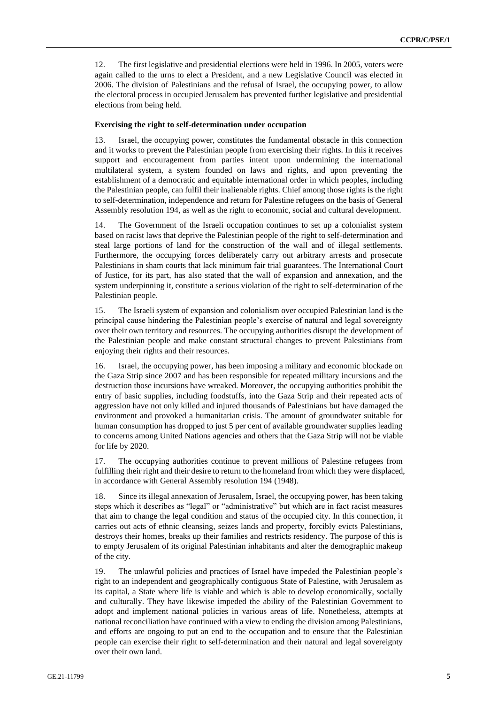12. The first legislative and presidential elections were held in 1996. In 2005, voters were again called to the urns to elect a President, and a new Legislative Council was elected in 2006. The division of Palestinians and the refusal of Israel, the occupying power, to allow the electoral process in occupied Jerusalem has prevented further legislative and presidential elections from being held.

#### **Exercising the right to self-determination under occupation**

13. Israel, the occupying power, constitutes the fundamental obstacle in this connection and it works to prevent the Palestinian people from exercising their rights. In this it receives support and encouragement from parties intent upon undermining the international multilateral system, a system founded on laws and rights, and upon preventing the establishment of a democratic and equitable international order in which peoples, including the Palestinian people, can fulfil their inalienable rights. Chief among those rights is the right to self-determination, independence and return for Palestine refugees on the basis of General Assembly resolution 194, as well as the right to economic, social and cultural development.

14. The Government of the Israeli occupation continues to set up a colonialist system based on racist laws that deprive the Palestinian people of the right to self-determination and steal large portions of land for the construction of the wall and of illegal settlements. Furthermore, the occupying forces deliberately carry out arbitrary arrests and prosecute Palestinians in sham courts that lack minimum fair trial guarantees. The International Court of Justice, for its part, has also stated that the wall of expansion and annexation, and the system underpinning it, constitute a serious violation of the right to self-determination of the Palestinian people.

15. The Israeli system of expansion and colonialism over occupied Palestinian land is the principal cause hindering the Palestinian people's exercise of natural and legal sovereignty over their own territory and resources. The occupying authorities disrupt the development of the Palestinian people and make constant structural changes to prevent Palestinians from enjoying their rights and their resources.

16. Israel, the occupying power, has been imposing a military and economic blockade on the Gaza Strip since 2007 and has been responsible for repeated military incursions and the destruction those incursions have wreaked. Moreover, the occupying authorities prohibit the entry of basic supplies, including foodstuffs, into the Gaza Strip and their repeated acts of aggression have not only killed and injured thousands of Palestinians but have damaged the environment and provoked a humanitarian crisis. The amount of groundwater suitable for human consumption has dropped to just 5 per cent of available groundwater supplies leading to concerns among United Nations agencies and others that the Gaza Strip will not be viable for life by 2020.

17. The occupying authorities continue to prevent millions of Palestine refugees from fulfilling their right and their desire to return to the homeland from which they were displaced, in accordance with General Assembly resolution 194 (1948).

18. Since its illegal annexation of Jerusalem, Israel, the occupying power, has been taking steps which it describes as "legal" or "administrative" but which are in fact racist measures that aim to change the legal condition and status of the occupied city. In this connection, it carries out acts of ethnic cleansing, seizes lands and property, forcibly evicts Palestinians, destroys their homes, breaks up their families and restricts residency. The purpose of this is to empty Jerusalem of its original Palestinian inhabitants and alter the demographic makeup of the city.

19. The unlawful policies and practices of Israel have impeded the Palestinian people's right to an independent and geographically contiguous State of Palestine, with Jerusalem as its capital, a State where life is viable and which is able to develop economically, socially and culturally. They have likewise impeded the ability of the Palestinian Government to adopt and implement national policies in various areas of life. Nonetheless, attempts at national reconciliation have continued with a view to ending the division among Palestinians, and efforts are ongoing to put an end to the occupation and to ensure that the Palestinian people can exercise their right to self-determination and their natural and legal sovereignty over their own land.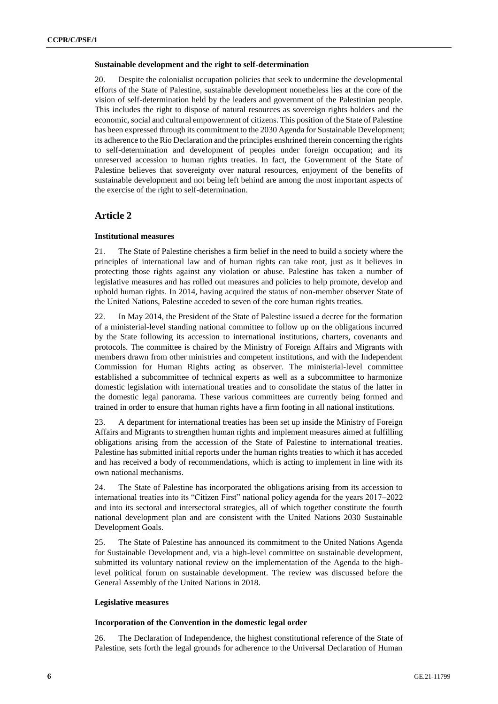#### **Sustainable development and the right to self-determination**

20. Despite the colonialist occupation policies that seek to undermine the developmental efforts of the State of Palestine, sustainable development nonetheless lies at the core of the vision of self-determination held by the leaders and government of the Palestinian people. This includes the right to dispose of natural resources as sovereign rights holders and the economic, social and cultural empowerment of citizens. This position of the State of Palestine has been expressed through its commitment to the 2030 Agenda for Sustainable Development; its adherence to the Rio Declaration and the principles enshrined therein concerning the rights to self-determination and development of peoples under foreign occupation; and its unreserved accession to human rights treaties. In fact, the Government of the State of Palestine believes that sovereignty over natural resources, enjoyment of the benefits of sustainable development and not being left behind are among the most important aspects of the exercise of the right to self-determination.

# **Article 2**

### **Institutional measures**

21. The State of Palestine cherishes a firm belief in the need to build a society where the principles of international law and of human rights can take root, just as it believes in protecting those rights against any violation or abuse. Palestine has taken a number of legislative measures and has rolled out measures and policies to help promote, develop and uphold human rights. In 2014, having acquired the status of non-member observer State of the United Nations, Palestine acceded to seven of the core human rights treaties.

22. In May 2014, the President of the State of Palestine issued a decree for the formation of a ministerial-level standing national committee to follow up on the obligations incurred by the State following its accession to international institutions, charters, covenants and protocols. The committee is chaired by the Ministry of Foreign Affairs and Migrants with members drawn from other ministries and competent institutions, and with the Independent Commission for Human Rights acting as observer. The ministerial-level committee established a subcommittee of technical experts as well as a subcommittee to harmonize domestic legislation with international treaties and to consolidate the status of the latter in the domestic legal panorama. These various committees are currently being formed and trained in order to ensure that human rights have a firm footing in all national institutions.

23. A department for international treaties has been set up inside the Ministry of Foreign Affairs and Migrants to strengthen human rights and implement measures aimed at fulfilling obligations arising from the accession of the State of Palestine to international treaties. Palestine has submitted initial reports under the human rights treaties to which it has acceded and has received a body of recommendations, which is acting to implement in line with its own national mechanisms.

24. The State of Palestine has incorporated the obligations arising from its accession to international treaties into its "Citizen First" national policy agenda for the years 2017–2022 and into its sectoral and intersectoral strategies, all of which together constitute the fourth national development plan and are consistent with the United Nations 2030 Sustainable Development Goals.

25. The State of Palestine has announced its commitment to the United Nations Agenda for Sustainable Development and, via a high-level committee on sustainable development, submitted its voluntary national review on the implementation of the Agenda to the highlevel political forum on sustainable development. The review was discussed before the General Assembly of the United Nations in 2018.

### **Legislative measures**

### **Incorporation of the Convention in the domestic legal order**

26. The Declaration of Independence, the highest constitutional reference of the State of Palestine, sets forth the legal grounds for adherence to the Universal Declaration of Human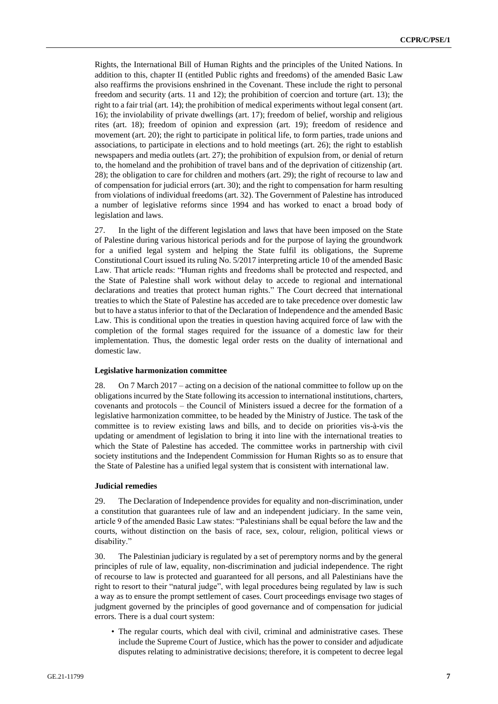Rights, the International Bill of Human Rights and the principles of the United Nations. In addition to this, chapter II (entitled Public rights and freedoms) of the amended Basic Law also reaffirms the provisions enshrined in the Covenant. These include the right to personal freedom and security (arts. 11 and 12); the prohibition of coercion and torture (art. 13); the right to a fair trial (art. 14); the prohibition of medical experiments without legal consent (art. 16); the inviolability of private dwellings (art. 17); freedom of belief, worship and religious rites (art. 18); freedom of opinion and expression (art. 19); freedom of residence and movement (art. 20); the right to participate in political life, to form parties, trade unions and associations, to participate in elections and to hold meetings (art. 26); the right to establish newspapers and media outlets (art. 27); the prohibition of expulsion from, or denial of return to, the homeland and the prohibition of travel bans and of the deprivation of citizenship (art. 28); the obligation to care for children and mothers (art. 29); the right of recourse to law and of compensation for judicial errors (art. 30); and the right to compensation for harm resulting from violations of individual freedoms (art. 32). The Government of Palestine has introduced a number of legislative reforms since 1994 and has worked to enact a broad body of legislation and laws.

27. In the light of the different legislation and laws that have been imposed on the State of Palestine during various historical periods and for the purpose of laying the groundwork for a unified legal system and helping the State fulfil its obligations, the Supreme Constitutional Court issued its ruling No. 5/2017 interpreting article 10 of the amended Basic Law. That article reads: "Human rights and freedoms shall be protected and respected, and the State of Palestine shall work without delay to accede to regional and international declarations and treaties that protect human rights." The Court decreed that international treaties to which the State of Palestine has acceded are to take precedence over domestic law but to have a status inferior to that of the Declaration of Independence and the amended Basic Law. This is conditional upon the treaties in question having acquired force of law with the completion of the formal stages required for the issuance of a domestic law for their implementation. Thus, the domestic legal order rests on the duality of international and domestic law.

### **Legislative harmonization committee**

28. On 7 March 2017 – acting on a decision of the national committee to follow up on the obligations incurred by the State following its accession to international institutions, charters, covenants and protocols – the Council of Ministers issued a decree for the formation of a legislative harmonization committee, to be headed by the Ministry of Justice. The task of the committee is to review existing laws and bills, and to decide on priorities vis-à-vis the updating or amendment of legislation to bring it into line with the international treaties to which the State of Palestine has acceded. The committee works in partnership with civil society institutions and the Independent Commission for Human Rights so as to ensure that the State of Palestine has a unified legal system that is consistent with international law.

### **Judicial remedies**

29. The Declaration of Independence provides for equality and non-discrimination, under a constitution that guarantees rule of law and an independent judiciary. In the same vein, article 9 of the amended Basic Law states: "Palestinians shall be equal before the law and the courts, without distinction on the basis of race, sex, colour, religion, political views or disability."

30. The Palestinian judiciary is regulated by a set of peremptory norms and by the general principles of rule of law, equality, non-discrimination and judicial independence. The right of recourse to law is protected and guaranteed for all persons, and all Palestinians have the right to resort to their "natural judge", with legal procedures being regulated by law is such a way as to ensure the prompt settlement of cases. Court proceedings envisage two stages of judgment governed by the principles of good governance and of compensation for judicial errors. There is a dual court system:

• The regular courts, which deal with civil, criminal and administrative cases. These include the Supreme Court of Justice, which has the power to consider and adjudicate disputes relating to administrative decisions; therefore, it is competent to decree legal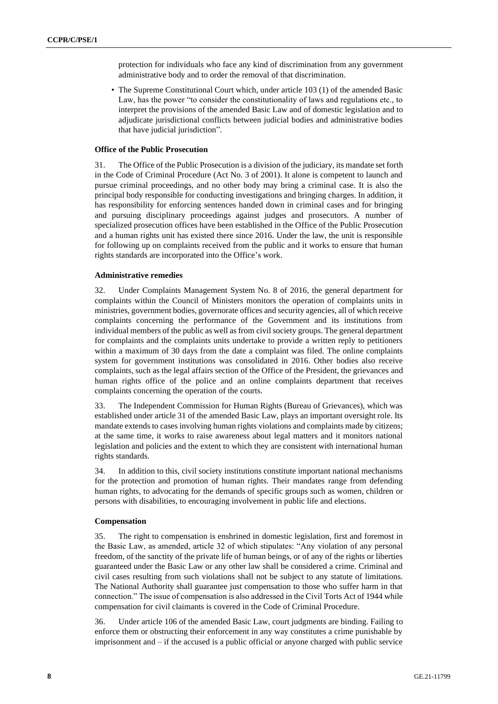protection for individuals who face any kind of discrimination from any government administrative body and to order the removal of that discrimination.

• The Supreme Constitutional Court which, under article 103 (1) of the amended Basic Law, has the power "to consider the constitutionality of laws and regulations etc., to interpret the provisions of the amended Basic Law and of domestic legislation and to adjudicate jurisdictional conflicts between judicial bodies and administrative bodies that have judicial jurisdiction".

#### **Office of the Public Prosecution**

31. The Office of the Public Prosecution is a division of the judiciary, its mandate set forth in the Code of Criminal Procedure (Act No. 3 of 2001). It alone is competent to launch and pursue criminal proceedings, and no other body may bring a criminal case. It is also the principal body responsible for conducting investigations and bringing charges. In addition, it has responsibility for enforcing sentences handed down in criminal cases and for bringing and pursuing disciplinary proceedings against judges and prosecutors. A number of specialized prosecution offices have been established in the Office of the Public Prosecution and a human rights unit has existed there since 2016. Under the law, the unit is responsible for following up on complaints received from the public and it works to ensure that human rights standards are incorporated into the Office's work.

### **Administrative remedies**

32. Under Complaints Management System No. 8 of 2016, the general department for complaints within the Council of Ministers monitors the operation of complaints units in ministries, government bodies, governorate offices and security agencies, all of which receive complaints concerning the performance of the Government and its institutions from individual members of the public as well as from civil society groups. The general department for complaints and the complaints units undertake to provide a written reply to petitioners within a maximum of 30 days from the date a complaint was filed. The online complaints system for government institutions was consolidated in 2016. Other bodies also receive complaints, such as the legal affairs section of the Office of the President, the grievances and human rights office of the police and an online complaints department that receives complaints concerning the operation of the courts.

33. The Independent Commission for Human Rights (Bureau of Grievances), which was established under article 31 of the amended Basic Law, plays an important oversight role. Its mandate extends to cases involving human rights violations and complaints made by citizens; at the same time, it works to raise awareness about legal matters and it monitors national legislation and policies and the extent to which they are consistent with international human rights standards.

34. In addition to this, civil society institutions constitute important national mechanisms for the protection and promotion of human rights. Their mandates range from defending human rights, to advocating for the demands of specific groups such as women, children or persons with disabilities, to encouraging involvement in public life and elections.

### **Compensation**

35. The right to compensation is enshrined in domestic legislation, first and foremost in the Basic Law, as amended, article 32 of which stipulates: "Any violation of any personal freedom, of the sanctity of the private life of human beings, or of any of the rights or liberties guaranteed under the Basic Law or any other law shall be considered a crime. Criminal and civil cases resulting from such violations shall not be subject to any statute of limitations. The National Authority shall guarantee just compensation to those who suffer harm in that connection." The issue of compensation is also addressed in the Civil Torts Act of 1944 while compensation for civil claimants is covered in the Code of Criminal Procedure.

36. Under article 106 of the amended Basic Law, court judgments are binding. Failing to enforce them or obstructing their enforcement in any way constitutes a crime punishable by imprisonment and – if the accused is a public official or anyone charged with public service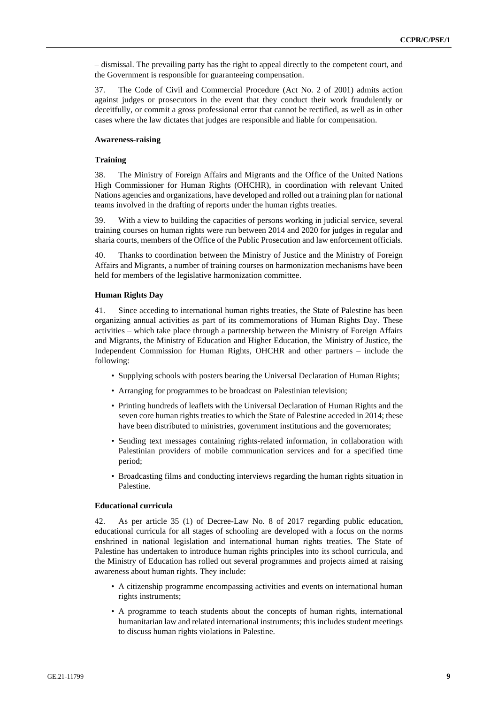– dismissal. The prevailing party has the right to appeal directly to the competent court, and the Government is responsible for guaranteeing compensation.

37. The Code of Civil and Commercial Procedure (Act No. 2 of 2001) admits action against judges or prosecutors in the event that they conduct their work fraudulently or deceitfully, or commit a gross professional error that cannot be rectified, as well as in other cases where the law dictates that judges are responsible and liable for compensation.

### **Awareness-raising**

### **Training**

38. The Ministry of Foreign Affairs and Migrants and the Office of the United Nations High Commissioner for Human Rights (OHCHR), in coordination with relevant United Nations agencies and organizations, have developed and rolled out a training plan for national teams involved in the drafting of reports under the human rights treaties.

39. With a view to building the capacities of persons working in judicial service, several training courses on human rights were run between 2014 and 2020 for judges in regular and sharia courts, members of the Office of the Public Prosecution and law enforcement officials.

40. Thanks to coordination between the Ministry of Justice and the Ministry of Foreign Affairs and Migrants, a number of training courses on harmonization mechanisms have been held for members of the legislative harmonization committee.

#### **Human Rights Day**

41. Since acceding to international human rights treaties, the State of Palestine has been organizing annual activities as part of its commemorations of Human Rights Day. These activities – which take place through a partnership between the Ministry of Foreign Affairs and Migrants, the Ministry of Education and Higher Education, the Ministry of Justice, the Independent Commission for Human Rights, OHCHR and other partners – include the following:

- Supplying schools with posters bearing the Universal Declaration of Human Rights;
- Arranging for programmes to be broadcast on Palestinian television;
- Printing hundreds of leaflets with the Universal Declaration of Human Rights and the seven core human rights treaties to which the State of Palestine acceded in 2014; these have been distributed to ministries, government institutions and the governorates;
- Sending text messages containing rights-related information, in collaboration with Palestinian providers of mobile communication services and for a specified time period;
- Broadcasting films and conducting interviews regarding the human rights situation in Palestine.

#### **Educational curricula**

42. As per article 35 (1) of Decree-Law No. 8 of 2017 regarding public education, educational curricula for all stages of schooling are developed with a focus on the norms enshrined in national legislation and international human rights treaties. The State of Palestine has undertaken to introduce human rights principles into its school curricula, and the Ministry of Education has rolled out several programmes and projects aimed at raising awareness about human rights. They include:

- A citizenship programme encompassing activities and events on international human rights instruments;
- A programme to teach students about the concepts of human rights, international humanitarian law and related international instruments; this includes student meetings to discuss human rights violations in Palestine.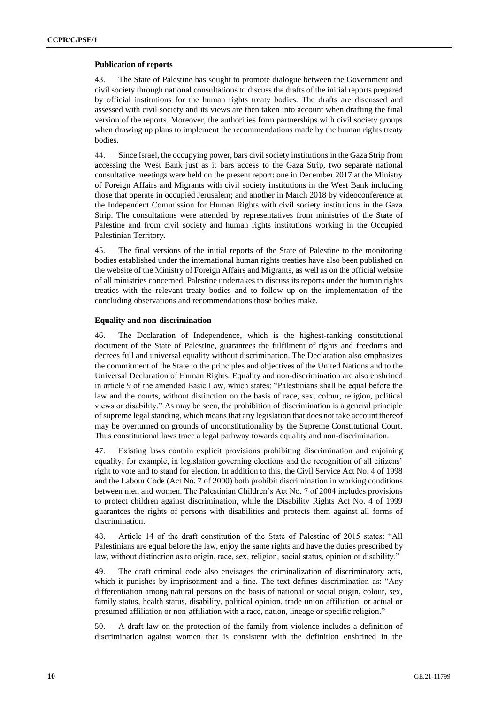### **Publication of reports**

43. The State of Palestine has sought to promote dialogue between the Government and civil society through national consultations to discuss the drafts of the initial reports prepared by official institutions for the human rights treaty bodies. The drafts are discussed and assessed with civil society and its views are then taken into account when drafting the final version of the reports. Moreover, the authorities form partnerships with civil society groups when drawing up plans to implement the recommendations made by the human rights treaty bodies.

44. Since Israel, the occupying power, bars civil society institutions in the Gaza Strip from accessing the West Bank just as it bars access to the Gaza Strip, two separate national consultative meetings were held on the present report: one in December 2017 at the Ministry of Foreign Affairs and Migrants with civil society institutions in the West Bank including those that operate in occupied Jerusalem; and another in March 2018 by videoconference at the Independent Commission for Human Rights with civil society institutions in the Gaza Strip. The consultations were attended by representatives from ministries of the State of Palestine and from civil society and human rights institutions working in the Occupied Palestinian Territory.

45. The final versions of the initial reports of the State of Palestine to the monitoring bodies established under the international human rights treaties have also been published on the website of the Ministry of Foreign Affairs and Migrants, as well as on the official website of all ministries concerned. Palestine undertakes to discuss its reports under the human rights treaties with the relevant treaty bodies and to follow up on the implementation of the concluding observations and recommendations those bodies make.

### **Equality and non-discrimination**

46. The Declaration of Independence, which is the highest-ranking constitutional document of the State of Palestine, guarantees the fulfilment of rights and freedoms and decrees full and universal equality without discrimination. The Declaration also emphasizes the commitment of the State to the principles and objectives of the United Nations and to the Universal Declaration of Human Rights. Equality and non-discrimination are also enshrined in article 9 of the amended Basic Law, which states: "Palestinians shall be equal before the law and the courts, without distinction on the basis of race, sex, colour, religion, political views or disability." As may be seen, the prohibition of discrimination is a general principle of supreme legal standing, which means that any legislation that does not take account thereof may be overturned on grounds of unconstitutionality by the Supreme Constitutional Court. Thus constitutional laws trace a legal pathway towards equality and non-discrimination.

47. Existing laws contain explicit provisions prohibiting discrimination and enjoining equality; for example, in legislation governing elections and the recognition of all citizens' right to vote and to stand for election. In addition to this, the Civil Service Act No. 4 of 1998 and the Labour Code (Act No. 7 of 2000) both prohibit discrimination in working conditions between men and women. The Palestinian Children's Act No. 7 of 2004 includes provisions to protect children against discrimination, while the Disability Rights Act No. 4 of 1999 guarantees the rights of persons with disabilities and protects them against all forms of discrimination.

48. Article 14 of the draft constitution of the State of Palestine of 2015 states: "All Palestinians are equal before the law, enjoy the same rights and have the duties prescribed by law, without distinction as to origin, race, sex, religion, social status, opinion or disability."

49. The draft criminal code also envisages the criminalization of discriminatory acts, which it punishes by imprisonment and a fine. The text defines discrimination as: "Any differentiation among natural persons on the basis of national or social origin, colour, sex, family status, health status, disability, political opinion, trade union affiliation, or actual or presumed affiliation or non-affiliation with a race, nation, lineage or specific religion."

50. A draft law on the protection of the family from violence includes a definition of discrimination against women that is consistent with the definition enshrined in the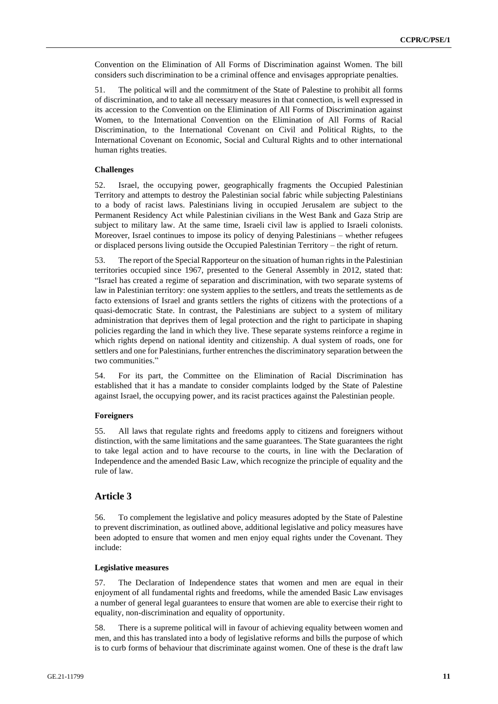Convention on the Elimination of All Forms of Discrimination against Women. The bill considers such discrimination to be a criminal offence and envisages appropriate penalties.

51. The political will and the commitment of the State of Palestine to prohibit all forms of discrimination, and to take all necessary measures in that connection, is well expressed in its accession to the Convention on the Elimination of All Forms of Discrimination against Women, to the International Convention on the Elimination of All Forms of Racial Discrimination, to the International Covenant on Civil and Political Rights, to the International Covenant on Economic, Social and Cultural Rights and to other international human rights treaties.

### **Challenges**

52. Israel, the occupying power, geographically fragments the Occupied Palestinian Territory and attempts to destroy the Palestinian social fabric while subjecting Palestinians to a body of racist laws. Palestinians living in occupied Jerusalem are subject to the Permanent Residency Act while Palestinian civilians in the West Bank and Gaza Strip are subject to military law. At the same time, Israeli civil law is applied to Israeli colonists. Moreover, Israel continues to impose its policy of denying Palestinians – whether refugees or displaced persons living outside the Occupied Palestinian Territory – the right of return.

53. The report of the Special Rapporteur on the situation of human rights in the Palestinian territories occupied since 1967, presented to the General Assembly in 2012, stated that: "Israel has created a regime of separation and discrimination, with two separate systems of law in Palestinian territory: one system applies to the settlers, and treats the settlements as de facto extensions of Israel and grants settlers the rights of citizens with the protections of a quasi-democratic State. In contrast, the Palestinians are subject to a system of military administration that deprives them of legal protection and the right to participate in shaping policies regarding the land in which they live. These separate systems reinforce a regime in which rights depend on national identity and citizenship. A dual system of roads, one for settlers and one for Palestinians, further entrenches the discriminatory separation between the two communities."

54. For its part, the Committee on the Elimination of Racial Discrimination has established that it has a mandate to consider complaints lodged by the State of Palestine against Israel, the occupying power, and its racist practices against the Palestinian people.

### **Foreigners**

55. All laws that regulate rights and freedoms apply to citizens and foreigners without distinction, with the same limitations and the same guarantees. The State guarantees the right to take legal action and to have recourse to the courts, in line with the Declaration of Independence and the amended Basic Law, which recognize the principle of equality and the rule of law.

# **Article 3**

56. To complement the legislative and policy measures adopted by the State of Palestine to prevent discrimination, as outlined above, additional legislative and policy measures have been adopted to ensure that women and men enjoy equal rights under the Covenant. They include:

### **Legislative measures**

57. The Declaration of Independence states that women and men are equal in their enjoyment of all fundamental rights and freedoms, while the amended Basic Law envisages a number of general legal guarantees to ensure that women are able to exercise their right to equality, non-discrimination and equality of opportunity.

58. There is a supreme political will in favour of achieving equality between women and men, and this has translated into a body of legislative reforms and bills the purpose of which is to curb forms of behaviour that discriminate against women. One of these is the draft law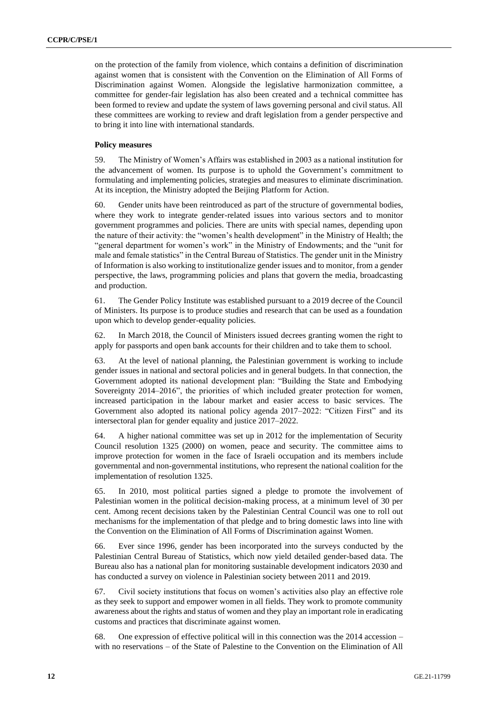on the protection of the family from violence, which contains a definition of discrimination against women that is consistent with the Convention on the Elimination of All Forms of Discrimination against Women. Alongside the legislative harmonization committee, a committee for gender-fair legislation has also been created and a technical committee has been formed to review and update the system of laws governing personal and civil status. All these committees are working to review and draft legislation from a gender perspective and to bring it into line with international standards.

### **Policy measures**

59. The Ministry of Women's Affairs was established in 2003 as a national institution for the advancement of women. Its purpose is to uphold the Government's commitment to formulating and implementing policies, strategies and measures to eliminate discrimination. At its inception, the Ministry adopted the Beijing Platform for Action.

60. Gender units have been reintroduced as part of the structure of governmental bodies, where they work to integrate gender-related issues into various sectors and to monitor government programmes and policies. There are units with special names, depending upon the nature of their activity: the "women's health development" in the Ministry of Health; the "general department for women's work" in the Ministry of Endowments; and the "unit for male and female statistics" in the Central Bureau of Statistics. The gender unit in the Ministry of Information is also working to institutionalize gender issues and to monitor, from a gender perspective, the laws, programming policies and plans that govern the media, broadcasting and production.

61. The Gender Policy Institute was established pursuant to a 2019 decree of the Council of Ministers. Its purpose is to produce studies and research that can be used as a foundation upon which to develop gender-equality policies.

62. In March 2018, the Council of Ministers issued decrees granting women the right to apply for passports and open bank accounts for their children and to take them to school.

63. At the level of national planning, the Palestinian government is working to include gender issues in national and sectoral policies and in general budgets. In that connection, the Government adopted its national development plan: "Building the State and Embodying Sovereignty 2014–2016", the priorities of which included greater protection for women, increased participation in the labour market and easier access to basic services. The Government also adopted its national policy agenda 2017–2022: "Citizen First" and its intersectoral plan for gender equality and justice 2017–2022.

64. A higher national committee was set up in 2012 for the implementation of Security Council resolution 1325 (2000) on women, peace and security. The committee aims to improve protection for women in the face of Israeli occupation and its members include governmental and non-governmental institutions, who represent the national coalition for the implementation of resolution 1325.

65. In 2010, most political parties signed a pledge to promote the involvement of Palestinian women in the political decision-making process, at a minimum level of 30 per cent. Among recent decisions taken by the Palestinian Central Council was one to roll out mechanisms for the implementation of that pledge and to bring domestic laws into line with the Convention on the Elimination of All Forms of Discrimination against Women.

66. Ever since 1996, gender has been incorporated into the surveys conducted by the Palestinian Central Bureau of Statistics, which now yield detailed gender-based data. The Bureau also has a national plan for monitoring sustainable development indicators 2030 and has conducted a survey on violence in Palestinian society between 2011 and 2019.

67. Civil society institutions that focus on women's activities also play an effective role as they seek to support and empower women in all fields. They work to promote community awareness about the rights and status of women and they play an important role in eradicating customs and practices that discriminate against women.

68. One expression of effective political will in this connection was the 2014 accession – with no reservations – of the State of Palestine to the Convention on the Elimination of All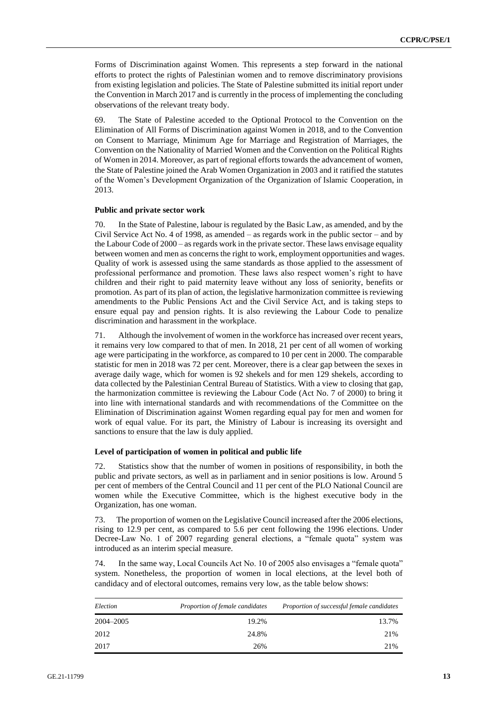Forms of Discrimination against Women. This represents a step forward in the national efforts to protect the rights of Palestinian women and to remove discriminatory provisions from existing legislation and policies. The State of Palestine submitted its initial report under the Convention in March 2017 and is currently in the process of implementing the concluding observations of the relevant treaty body.

69. The State of Palestine acceded to the Optional Protocol to the Convention on the Elimination of All Forms of Discrimination against Women in 2018, and to the Convention on Consent to Marriage, Minimum Age for Marriage and Registration of Marriages, the Convention on the Nationality of Married Women and the Convention on the Political Rights of Women in 2014. Moreover, as part of regional efforts towards the advancement of women, the State of Palestine joined the Arab Women Organization in 2003 and it ratified the statutes of the Women's Development Organization of the Organization of Islamic Cooperation, in 2013.

### **Public and private sector work**

70. In the State of Palestine, labour is regulated by the Basic Law, as amended, and by the Civil Service Act No. 4 of 1998, as amended – as regards work in the public sector – and by the Labour Code of 2000 – as regards work in the private sector. These laws envisage equality between women and men as concerns the right to work, employment opportunities and wages. Quality of work is assessed using the same standards as those applied to the assessment of professional performance and promotion. These laws also respect women's right to have children and their right to paid maternity leave without any loss of seniority, benefits or promotion. As part of its plan of action, the legislative harmonization committee is reviewing amendments to the Public Pensions Act and the Civil Service Act, and is taking steps to ensure equal pay and pension rights. It is also reviewing the Labour Code to penalize discrimination and harassment in the workplace.

71. Although the involvement of women in the workforce has increased over recent years, it remains very low compared to that of men. In 2018, 21 per cent of all women of working age were participating in the workforce, as compared to 10 per cent in 2000. The comparable statistic for men in 2018 was 72 per cent. Moreover, there is a clear gap between the sexes in average daily wage, which for women is 92 shekels and for men 129 shekels, according to data collected by the Palestinian Central Bureau of Statistics. With a view to closing that gap, the harmonization committee is reviewing the Labour Code (Act No. 7 of 2000) to bring it into line with international standards and with recommendations of the Committee on the Elimination of Discrimination against Women regarding equal pay for men and women for work of equal value. For its part, the Ministry of Labour is increasing its oversight and sanctions to ensure that the law is duly applied.

### **Level of participation of women in political and public life**

72. Statistics show that the number of women in positions of responsibility, in both the public and private sectors, as well as in parliament and in senior positions is low. Around 5 per cent of members of the Central Council and 11 per cent of the PLO National Council are women while the Executive Committee, which is the highest executive body in the Organization, has one woman.

73. The proportion of women on the Legislative Council increased after the 2006 elections, rising to 12.9 per cent, as compared to 5.6 per cent following the 1996 elections. Under Decree-Law No. 1 of 2007 regarding general elections, a "female quota" system was introduced as an interim special measure.

74. In the same way, Local Councils Act No. 10 of 2005 also envisages a "female quota" system. Nonetheless, the proportion of women in local elections, at the level both of candidacy and of electoral outcomes, remains very low, as the table below shows:

| Election  | Proportion of female candidates | Proportion of successful female candidates |
|-----------|---------------------------------|--------------------------------------------|
| 2004-2005 | 19.2%                           | 13.7%                                      |
| 2012      | 24.8%                           | 21%                                        |
| 2017      | 26%                             | 21%                                        |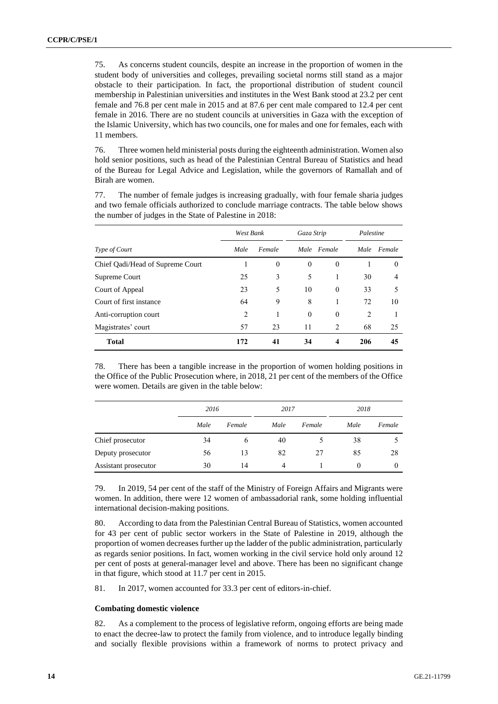75. As concerns student councils, despite an increase in the proportion of women in the student body of universities and colleges, prevailing societal norms still stand as a major obstacle to their participation. In fact, the proportional distribution of student council membership in Palestinian universities and institutes in the West Bank stood at 23.2 per cent female and 76.8 per cent male in 2015 and at 87.6 per cent male compared to 12.4 per cent female in 2016. There are no student councils at universities in Gaza with the exception of the Islamic University, which has two councils, one for males and one for females, each with 11 members.

76. Three women held ministerial posts during the eighteenth administration. Women also hold senior positions, such as head of the Palestinian Central Bureau of Statistics and head of the Bureau for Legal Advice and Legislation, while the governors of Ramallah and of Birah are women.

77. The number of female judges is increasing gradually, with four female sharia judges and two female officials authorized to conclude marriage contracts. The table below shows the number of judges in the State of Palestine in 2018:

|                                  | West Bank |          | Gaza Strip   |             | Palestine      |          |
|----------------------------------|-----------|----------|--------------|-------------|----------------|----------|
| Type of Court                    | Male      | Female   |              | Male Female | Male           | Female   |
| Chief Qadi/Head of Supreme Court |           | $\theta$ | $\mathbf{0}$ | $\theta$    |                | $\theta$ |
| Supreme Court                    | 25        | 3        | 5            |             | 30             | 4        |
| Court of Appeal                  | 23        | 5        | 10           | $\Omega$    | 33             | 5        |
| Court of first instance          | 64        | 9        | 8            |             | 72             | 10       |
| Anti-corruption court            | 2         |          | $\mathbf{0}$ | $\theta$    | $\overline{c}$ |          |
| Magistrates' court               | 57        | 23       | 11           | 2           | 68             | 25       |
| <b>Total</b>                     | 172       | 41       | 34           | 4           | 206            | 45       |

78. There has been a tangible increase in the proportion of women holding positions in the Office of the Public Prosecution where, in 2018, 21 per cent of the members of the Office were women. Details are given in the table below:

|                      | 2016 |        | 2017 |        | 2018 |          |  |
|----------------------|------|--------|------|--------|------|----------|--|
|                      | Male | Female | Male | Female | Male | Female   |  |
| Chief prosecutor     | 34   | 6      | 40   |        | 38   |          |  |
| Deputy prosecutor    | 56   | 13     | 82   | 27     | 85   | 28       |  |
| Assistant prosecutor | 30   | 14     | 4    |        | 0    | $\Omega$ |  |

79. In 2019, 54 per cent of the staff of the Ministry of Foreign Affairs and Migrants were women. In addition, there were 12 women of ambassadorial rank, some holding influential international decision-making positions.

80. According to data from the Palestinian Central Bureau of Statistics, women accounted for 43 per cent of public sector workers in the State of Palestine in 2019, although the proportion of women decreases further up the ladder of the public administration, particularly as regards senior positions. In fact, women working in the civil service hold only around 12 per cent of posts at general-manager level and above. There has been no significant change in that figure, which stood at 11.7 per cent in 2015.

81. In 2017, women accounted for 33.3 per cent of editors-in-chief.

### **Combating domestic violence**

82. As a complement to the process of legislative reform, ongoing efforts are being made to enact the decree-law to protect the family from violence, and to introduce legally binding and socially flexible provisions within a framework of norms to protect privacy and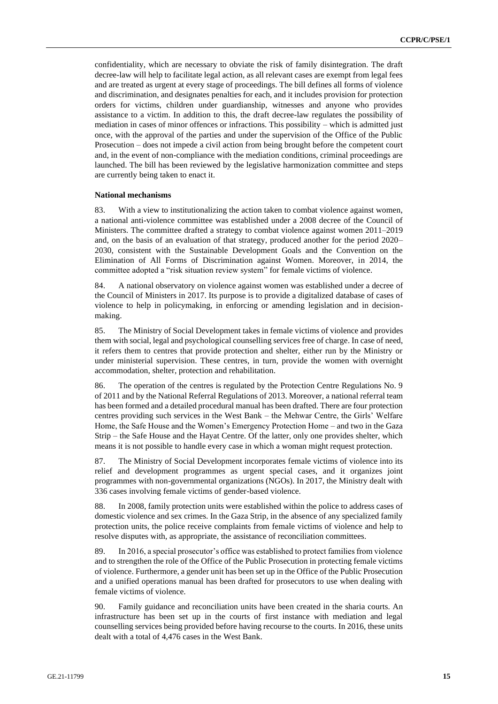confidentiality, which are necessary to obviate the risk of family disintegration. The draft decree-law will help to facilitate legal action, as all relevant cases are exempt from legal fees and are treated as urgent at every stage of proceedings. The bill defines all forms of violence and discrimination, and designates penalties for each, and it includes provision for protection orders for victims, children under guardianship, witnesses and anyone who provides assistance to a victim. In addition to this, the draft decree-law regulates the possibility of mediation in cases of minor offences or infractions. This possibility – which is admitted just once, with the approval of the parties and under the supervision of the Office of the Public Prosecution – does not impede a civil action from being brought before the competent court and, in the event of non-compliance with the mediation conditions, criminal proceedings are launched. The bill has been reviewed by the legislative harmonization committee and steps are currently being taken to enact it.

#### **National mechanisms**

83. With a view to institutionalizing the action taken to combat violence against women, a national anti-violence committee was established under a 2008 decree of the Council of Ministers. The committee drafted a strategy to combat violence against women 2011–2019 and, on the basis of an evaluation of that strategy, produced another for the period 2020– 2030, consistent with the Sustainable Development Goals and the Convention on the Elimination of All Forms of Discrimination against Women. Moreover, in 2014, the committee adopted a "risk situation review system" for female victims of violence.

84. A national observatory on violence against women was established under a decree of the Council of Ministers in 2017. Its purpose is to provide a digitalized database of cases of violence to help in policymaking, in enforcing or amending legislation and in decisionmaking.

85. The Ministry of Social Development takes in female victims of violence and provides them with social, legal and psychological counselling services free of charge. In case of need, it refers them to centres that provide protection and shelter, either run by the Ministry or under ministerial supervision. These centres, in turn, provide the women with overnight accommodation, shelter, protection and rehabilitation.

86. The operation of the centres is regulated by the Protection Centre Regulations No. 9 of 2011 and by the National Referral Regulations of 2013. Moreover, a national referral team has been formed and a detailed procedural manual has been drafted. There are four protection centres providing such services in the West Bank – the Mehwar Centre, the Girls' Welfare Home, the Safe House and the Women's Emergency Protection Home – and two in the Gaza Strip – the Safe House and the Hayat Centre. Of the latter, only one provides shelter, which means it is not possible to handle every case in which a woman might request protection.

87. The Ministry of Social Development incorporates female victims of violence into its relief and development programmes as urgent special cases, and it organizes joint programmes with non-governmental organizations (NGOs). In 2017, the Ministry dealt with 336 cases involving female victims of gender-based violence.

88. In 2008, family protection units were established within the police to address cases of domestic violence and sex crimes. In the Gaza Strip, in the absence of any specialized family protection units, the police receive complaints from female victims of violence and help to resolve disputes with, as appropriate, the assistance of reconciliation committees.

89. In 2016, a special prosecutor's office was established to protect families from violence and to strengthen the role of the Office of the Public Prosecution in protecting female victims of violence. Furthermore, a gender unit has been set up in the Office of the Public Prosecution and a unified operations manual has been drafted for prosecutors to use when dealing with female victims of violence.

90. Family guidance and reconciliation units have been created in the sharia courts. An infrastructure has been set up in the courts of first instance with mediation and legal counselling services being provided before having recourse to the courts. In 2016, these units dealt with a total of 4,476 cases in the West Bank.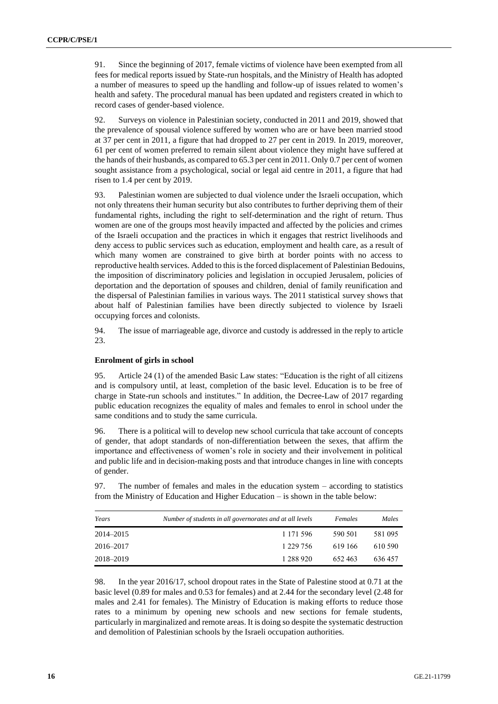91. Since the beginning of 2017, female victims of violence have been exempted from all fees for medical reports issued by State-run hospitals, and the Ministry of Health has adopted a number of measures to speed up the handling and follow-up of issues related to women's health and safety. The procedural manual has been updated and registers created in which to record cases of gender-based violence.

92. Surveys on violence in Palestinian society, conducted in 2011 and 2019, showed that the prevalence of spousal violence suffered by women who are or have been married stood at 37 per cent in 2011, a figure that had dropped to 27 per cent in 2019. In 2019, moreover, 61 per cent of women preferred to remain silent about violence they might have suffered at the hands of their husbands, as compared to 65.3 per cent in 2011. Only 0.7 per cent of women sought assistance from a psychological, social or legal aid centre in 2011, a figure that had risen to 1.4 per cent by 2019.

93. Palestinian women are subjected to dual violence under the Israeli occupation, which not only threatens their human security but also contributes to further depriving them of their fundamental rights, including the right to self-determination and the right of return. Thus women are one of the groups most heavily impacted and affected by the policies and crimes of the Israeli occupation and the practices in which it engages that restrict livelihoods and deny access to public services such as education, employment and health care, as a result of which many women are constrained to give birth at border points with no access to reproductive health services. Added to this is the forced displacement of Palestinian Bedouins, the imposition of discriminatory policies and legislation in occupied Jerusalem, policies of deportation and the deportation of spouses and children, denial of family reunification and the dispersal of Palestinian families in various ways. The 2011 statistical survey shows that about half of Palestinian families have been directly subjected to violence by Israeli occupying forces and colonists.

94. The issue of marriageable age, divorce and custody is addressed in the reply to article 23.

### **Enrolment of girls in school**

95. Article 24 (1) of the amended Basic Law states: "Education is the right of all citizens and is compulsory until, at least, completion of the basic level. Education is to be free of charge in State-run schools and institutes." In addition, the Decree-Law of 2017 regarding public education recognizes the equality of males and females to enrol in school under the same conditions and to study the same curricula.

96. There is a political will to develop new school curricula that take account of concepts of gender, that adopt standards of non-differentiation between the sexes, that affirm the importance and effectiveness of women's role in society and their involvement in political and public life and in decision-making posts and that introduce changes in line with concepts of gender.

97. The number of females and males in the education system – according to statistics from the Ministry of Education and Higher Education – is shown in the table below:

| Years     | Number of students in all governorates and at all levels | Females | Males   |
|-----------|----------------------------------------------------------|---------|---------|
| 2014–2015 | 1 1 7 1 5 9 6                                            | 590 501 | 581 095 |
| 2016–2017 | 1 229 756                                                | 619 166 | 610 590 |
| 2018–2019 | 1 288 920                                                | 652463  | 636457  |

98. In the year 2016/17, school dropout rates in the State of Palestine stood at 0.71 at the basic level (0.89 for males and 0.53 for females) and at 2.44 for the secondary level (2.48 for males and 2.41 for females). The Ministry of Education is making efforts to reduce those rates to a minimum by opening new schools and new sections for female students, particularly in marginalized and remote areas. It is doing so despite the systematic destruction and demolition of Palestinian schools by the Israeli occupation authorities.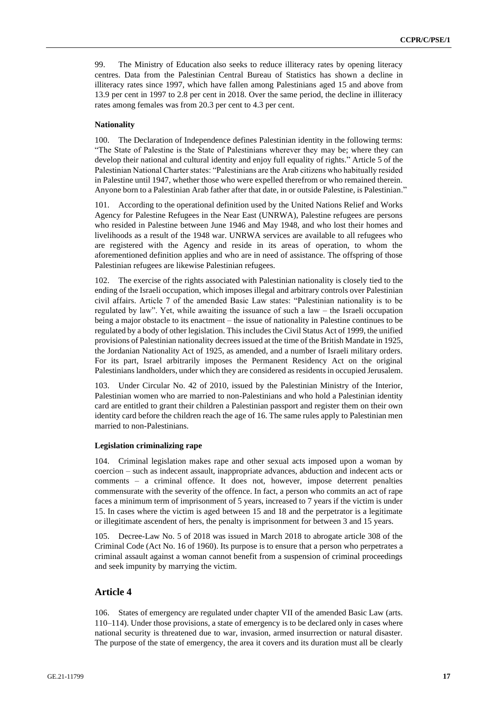99. The Ministry of Education also seeks to reduce illiteracy rates by opening literacy centres. Data from the Palestinian Central Bureau of Statistics has shown a decline in illiteracy rates since 1997, which have fallen among Palestinians aged 15 and above from 13.9 per cent in 1997 to 2.8 per cent in 2018. Over the same period, the decline in illiteracy rates among females was from 20.3 per cent to 4.3 per cent.

### **Nationality**

100. The Declaration of Independence defines Palestinian identity in the following terms: "The State of Palestine is the State of Palestinians wherever they may be; where they can develop their national and cultural identity and enjoy full equality of rights." Article 5 of the Palestinian National Charter states: "Palestinians are the Arab citizens who habitually resided in Palestine until 1947, whether those who were expelled therefrom or who remained therein. Anyone born to a Palestinian Arab father after that date, in or outside Palestine, is Palestinian."

101. According to the operational definition used by the United Nations Relief and Works Agency for Palestine Refugees in the Near East (UNRWA), Palestine refugees are persons who resided in Palestine between June 1946 and May 1948, and who lost their homes and livelihoods as a result of the 1948 war. UNRWA services are available to all refugees who are registered with the Agency and reside in its areas of operation, to whom the aforementioned definition applies and who are in need of assistance. The offspring of those Palestinian refugees are likewise Palestinian refugees.

102. The exercise of the rights associated with Palestinian nationality is closely tied to the ending of the Israeli occupation, which imposes illegal and arbitrary controls over Palestinian civil affairs. Article 7 of the amended Basic Law states: "Palestinian nationality is to be regulated by law". Yet, while awaiting the issuance of such a law – the Israeli occupation being a major obstacle to its enactment – the issue of nationality in Palestine continues to be regulated by a body of other legislation. This includes the Civil Status Act of 1999, the unified provisions of Palestinian nationality decrees issued at the time of the British Mandate in 1925, the Jordanian Nationality Act of 1925, as amended, and a number of Israeli military orders. For its part, Israel arbitrarily imposes the Permanent Residency Act on the original Palestinians landholders, under which they are considered as residents in occupied Jerusalem.

103. Under Circular No. 42 of 2010, issued by the Palestinian Ministry of the Interior, Palestinian women who are married to non-Palestinians and who hold a Palestinian identity card are entitled to grant their children a Palestinian passport and register them on their own identity card before the children reach the age of 16. The same rules apply to Palestinian men married to non-Palestinians.

### **Legislation criminalizing rape**

104. Criminal legislation makes rape and other sexual acts imposed upon a woman by coercion – such as indecent assault, inappropriate advances, abduction and indecent acts or comments – a criminal offence. It does not, however, impose deterrent penalties commensurate with the severity of the offence. In fact, a person who commits an act of rape faces a minimum term of imprisonment of 5 years, increased to 7 years if the victim is under 15. In cases where the victim is aged between 15 and 18 and the perpetrator is a legitimate or illegitimate ascendent of hers, the penalty is imprisonment for between 3 and 15 years.

105. Decree-Law No. 5 of 2018 was issued in March 2018 to abrogate article 308 of the Criminal Code (Act No. 16 of 1960). Its purpose is to ensure that a person who perpetrates a criminal assault against a woman cannot benefit from a suspension of criminal proceedings and seek impunity by marrying the victim.

# **Article 4**

106. States of emergency are regulated under chapter VII of the amended Basic Law (arts. 110–114). Under those provisions, a state of emergency is to be declared only in cases where national security is threatened due to war, invasion, armed insurrection or natural disaster. The purpose of the state of emergency, the area it covers and its duration must all be clearly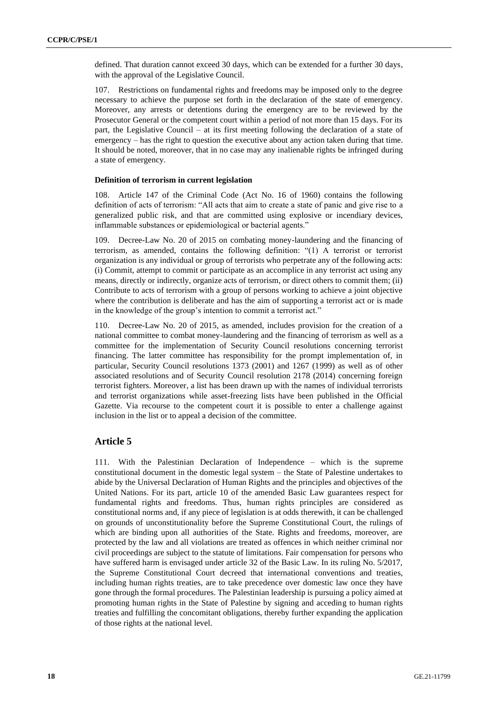defined. That duration cannot exceed 30 days, which can be extended for a further 30 days, with the approval of the Legislative Council.

107. Restrictions on fundamental rights and freedoms may be imposed only to the degree necessary to achieve the purpose set forth in the declaration of the state of emergency. Moreover, any arrests or detentions during the emergency are to be reviewed by the Prosecutor General or the competent court within a period of not more than 15 days. For its part, the Legislative Council – at its first meeting following the declaration of a state of emergency – has the right to question the executive about any action taken during that time. It should be noted, moreover, that in no case may any inalienable rights be infringed during a state of emergency.

#### **Definition of terrorism in current legislation**

108. Article 147 of the Criminal Code (Act No. 16 of 1960) contains the following definition of acts of terrorism: "All acts that aim to create a state of panic and give rise to a generalized public risk, and that are committed using explosive or incendiary devices, inflammable substances or epidemiological or bacterial agents."

109. Decree-Law No. 20 of 2015 on combating money-laundering and the financing of terrorism, as amended, contains the following definition: "(1) A terrorist or terrorist organization is any individual or group of terrorists who perpetrate any of the following acts: (i) Commit, attempt to commit or participate as an accomplice in any terrorist act using any means, directly or indirectly, organize acts of terrorism, or direct others to commit them; (ii) Contribute to acts of terrorism with a group of persons working to achieve a joint objective where the contribution is deliberate and has the aim of supporting a terrorist act or is made in the knowledge of the group's intention to commit a terrorist act."

110. Decree-Law No. 20 of 2015, as amended, includes provision for the creation of a national committee to combat money-laundering and the financing of terrorism as well as a committee for the implementation of Security Council resolutions concerning terrorist financing. The latter committee has responsibility for the prompt implementation of, in particular, Security Council resolutions 1373 (2001) and 1267 (1999) as well as of other associated resolutions and of Security Council resolution 2178 (2014) concerning foreign terrorist fighters. Moreover, a list has been drawn up with the names of individual terrorists and terrorist organizations while asset-freezing lists have been published in the Official Gazette. Via recourse to the competent court it is possible to enter a challenge against inclusion in the list or to appeal a decision of the committee.

### **Article 5**

111. With the Palestinian Declaration of Independence – which is the supreme constitutional document in the domestic legal system – the State of Palestine undertakes to abide by the Universal Declaration of Human Rights and the principles and objectives of the United Nations. For its part, article 10 of the amended Basic Law guarantees respect for fundamental rights and freedoms. Thus, human rights principles are considered as constitutional norms and, if any piece of legislation is at odds therewith, it can be challenged on grounds of unconstitutionality before the Supreme Constitutional Court, the rulings of which are binding upon all authorities of the State. Rights and freedoms, moreover, are protected by the law and all violations are treated as offences in which neither criminal nor civil proceedings are subject to the statute of limitations. Fair compensation for persons who have suffered harm is envisaged under article 32 of the Basic Law. In its ruling No. 5/2017, the Supreme Constitutional Court decreed that international conventions and treaties, including human rights treaties, are to take precedence over domestic law once they have gone through the formal procedures. The Palestinian leadership is pursuing a policy aimed at promoting human rights in the State of Palestine by signing and acceding to human rights treaties and fulfilling the concomitant obligations, thereby further expanding the application of those rights at the national level.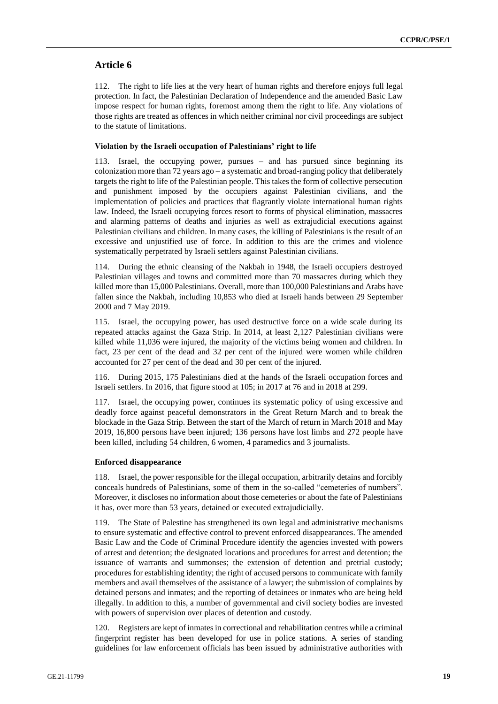# **Article 6**

112. The right to life lies at the very heart of human rights and therefore enjoys full legal protection. In fact, the Palestinian Declaration of Independence and the amended Basic Law impose respect for human rights, foremost among them the right to life. Any violations of those rights are treated as offences in which neither criminal nor civil proceedings are subject to the statute of limitations.

### **Violation by the Israeli occupation of Palestinians' right to life**

113. Israel, the occupying power, pursues – and has pursued since beginning its colonization more than 72 years ago – a systematic and broad-ranging policy that deliberately targets the right to life of the Palestinian people. This takes the form of collective persecution and punishment imposed by the occupiers against Palestinian civilians, and the implementation of policies and practices that flagrantly violate international human rights law. Indeed, the Israeli occupying forces resort to forms of physical elimination, massacres and alarming patterns of deaths and injuries as well as extrajudicial executions against Palestinian civilians and children. In many cases, the killing of Palestinians is the result of an excessive and unjustified use of force. In addition to this are the crimes and violence systematically perpetrated by Israeli settlers against Palestinian civilians.

114. During the ethnic cleansing of the Nakbah in 1948, the Israeli occupiers destroyed Palestinian villages and towns and committed more than 70 massacres during which they killed more than 15,000 Palestinians. Overall, more than 100,000 Palestinians and Arabs have fallen since the Nakbah, including 10,853 who died at Israeli hands between 29 September 2000 and 7 May 2019.

115. Israel, the occupying power, has used destructive force on a wide scale during its repeated attacks against the Gaza Strip. In 2014, at least 2,127 Palestinian civilians were killed while 11,036 were injured, the majority of the victims being women and children. In fact, 23 per cent of the dead and 32 per cent of the injured were women while children accounted for 27 per cent of the dead and 30 per cent of the injured.

116. During 2015, 175 Palestinians died at the hands of the Israeli occupation forces and Israeli settlers. In 2016, that figure stood at 105; in 2017 at 76 and in 2018 at 299.

117. Israel, the occupying power, continues its systematic policy of using excessive and deadly force against peaceful demonstrators in the Great Return March and to break the blockade in the Gaza Strip. Between the start of the March of return in March 2018 and May 2019, 16,800 persons have been injured; 136 persons have lost limbs and 272 people have been killed, including 54 children, 6 women, 4 paramedics and 3 journalists.

### **Enforced disappearance**

118. Israel, the power responsible for the illegal occupation, arbitrarily detains and forcibly conceals hundreds of Palestinians, some of them in the so-called "cemeteries of numbers". Moreover, it discloses no information about those cemeteries or about the fate of Palestinians it has, over more than 53 years, detained or executed extrajudicially.

119. The State of Palestine has strengthened its own legal and administrative mechanisms to ensure systematic and effective control to prevent enforced disappearances. The amended Basic Law and the Code of Criminal Procedure identify the agencies invested with powers of arrest and detention; the designated locations and procedures for arrest and detention; the issuance of warrants and summonses; the extension of detention and pretrial custody; procedures for establishing identity; the right of accused persons to communicate with family members and avail themselves of the assistance of a lawyer; the submission of complaints by detained persons and inmates; and the reporting of detainees or inmates who are being held illegally. In addition to this, a number of governmental and civil society bodies are invested with powers of supervision over places of detention and custody.

120. Registers are kept of inmates in correctional and rehabilitation centres while a criminal fingerprint register has been developed for use in police stations. A series of standing guidelines for law enforcement officials has been issued by administrative authorities with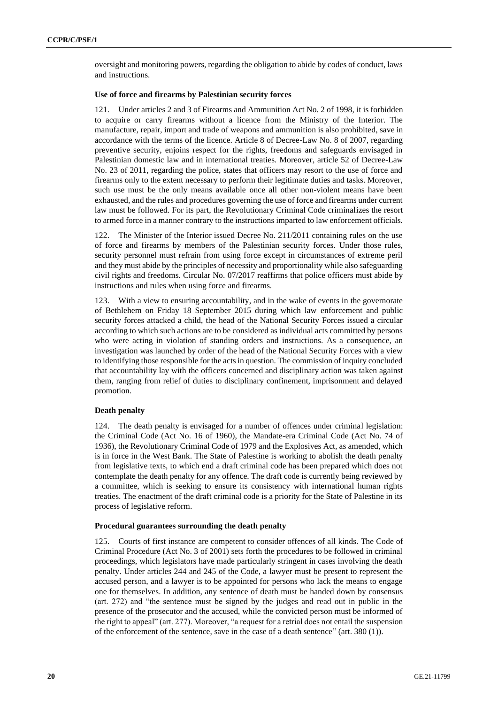oversight and monitoring powers, regarding the obligation to abide by codes of conduct, laws and instructions.

### **Use of force and firearms by Palestinian security forces**

Under articles 2 and 3 of Firearms and Ammunition Act No. 2 of 1998, it is forbidden to acquire or carry firearms without a licence from the Ministry of the Interior. The manufacture, repair, import and trade of weapons and ammunition is also prohibited, save in accordance with the terms of the licence. Article 8 of Decree-Law No. 8 of 2007, regarding preventive security, enjoins respect for the rights, freedoms and safeguards envisaged in Palestinian domestic law and in international treaties. Moreover, article 52 of Decree-Law No. 23 of 2011, regarding the police, states that officers may resort to the use of force and firearms only to the extent necessary to perform their legitimate duties and tasks. Moreover, such use must be the only means available once all other non-violent means have been exhausted, and the rules and procedures governing the use of force and firearms under current law must be followed. For its part, the Revolutionary Criminal Code criminalizes the resort to armed force in a manner contrary to the instructions imparted to law enforcement officials.

122. The Minister of the Interior issued Decree No. 211/2011 containing rules on the use of force and firearms by members of the Palestinian security forces. Under those rules, security personnel must refrain from using force except in circumstances of extreme peril and they must abide by the principles of necessity and proportionality while also safeguarding civil rights and freedoms. Circular No. 07/2017 reaffirms that police officers must abide by instructions and rules when using force and firearms.

123. With a view to ensuring accountability, and in the wake of events in the governorate of Bethlehem on Friday 18 September 2015 during which law enforcement and public security forces attacked a child, the head of the National Security Forces issued a circular according to which such actions are to be considered as individual acts committed by persons who were acting in violation of standing orders and instructions. As a consequence, an investigation was launched by order of the head of the National Security Forces with a view to identifying those responsible for the acts in question. The commission of inquiry concluded that accountability lay with the officers concerned and disciplinary action was taken against them, ranging from relief of duties to disciplinary confinement, imprisonment and delayed promotion.

### **Death penalty**

124. The death penalty is envisaged for a number of offences under criminal legislation: the Criminal Code (Act No. 16 of 1960), the Mandate-era Criminal Code (Act No. 74 of 1936), the Revolutionary Criminal Code of 1979 and the Explosives Act, as amended, which is in force in the West Bank. The State of Palestine is working to abolish the death penalty from legislative texts, to which end a draft criminal code has been prepared which does not contemplate the death penalty for any offence. The draft code is currently being reviewed by a committee, which is seeking to ensure its consistency with international human rights treaties. The enactment of the draft criminal code is a priority for the State of Palestine in its process of legislative reform.

#### **Procedural guarantees surrounding the death penalty**

125. Courts of first instance are competent to consider offences of all kinds. The Code of Criminal Procedure (Act No. 3 of 2001) sets forth the procedures to be followed in criminal proceedings, which legislators have made particularly stringent in cases involving the death penalty. Under articles 244 and 245 of the Code, a lawyer must be present to represent the accused person, and a lawyer is to be appointed for persons who lack the means to engage one for themselves. In addition, any sentence of death must be handed down by consensus (art. 272) and "the sentence must be signed by the judges and read out in public in the presence of the prosecutor and the accused, while the convicted person must be informed of the right to appeal" (art. 277). Moreover, "a request for a retrial does not entail the suspension of the enforcement of the sentence, save in the case of a death sentence" (art. 380 (1)).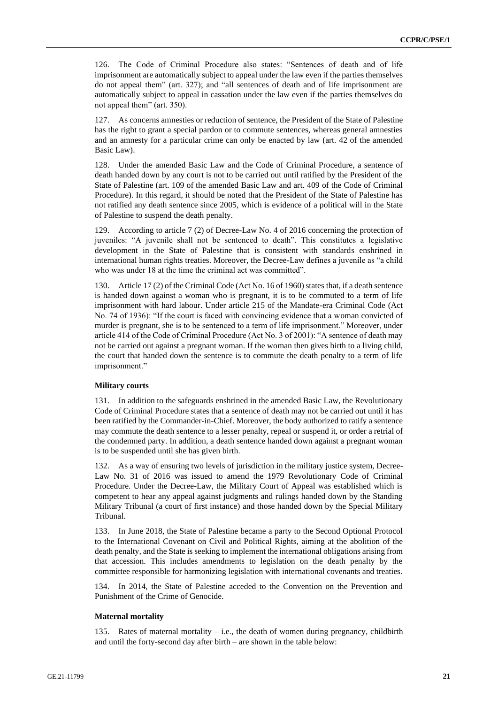126. The Code of Criminal Procedure also states: "Sentences of death and of life imprisonment are automatically subject to appeal under the law even if the parties themselves do not appeal them" (art. 327); and "all sentences of death and of life imprisonment are automatically subject to appeal in cassation under the law even if the parties themselves do not appeal them" (art. 350).

127. As concerns amnesties or reduction of sentence, the President of the State of Palestine has the right to grant a special pardon or to commute sentences, whereas general amnesties and an amnesty for a particular crime can only be enacted by law (art. 42 of the amended Basic Law).

128. Under the amended Basic Law and the Code of Criminal Procedure, a sentence of death handed down by any court is not to be carried out until ratified by the President of the State of Palestine (art. 109 of the amended Basic Law and art. 409 of the Code of Criminal Procedure). In this regard, it should be noted that the President of the State of Palestine has not ratified any death sentence since 2005, which is evidence of a political will in the State of Palestine to suspend the death penalty.

129. According to article 7 (2) of Decree-Law No. 4 of 2016 concerning the protection of juveniles: "A juvenile shall not be sentenced to death". This constitutes a legislative development in the State of Palestine that is consistent with standards enshrined in international human rights treaties. Moreover, the Decree-Law defines a juvenile as "a child who was under 18 at the time the criminal act was committed".

130. Article 17 (2) of the Criminal Code (Act No. 16 of 1960) states that, if a death sentence is handed down against a woman who is pregnant, it is to be commuted to a term of life imprisonment with hard labour. Under article 215 of the Mandate-era Criminal Code (Act No. 74 of 1936): "If the court is faced with convincing evidence that a woman convicted of murder is pregnant, she is to be sentenced to a term of life imprisonment." Moreover, under article 414 of the Code of Criminal Procedure (Act No. 3 of 2001): "A sentence of death may not be carried out against a pregnant woman. If the woman then gives birth to a living child, the court that handed down the sentence is to commute the death penalty to a term of life imprisonment."

### **Military courts**

131. In addition to the safeguards enshrined in the amended Basic Law, the Revolutionary Code of Criminal Procedure states that a sentence of death may not be carried out until it has been ratified by the Commander-in-Chief. Moreover, the body authorized to ratify a sentence may commute the death sentence to a lesser penalty, repeal or suspend it, or order a retrial of the condemned party. In addition, a death sentence handed down against a pregnant woman is to be suspended until she has given birth.

132. As a way of ensuring two levels of jurisdiction in the military justice system, Decree-Law No. 31 of 2016 was issued to amend the 1979 Revolutionary Code of Criminal Procedure. Under the Decree-Law, the Military Court of Appeal was established which is competent to hear any appeal against judgments and rulings handed down by the Standing Military Tribunal (a court of first instance) and those handed down by the Special Military Tribunal.

133. In June 2018, the State of Palestine became a party to the Second Optional Protocol to the International Covenant on Civil and Political Rights, aiming at the abolition of the death penalty, and the State is seeking to implement the international obligations arising from that accession. This includes amendments to legislation on the death penalty by the committee responsible for harmonizing legislation with international covenants and treaties.

134. In 2014, the State of Palestine acceded to the Convention on the Prevention and Punishment of the Crime of Genocide.

#### **Maternal mortality**

135. Rates of maternal mortality – i.e., the death of women during pregnancy, childbirth and until the forty-second day after birth – are shown in the table below: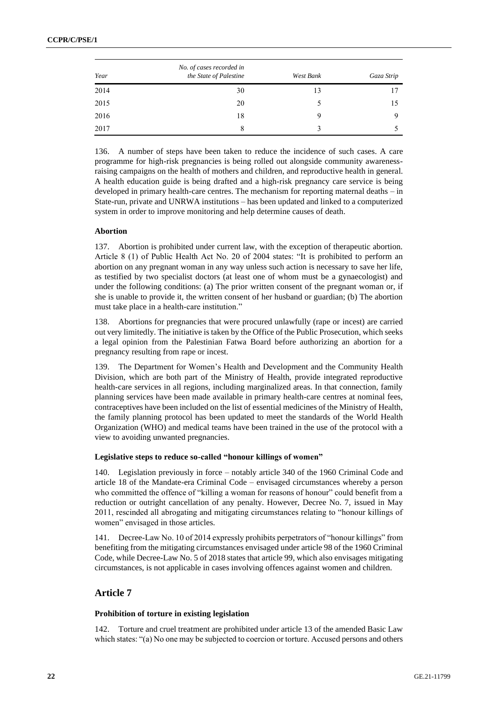| Year | No. of cases recorded in<br>the State of Palestine | West Bank | Gaza Strip |
|------|----------------------------------------------------|-----------|------------|
| 2014 | 30                                                 | 13        | 17         |
| 2015 | 20                                                 | 5         | 15         |
| 2016 | 18                                                 | 9         | Q          |
| 2017 | 8                                                  |           |            |

136. A number of steps have been taken to reduce the incidence of such cases. A care programme for high-risk pregnancies is being rolled out alongside community awarenessraising campaigns on the health of mothers and children, and reproductive health in general. A health education guide is being drafted and a high-risk pregnancy care service is being developed in primary health-care centres. The mechanism for reporting maternal deaths – in State-run, private and UNRWA institutions – has been updated and linked to a computerized system in order to improve monitoring and help determine causes of death.

### **Abortion**

137. Abortion is prohibited under current law, with the exception of therapeutic abortion. Article 8 (1) of Public Health Act No. 20 of 2004 states: "It is prohibited to perform an abortion on any pregnant woman in any way unless such action is necessary to save her life, as testified by two specialist doctors (at least one of whom must be a gynaecologist) and under the following conditions: (a) The prior written consent of the pregnant woman or, if she is unable to provide it, the written consent of her husband or guardian; (b) The abortion must take place in a health-care institution."

138. Abortions for pregnancies that were procured unlawfully (rape or incest) are carried out very limitedly. The initiative is taken by the Office of the Public Prosecution, which seeks a legal opinion from the Palestinian Fatwa Board before authorizing an abortion for a pregnancy resulting from rape or incest.

139. The Department for Women's Health and Development and the Community Health Division, which are both part of the Ministry of Health, provide integrated reproductive health-care services in all regions, including marginalized areas. In that connection, family planning services have been made available in primary health-care centres at nominal fees, contraceptives have been included on the list of essential medicines of the Ministry of Health, the family planning protocol has been updated to meet the standards of the World Health Organization (WHO) and medical teams have been trained in the use of the protocol with a view to avoiding unwanted pregnancies.

#### **Legislative steps to reduce so-called "honour killings of women"**

140. Legislation previously in force – notably article 340 of the 1960 Criminal Code and article 18 of the Mandate-era Criminal Code – envisaged circumstances whereby a person who committed the offence of "killing a woman for reasons of honour" could benefit from a reduction or outright cancellation of any penalty. However, Decree No. 7, issued in May 2011, rescinded all abrogating and mitigating circumstances relating to "honour killings of women" envisaged in those articles.

141. Decree-Law No. 10 of 2014 expressly prohibits perpetrators of "honour killings" from benefiting from the mitigating circumstances envisaged under article 98 of the 1960 Criminal Code, while Decree-Law No. 5 of 2018 states that article 99, which also envisages mitigating circumstances, is not applicable in cases involving offences against women and children.

# **Article 7**

#### **Prohibition of torture in existing legislation**

142. Torture and cruel treatment are prohibited under article 13 of the amended Basic Law which states: "(a) No one may be subjected to coercion or torture. Accused persons and others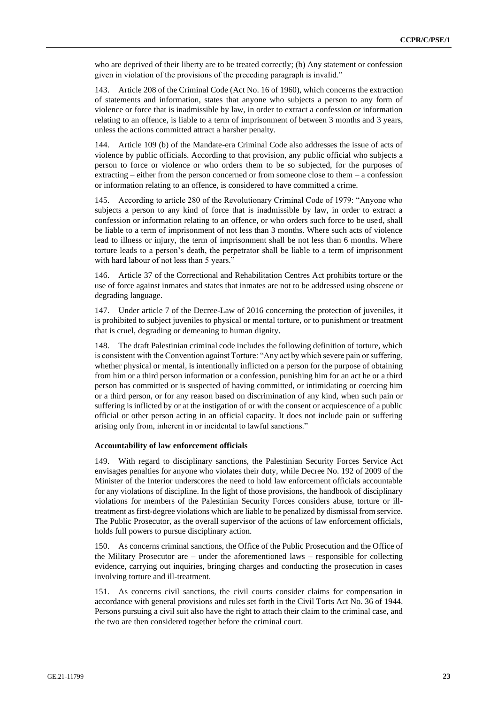who are deprived of their liberty are to be treated correctly; (b) Any statement or confession given in violation of the provisions of the preceding paragraph is invalid."

143. Article 208 of the Criminal Code (Act No. 16 of 1960), which concerns the extraction of statements and information, states that anyone who subjects a person to any form of violence or force that is inadmissible by law, in order to extract a confession or information relating to an offence, is liable to a term of imprisonment of between 3 months and 3 years, unless the actions committed attract a harsher penalty.

144. Article 109 (b) of the Mandate-era Criminal Code also addresses the issue of acts of violence by public officials. According to that provision, any public official who subjects a person to force or violence or who orders them to be so subjected, for the purposes of extracting – either from the person concerned or from someone close to them – a confession or information relating to an offence, is considered to have committed a crime.

145. According to article 280 of the Revolutionary Criminal Code of 1979: "Anyone who subjects a person to any kind of force that is inadmissible by law, in order to extract a confession or information relating to an offence, or who orders such force to be used, shall be liable to a term of imprisonment of not less than 3 months. Where such acts of violence lead to illness or injury, the term of imprisonment shall be not less than 6 months. Where torture leads to a person's death, the perpetrator shall be liable to a term of imprisonment with hard labour of not less than 5 years."

146. Article 37 of the Correctional and Rehabilitation Centres Act prohibits torture or the use of force against inmates and states that inmates are not to be addressed using obscene or degrading language.

147. Under article 7 of the Decree-Law of 2016 concerning the protection of juveniles, it is prohibited to subject juveniles to physical or mental torture, or to punishment or treatment that is cruel, degrading or demeaning to human dignity.

148. The draft Palestinian criminal code includes the following definition of torture, which is consistent with the Convention against Torture: "Any act by which severe pain or suffering, whether physical or mental, is intentionally inflicted on a person for the purpose of obtaining from him or a third person information or a confession, punishing him for an act he or a third person has committed or is suspected of having committed, or intimidating or coercing him or a third person, or for any reason based on discrimination of any kind, when such pain or suffering is inflicted by or at the instigation of or with the consent or acquiescence of a public official or other person acting in an official capacity. It does not include pain or suffering arising only from, inherent in or incidental to lawful sanctions."

### **Accountability of law enforcement officials**

149. With regard to disciplinary sanctions, the Palestinian Security Forces Service Act envisages penalties for anyone who violates their duty, while Decree No. 192 of 2009 of the Minister of the Interior underscores the need to hold law enforcement officials accountable for any violations of discipline. In the light of those provisions, the handbook of disciplinary violations for members of the Palestinian Security Forces considers abuse, torture or illtreatment as first-degree violations which are liable to be penalized by dismissal from service. The Public Prosecutor, as the overall supervisor of the actions of law enforcement officials, holds full powers to pursue disciplinary action.

150. As concerns criminal sanctions, the Office of the Public Prosecution and the Office of the Military Prosecutor are – under the aforementioned laws – responsible for collecting evidence, carrying out inquiries, bringing charges and conducting the prosecution in cases involving torture and ill-treatment.

151. As concerns civil sanctions, the civil courts consider claims for compensation in accordance with general provisions and rules set forth in the Civil Torts Act No. 36 of 1944. Persons pursuing a civil suit also have the right to attach their claim to the criminal case, and the two are then considered together before the criminal court.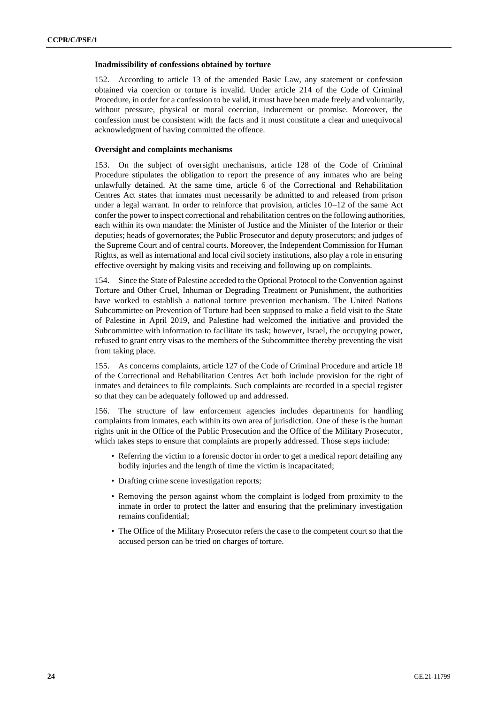#### **Inadmissibility of confessions obtained by torture**

152. According to article 13 of the amended Basic Law, any statement or confession obtained via coercion or torture is invalid. Under article 214 of the Code of Criminal Procedure, in order for a confession to be valid, it must have been made freely and voluntarily, without pressure, physical or moral coercion, inducement or promise. Moreover, the confession must be consistent with the facts and it must constitute a clear and unequivocal acknowledgment of having committed the offence.

### **Oversight and complaints mechanisms**

153. On the subject of oversight mechanisms, article 128 of the Code of Criminal Procedure stipulates the obligation to report the presence of any inmates who are being unlawfully detained. At the same time, article 6 of the Correctional and Rehabilitation Centres Act states that inmates must necessarily be admitted to and released from prison under a legal warrant. In order to reinforce that provision, articles 10–12 of the same Act confer the power to inspect correctional and rehabilitation centres on the following authorities, each within its own mandate: the Minister of Justice and the Minister of the Interior or their deputies; heads of governorates; the Public Prosecutor and deputy prosecutors; and judges of the Supreme Court and of central courts. Moreover, the Independent Commission for Human Rights, as well as international and local civil society institutions, also play a role in ensuring effective oversight by making visits and receiving and following up on complaints.

154. Since the State of Palestine acceded to the Optional Protocol to the Convention against Torture and Other Cruel, Inhuman or Degrading Treatment or Punishment, the authorities have worked to establish a national torture prevention mechanism. The United Nations Subcommittee on Prevention of Torture had been supposed to make a field visit to the State of Palestine in April 2019, and Palestine had welcomed the initiative and provided the Subcommittee with information to facilitate its task; however, Israel, the occupying power, refused to grant entry visas to the members of the Subcommittee thereby preventing the visit from taking place.

155. As concerns complaints, article 127 of the Code of Criminal Procedure and article 18 of the Correctional and Rehabilitation Centres Act both include provision for the right of inmates and detainees to file complaints. Such complaints are recorded in a special register so that they can be adequately followed up and addressed.

156. The structure of law enforcement agencies includes departments for handling complaints from inmates, each within its own area of jurisdiction. One of these is the human rights unit in the Office of the Public Prosecution and the Office of the Military Prosecutor, which takes steps to ensure that complaints are properly addressed. Those steps include:

- Referring the victim to a forensic doctor in order to get a medical report detailing any bodily injuries and the length of time the victim is incapacitated;
- Drafting crime scene investigation reports;
- Removing the person against whom the complaint is lodged from proximity to the inmate in order to protect the latter and ensuring that the preliminary investigation remains confidential;
- The Office of the Military Prosecutor refers the case to the competent court so that the accused person can be tried on charges of torture.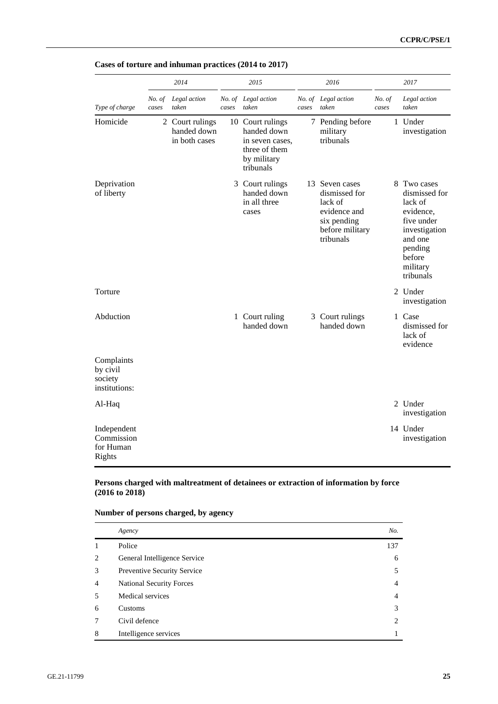|                                                    |                 | 2014                                            |       | 2015                                                                                            |       | 2016                                                                                                      |                 | 2017                                                                                                                                         |
|----------------------------------------------------|-----------------|-------------------------------------------------|-------|-------------------------------------------------------------------------------------------------|-------|-----------------------------------------------------------------------------------------------------------|-----------------|----------------------------------------------------------------------------------------------------------------------------------------------|
| Type of charge                                     | No. of<br>cases | Legal action<br>taken                           | cases | No. of Legal action<br>taken                                                                    | cases | No. of Legal action<br>taken                                                                              | No. of<br>cases | Legal action<br>taken                                                                                                                        |
| Homicide                                           |                 | 2 Court rulings<br>handed down<br>in both cases |       | 10 Court rulings<br>handed down<br>in seven cases.<br>three of them<br>by military<br>tribunals |       | 7 Pending before<br>military<br>tribunals                                                                 |                 | 1 Under<br>investigation                                                                                                                     |
| Deprivation<br>of liberty                          |                 |                                                 |       | 3 Court rulings<br>handed down<br>in all three<br>cases                                         |       | 13 Seven cases<br>dismissed for<br>lack of<br>evidence and<br>six pending<br>before military<br>tribunals |                 | 8 Two cases<br>dismissed for<br>lack of<br>evidence,<br>five under<br>investigation<br>and one<br>pending<br>before<br>military<br>tribunals |
| Torture                                            |                 |                                                 |       |                                                                                                 |       |                                                                                                           |                 | 2 Under<br>investigation                                                                                                                     |
| Abduction                                          |                 |                                                 |       | 1 Court ruling<br>handed down                                                                   |       | 3 Court rulings<br>handed down                                                                            |                 | 1 Case<br>dismissed for<br>lack of<br>evidence                                                                                               |
| Complaints<br>by civil<br>society<br>institutions: |                 |                                                 |       |                                                                                                 |       |                                                                                                           |                 |                                                                                                                                              |
| Al-Haq                                             |                 |                                                 |       |                                                                                                 |       |                                                                                                           |                 | 2 Under<br>investigation                                                                                                                     |
| Independent<br>Commission<br>for Human<br>Rights   |                 |                                                 |       |                                                                                                 |       |                                                                                                           |                 | 14 Under<br>investigation                                                                                                                    |

# **Cases of torture and inhuman practices (2014 to 2017)**

# **Persons charged with maltreatment of detainees or extraction of information by force (2016 to 2018)**

|   | Agency                          | No. |
|---|---------------------------------|-----|
|   | Police                          | 137 |
| 2 | General Intelligence Service    | 6   |
| 3 | Preventive Security Service     | 5   |
| 4 | <b>National Security Forces</b> | 4   |
| 5 | Medical services                | 4   |
| 6 | <b>Customs</b>                  | 3   |
|   | Civil defence                   | 2   |
| 8 | Intelligence services           |     |

# **Number of persons charged, by agency**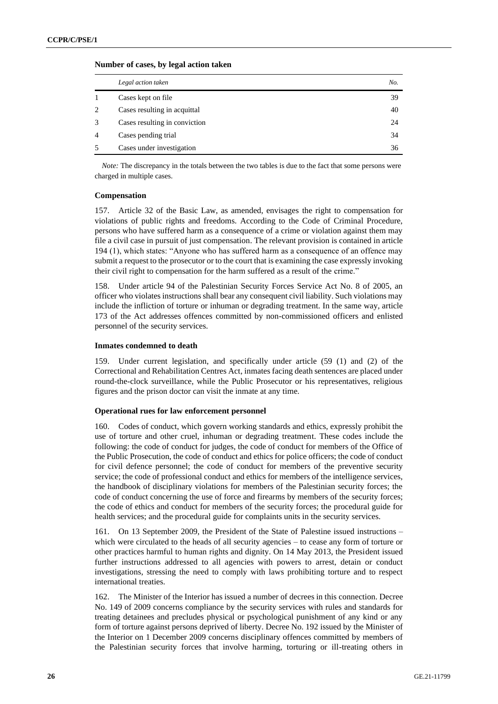| Legal action taken            | No. |
|-------------------------------|-----|
| Cases kept on file            | 39  |
| Cases resulting in acquittal  | 40  |
| Cases resulting in conviction | 24  |
| Cases pending trial           | 34  |
| Cases under investigation     | 36  |

### **Number of cases, by legal action taken**

*Note:* The discrepancy in the totals between the two tables is due to the fact that some persons were charged in multiple cases.

### **Compensation**

157. Article 32 of the Basic Law, as amended, envisages the right to compensation for violations of public rights and freedoms. According to the Code of Criminal Procedure, persons who have suffered harm as a consequence of a crime or violation against them may file a civil case in pursuit of just compensation. The relevant provision is contained in article 194 (1), which states: "Anyone who has suffered harm as a consequence of an offence may submit a request to the prosecutor or to the court that is examining the case expressly invoking their civil right to compensation for the harm suffered as a result of the crime."

158. Under article 94 of the Palestinian Security Forces Service Act No. 8 of 2005, an officer who violates instructions shall bear any consequent civil liability. Such violations may include the infliction of torture or inhuman or degrading treatment. In the same way, article 173 of the Act addresses offences committed by non-commissioned officers and enlisted personnel of the security services.

### **Inmates condemned to death**

159. Under current legislation, and specifically under article (59 (1) and (2) of the Correctional and Rehabilitation Centres Act, inmates facing death sentences are placed under round-the-clock surveillance, while the Public Prosecutor or his representatives, religious figures and the prison doctor can visit the inmate at any time.

#### **Operational rues for law enforcement personnel**

160. Codes of conduct, which govern working standards and ethics, expressly prohibit the use of torture and other cruel, inhuman or degrading treatment. These codes include the following: the code of conduct for judges, the code of conduct for members of the Office of the Public Prosecution, the code of conduct and ethics for police officers; the code of conduct for civil defence personnel; the code of conduct for members of the preventive security service; the code of professional conduct and ethics for members of the intelligence services, the handbook of disciplinary violations for members of the Palestinian security forces; the code of conduct concerning the use of force and firearms by members of the security forces; the code of ethics and conduct for members of the security forces; the procedural guide for health services; and the procedural guide for complaints units in the security services.

161. On 13 September 2009, the President of the State of Palestine issued instructions – which were circulated to the heads of all security agencies – to cease any form of torture or other practices harmful to human rights and dignity. On 14 May 2013, the President issued further instructions addressed to all agencies with powers to arrest, detain or conduct investigations, stressing the need to comply with laws prohibiting torture and to respect international treaties.

162. The Minister of the Interior has issued a number of decrees in this connection. Decree No. 149 of 2009 concerns compliance by the security services with rules and standards for treating detainees and precludes physical or psychological punishment of any kind or any form of torture against persons deprived of liberty. Decree No. 192 issued by the Minister of the Interior on 1 December 2009 concerns disciplinary offences committed by members of the Palestinian security forces that involve harming, torturing or ill-treating others in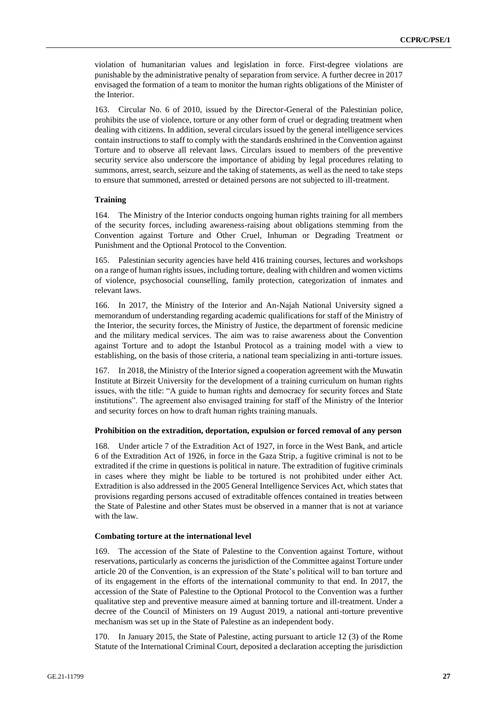violation of humanitarian values and legislation in force. First-degree violations are punishable by the administrative penalty of separation from service. A further decree in 2017 envisaged the formation of a team to monitor the human rights obligations of the Minister of the Interior.

163. Circular No. 6 of 2010, issued by the Director-General of the Palestinian police, prohibits the use of violence, torture or any other form of cruel or degrading treatment when dealing with citizens. In addition, several circulars issued by the general intelligence services contain instructions to staff to comply with the standards enshrined in the Convention against Torture and to observe all relevant laws. Circulars issued to members of the preventive security service also underscore the importance of abiding by legal procedures relating to summons, arrest, search, seizure and the taking of statements, as well as the need to take steps to ensure that summoned, arrested or detained persons are not subjected to ill-treatment.

### **Training**

164. The Ministry of the Interior conducts ongoing human rights training for all members of the security forces, including awareness-raising about obligations stemming from the Convention against Torture and Other Cruel, Inhuman or Degrading Treatment or Punishment and the Optional Protocol to the Convention.

165. Palestinian security agencies have held 416 training courses, lectures and workshops on a range of human rights issues, including torture, dealing with children and women victims of violence, psychosocial counselling, family protection, categorization of inmates and relevant laws.

166. In 2017, the Ministry of the Interior and An-Najah National University signed a memorandum of understanding regarding academic qualifications for staff of the Ministry of the Interior, the security forces, the Ministry of Justice, the department of forensic medicine and the military medical services. The aim was to raise awareness about the Convention against Torture and to adopt the Istanbul Protocol as a training model with a view to establishing, on the basis of those criteria, a national team specializing in anti-torture issues.

167. In 2018, the Ministry of the Interior signed a cooperation agreement with the Muwatin Institute at Birzeit University for the development of a training curriculum on human rights issues, with the title: "A guide to human rights and democracy for security forces and State institutions". The agreement also envisaged training for staff of the Ministry of the Interior and security forces on how to draft human rights training manuals.

#### **Prohibition on the extradition, deportation, expulsion or forced removal of any person**

168. Under article 7 of the Extradition Act of 1927, in force in the West Bank, and article 6 of the Extradition Act of 1926, in force in the Gaza Strip, a fugitive criminal is not to be extradited if the crime in questions is political in nature. The extradition of fugitive criminals in cases where they might be liable to be tortured is not prohibited under either Act. Extradition is also addressed in the 2005 General Intelligence Services Act, which states that provisions regarding persons accused of extraditable offences contained in treaties between the State of Palestine and other States must be observed in a manner that is not at variance with the law.

#### **Combating torture at the international level**

169. The accession of the State of Palestine to the Convention against Torture, without reservations, particularly as concerns the jurisdiction of the Committee against Torture under article 20 of the Convention, is an expression of the State's political will to ban torture and of its engagement in the efforts of the international community to that end. In 2017, the accession of the State of Palestine to the Optional Protocol to the Convention was a further qualitative step and preventive measure aimed at banning torture and ill-treatment. Under a decree of the Council of Ministers on 19 August 2019, a national anti-torture preventive mechanism was set up in the State of Palestine as an independent body.

170. In January 2015, the State of Palestine, acting pursuant to article 12 (3) of the Rome Statute of the International Criminal Court, deposited a declaration accepting the jurisdiction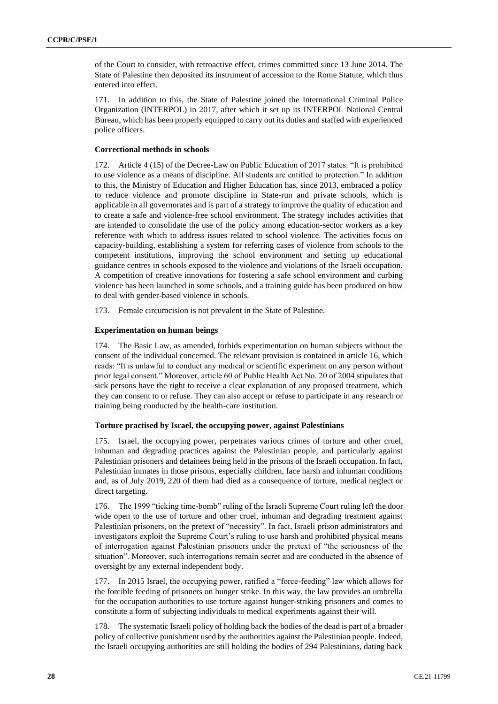of the Court to consider, with retroactive effect, crimes committed since 13 June 2014. The State of Palestine then deposited its instrument of accession to the Rome Statute, which thus entered into effect.

171. In addition to this, the State of Palestine joined the International Criminal Police Organization (INTERPOL) in 2017, after which it set up its INTERPOL National Central Bureau, which has been properly equipped to carry out its duties and staffed with experienced police officers.

### **Correctional methods in schools**

172. Article 4 (15) of the Decree-Law on Public Education of 2017 states: "It is prohibited to use violence as a means of discipline. All students are entitled to protection." In addition to this, the Ministry of Education and Higher Education has, since 2013, embraced a policy to reduce violence and promote discipline in State-run and private schools, which is applicable in all governorates and is part of a strategy to improve the quality of education and to create a safe and violence-free school environment. The strategy includes activities that are intended to consolidate the use of the policy among education-sector workers as a key reference with which to address issues related to school violence. The activities focus on capacity-building, establishing a system for referring cases of violence from schools to the competent institutions, improving the school environment and setting up educational guidance centres in schools exposed to the violence and violations of the Israeli occupation. A competition of creative innovations for fostering a safe school environment and curbing violence has been launched in some schools, and a training guide has been produced on how to deal with gender-based violence in schools.

173. Female circumcision is not prevalent in the State of Palestine.

### **Experimentation on human beings**

174. The Basic Law, as amended, forbids experimentation on human subjects without the consent of the individual concerned. The relevant provision is contained in article 16, which reads: "It is unlawful to conduct any medical or scientific experiment on any person without prior legal consent." Moreover, article 60 of Public Health Act No. 20 of 2004 stipulates that sick persons have the right to receive a clear explanation of any proposed treatment, which they can consent to or refuse. They can also accept or refuse to participate in any research or training being conducted by the health-care institution.

### **Torture practised by Israel, the occupying power, against Palestinians**

175. Israel, the occupying power, perpetrates various crimes of torture and other cruel, inhuman and degrading practices against the Palestinian people, and particularly against Palestinian prisoners and detainees being held in the prisons of the Israeli occupation. In fact, Palestinian inmates in those prisons, especially children, face harsh and inhuman conditions and, as of July 2019, 220 of them had died as a consequence of torture, medical neglect or direct targeting.

176. The 1999 "ticking time-bomb" ruling of the Israeli Supreme Court ruling left the door wide open to the use of torture and other cruel, inhuman and degrading treatment against Palestinian prisoners, on the pretext of "necessity". In fact, Israeli prison administrators and investigators exploit the Supreme Court's ruling to use harsh and prohibited physical means of interrogation against Palestinian prisoners under the pretext of "the seriousness of the situation". Moreover, such interrogations remain secret and are conducted in the absence of oversight by any external independent body.

177. In 2015 Israel, the occupying power, ratified a "force-feeding" law which allows for the forcible feeding of prisoners on hunger strike. In this way, the law provides an umbrella for the occupation authorities to use torture against hunger-striking prisoners and comes to constitute a form of subjecting individuals to medical experiments against their will.

178. The systematic Israeli policy of holding back the bodies of the dead is part of a broader policy of collective punishment used by the authorities against the Palestinian people. Indeed, the Israeli occupying authorities are still holding the bodies of 294 Palestinians, dating back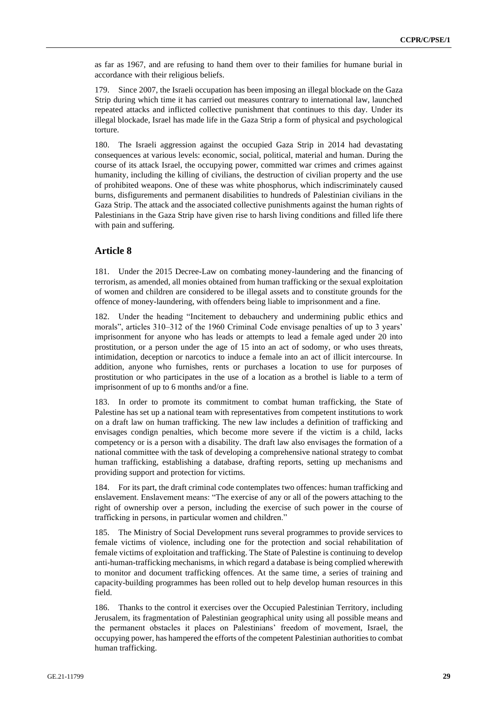as far as 1967, and are refusing to hand them over to their families for humane burial in accordance with their religious beliefs.

179. Since 2007, the Israeli occupation has been imposing an illegal blockade on the Gaza Strip during which time it has carried out measures contrary to international law, launched repeated attacks and inflicted collective punishment that continues to this day. Under its illegal blockade, Israel has made life in the Gaza Strip a form of physical and psychological torture.

180. The Israeli aggression against the occupied Gaza Strip in 2014 had devastating consequences at various levels: economic, social, political, material and human. During the course of its attack Israel, the occupying power, committed war crimes and crimes against humanity, including the killing of civilians, the destruction of civilian property and the use of prohibited weapons. One of these was white phosphorus, which indiscriminately caused burns, disfigurements and permanent disabilities to hundreds of Palestinian civilians in the Gaza Strip. The attack and the associated collective punishments against the human rights of Palestinians in the Gaza Strip have given rise to harsh living conditions and filled life there with pain and suffering.

# **Article 8**

181. Under the 2015 Decree-Law on combating money-laundering and the financing of terrorism, as amended, all monies obtained from human trafficking or the sexual exploitation of women and children are considered to be illegal assets and to constitute grounds for the offence of money-laundering, with offenders being liable to imprisonment and a fine.

182. Under the heading "Incitement to debauchery and undermining public ethics and morals", articles 310–312 of the 1960 Criminal Code envisage penalties of up to 3 years' imprisonment for anyone who has leads or attempts to lead a female aged under 20 into prostitution, or a person under the age of 15 into an act of sodomy, or who uses threats, intimidation, deception or narcotics to induce a female into an act of illicit intercourse. In addition, anyone who furnishes, rents or purchases a location to use for purposes of prostitution or who participates in the use of a location as a brothel is liable to a term of imprisonment of up to 6 months and/or a fine.

183. In order to promote its commitment to combat human trafficking, the State of Palestine has set up a national team with representatives from competent institutions to work on a draft law on human trafficking. The new law includes a definition of trafficking and envisages condign penalties, which become more severe if the victim is a child, lacks competency or is a person with a disability. The draft law also envisages the formation of a national committee with the task of developing a comprehensive national strategy to combat human trafficking, establishing a database, drafting reports, setting up mechanisms and providing support and protection for victims.

184. For its part, the draft criminal code contemplates two offences: human trafficking and enslavement. Enslavement means: "The exercise of any or all of the powers attaching to the right of ownership over a person, including the exercise of such power in the course of trafficking in persons, in particular women and children."

185. The Ministry of Social Development runs several programmes to provide services to female victims of violence, including one for the protection and social rehabilitation of female victims of exploitation and trafficking. The State of Palestine is continuing to develop anti-human-trafficking mechanisms, in which regard a database is being complied wherewith to monitor and document trafficking offences. At the same time, a series of training and capacity-building programmes has been rolled out to help develop human resources in this field.

186. Thanks to the control it exercises over the Occupied Palestinian Territory, including Jerusalem, its fragmentation of Palestinian geographical unity using all possible means and the permanent obstacles it places on Palestinians' freedom of movement, Israel, the occupying power, has hampered the efforts of the competent Palestinian authorities to combat human trafficking.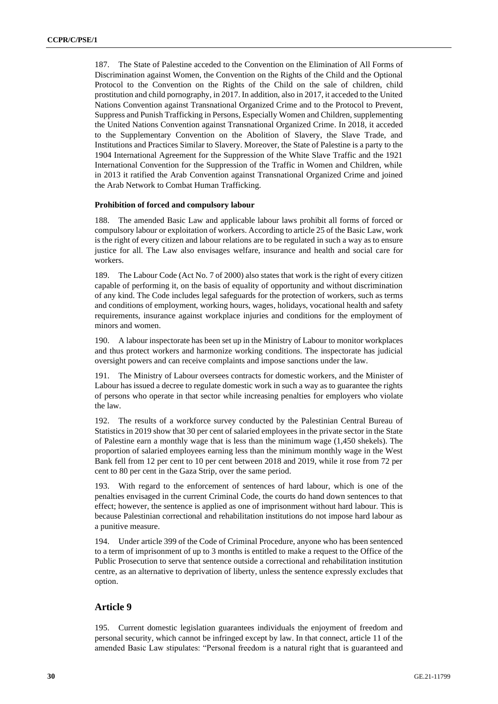187. The State of Palestine acceded to the Convention on the Elimination of All Forms of Discrimination against Women, the Convention on the Rights of the Child and the Optional Protocol to the Convention on the Rights of the Child on the sale of children, child prostitution and child pornography, in 2017. In addition, also in 2017, it acceded to the United Nations Convention against Transnational Organized Crime and to the Protocol to Prevent, Suppress and Punish Trafficking in Persons, Especially Women and Children, supplementing the United Nations Convention against Transnational Organized Crime. In 2018, it acceded to the Supplementary Convention on the Abolition of Slavery, the Slave Trade, and Institutions and Practices Similar to Slavery. Moreover, the State of Palestine is a party to the 1904 International Agreement for the Suppression of the White Slave Traffic and the 1921 International Convention for the Suppression of the Traffic in Women and Children, while in 2013 it ratified the Arab Convention against Transnational Organized Crime and joined the Arab Network to Combat Human Trafficking.

### **Prohibition of forced and compulsory labour**

188. The amended Basic Law and applicable labour laws prohibit all forms of forced or compulsory labour or exploitation of workers. According to article 25 of the Basic Law, work is the right of every citizen and labour relations are to be regulated in such a way as to ensure justice for all. The Law also envisages welfare, insurance and health and social care for workers.

189. The Labour Code (Act No. 7 of 2000) also states that work is the right of every citizen capable of performing it, on the basis of equality of opportunity and without discrimination of any kind. The Code includes legal safeguards for the protection of workers, such as terms and conditions of employment, working hours, wages, holidays, vocational health and safety requirements, insurance against workplace injuries and conditions for the employment of minors and women.

190. A labour inspectorate has been set up in the Ministry of Labour to monitor workplaces and thus protect workers and harmonize working conditions. The inspectorate has judicial oversight powers and can receive complaints and impose sanctions under the law.

191. The Ministry of Labour oversees contracts for domestic workers, and the Minister of Labour has issued a decree to regulate domestic work in such a way as to guarantee the rights of persons who operate in that sector while increasing penalties for employers who violate the law.

192. The results of a workforce survey conducted by the Palestinian Central Bureau of Statistics in 2019 show that 30 per cent of salaried employees in the private sector in the State of Palestine earn a monthly wage that is less than the minimum wage (1,450 shekels). The proportion of salaried employees earning less than the minimum monthly wage in the West Bank fell from 12 per cent to 10 per cent between 2018 and 2019, while it rose from 72 per cent to 80 per cent in the Gaza Strip, over the same period.

193. With regard to the enforcement of sentences of hard labour, which is one of the penalties envisaged in the current Criminal Code, the courts do hand down sentences to that effect; however, the sentence is applied as one of imprisonment without hard labour. This is because Palestinian correctional and rehabilitation institutions do not impose hard labour as a punitive measure.

194. Under article 399 of the Code of Criminal Procedure, anyone who has been sentenced to a term of imprisonment of up to 3 months is entitled to make a request to the Office of the Public Prosecution to serve that sentence outside a correctional and rehabilitation institution centre, as an alternative to deprivation of liberty, unless the sentence expressly excludes that option.

# **Article 9**

195. Current domestic legislation guarantees individuals the enjoyment of freedom and personal security, which cannot be infringed except by law. In that connect, article 11 of the amended Basic Law stipulates: "Personal freedom is a natural right that is guaranteed and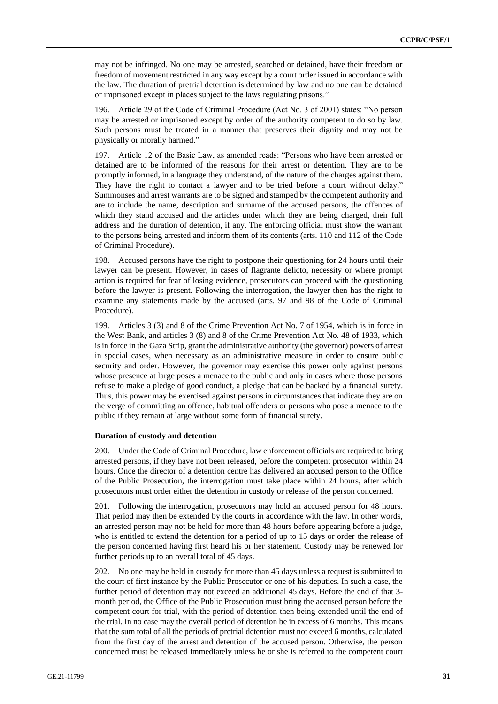may not be infringed. No one may be arrested, searched or detained, have their freedom or freedom of movement restricted in any way except by a court order issued in accordance with the law. The duration of pretrial detention is determined by law and no one can be detained or imprisoned except in places subject to the laws regulating prisons."

196. Article 29 of the Code of Criminal Procedure (Act No. 3 of 2001) states: "No person may be arrested or imprisoned except by order of the authority competent to do so by law. Such persons must be treated in a manner that preserves their dignity and may not be physically or morally harmed."

197. Article 12 of the Basic Law, as amended reads: "Persons who have been arrested or detained are to be informed of the reasons for their arrest or detention. They are to be promptly informed, in a language they understand, of the nature of the charges against them. They have the right to contact a lawyer and to be tried before a court without delay." Summonses and arrest warrants are to be signed and stamped by the competent authority and are to include the name, description and surname of the accused persons, the offences of which they stand accused and the articles under which they are being charged, their full address and the duration of detention, if any. The enforcing official must show the warrant to the persons being arrested and inform them of its contents (arts. 110 and 112 of the Code of Criminal Procedure).

198. Accused persons have the right to postpone their questioning for 24 hours until their lawyer can be present. However, in cases of flagrante delicto, necessity or where prompt action is required for fear of losing evidence, prosecutors can proceed with the questioning before the lawyer is present. Following the interrogation, the lawyer then has the right to examine any statements made by the accused (arts. 97 and 98 of the Code of Criminal Procedure).

199. Articles 3 (3) and 8 of the Crime Prevention Act No. 7 of 1954, which is in force in the West Bank, and articles 3 (8) and 8 of the Crime Prevention Act No. 48 of 1933, which is in force in the Gaza Strip, grant the administrative authority (the governor) powers of arrest in special cases, when necessary as an administrative measure in order to ensure public security and order. However, the governor may exercise this power only against persons whose presence at large poses a menace to the public and only in cases where those persons refuse to make a pledge of good conduct, a pledge that can be backed by a financial surety. Thus, this power may be exercised against persons in circumstances that indicate they are on the verge of committing an offence, habitual offenders or persons who pose a menace to the public if they remain at large without some form of financial surety.

### **Duration of custody and detention**

200. Under the Code of Criminal Procedure, law enforcement officials are required to bring arrested persons, if they have not been released, before the competent prosecutor within 24 hours. Once the director of a detention centre has delivered an accused person to the Office of the Public Prosecution, the interrogation must take place within 24 hours, after which prosecutors must order either the detention in custody or release of the person concerned.

201. Following the interrogation, prosecutors may hold an accused person for 48 hours. That period may then be extended by the courts in accordance with the law. In other words, an arrested person may not be held for more than 48 hours before appearing before a judge, who is entitled to extend the detention for a period of up to 15 days or order the release of the person concerned having first heard his or her statement. Custody may be renewed for further periods up to an overall total of 45 days.

202. No one may be held in custody for more than 45 days unless a request is submitted to the court of first instance by the Public Prosecutor or one of his deputies. In such a case, the further period of detention may not exceed an additional 45 days. Before the end of that 3 month period, the Office of the Public Prosecution must bring the accused person before the competent court for trial, with the period of detention then being extended until the end of the trial. In no case may the overall period of detention be in excess of 6 months. This means that the sum total of all the periods of pretrial detention must not exceed 6 months, calculated from the first day of the arrest and detention of the accused person. Otherwise, the person concerned must be released immediately unless he or she is referred to the competent court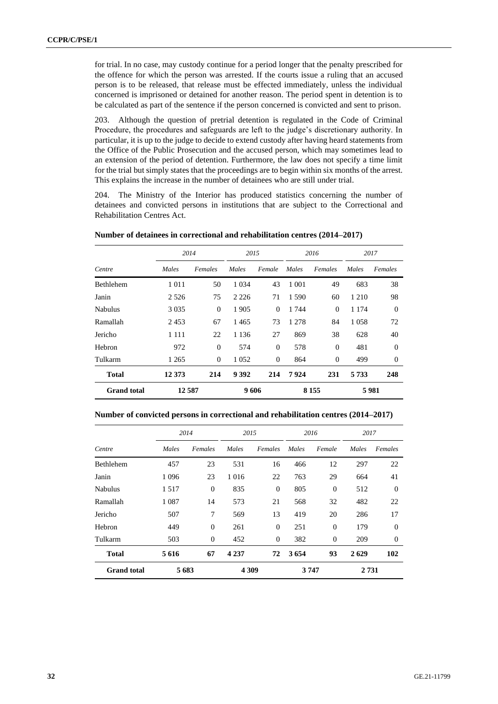for trial. In no case, may custody continue for a period longer that the penalty prescribed for the offence for which the person was arrested. If the courts issue a ruling that an accused person is to be released, that release must be effected immediately, unless the individual concerned is imprisoned or detained for another reason. The period spent in detention is to be calculated as part of the sentence if the person concerned is convicted and sent to prison.

203. Although the question of pretrial detention is regulated in the Code of Criminal Procedure, the procedures and safeguards are left to the judge's discretionary authority. In particular, it is up to the judge to decide to extend custody after having heard statements from the Office of the Public Prosecution and the accused person, which may sometimes lead to an extension of the period of detention. Furthermore, the law does not specify a time limit for the trial but simply states that the proceedings are to begin within six months of the arrest. This explains the increase in the number of detainees who are still under trial.

204. The Ministry of the Interior has produced statistics concerning the number of detainees and convicted persons in institutions that are subject to the Correctional and Rehabilitation Centres Act.

**Number of detainees in correctional and rehabilitation centres (2014–2017)**

|                    | 2014    |          | 2015    |          |         | 2016           |         | 2017     |
|--------------------|---------|----------|---------|----------|---------|----------------|---------|----------|
| Centre             | Males   | Females  | Males   | Female   | Males   | Females        | Males   | Females  |
| <b>Bethlehem</b>   | 1 0 1 1 | 50       | 1 0 3 4 | 43       | 1 0 0 1 | 49             | 683     | 38       |
| Janin              | 2 5 2 6 | 75       | 2 2 2 6 | 71       | 1.590   | 60             | 1 2 1 0 | 98       |
| <b>Nabulus</b>     | 3 0 3 5 | $\theta$ | 1905    | $\Omega$ | 1 744   | $\Omega$       | 1 1 7 4 | $\Omega$ |
| Ramallah           | 2453    | 67       | 1465    | 73       | 1 2 7 8 | 84             | 1058    | 72       |
| Jericho            | 1 1 1 1 | 22       | 1 1 3 6 | 27       | 869     | 38             | 628     | 40       |
| Hebron             | 972     | $\theta$ | 574     | $\theta$ | 578     | $\Omega$       | 481     | $\Omega$ |
| Tulkarm            | 1 2 6 5 | $\theta$ | 1 0 5 2 | $\theta$ | 864     | $\overline{0}$ | 499     | $\Omega$ |
| <b>Total</b>       | 12 373  | 214      | 9 3 9 2 | 214      | 7924    | 231            | 5 7 3 3 | 248      |
| <b>Grand</b> total | 12587   |          | 9606    |          |         | 8 1 5 5        |         | 5981     |

### **Number of convicted persons in correctional and rehabilitation centres (2014–2017)**

|                    |         | 2014           | 2015    |          | 2016  |              | 2017    |          |
|--------------------|---------|----------------|---------|----------|-------|--------------|---------|----------|
| Centre             | Males   | Females        | Males   | Females  | Males | Female       | Males   | Females  |
| <b>Bethlehem</b>   | 457     | 23             | 531     | 16       | 466   | 12           | 297     | 22       |
| Janin              | 1 0 9 6 | 23             | 1 0 1 6 | 22       | 763   | 29           | 664     | 41       |
| Nabulus            | 1517    | $\overline{0}$ | 835     | $\theta$ | 805   | $\mathbf{0}$ | 512     | $\Omega$ |
| Ramallah           | 1 0 8 7 | 14             | 573     | 21       | 568   | 32           | 482     | 22       |
| Jericho            | 507     | 7              | 569     | 13       | 419   | 20           | 286     | 17       |
| Hebron             | 449     | $\overline{0}$ | 261     | $\theta$ | 251   | $\mathbf{0}$ | 179     | $\Omega$ |
| Tulkarm            | 503     | $\mathbf{0}$   | 452     | $\theta$ | 382   | $\mathbf{0}$ | 209     | $\theta$ |
| <b>Total</b>       | 5 6 1 6 | 67             | 4 2 3 7 | 72       | 3654  | 93           | 2629    | 102      |
| <b>Grand</b> total | 5683    |                | 4 3 0 9 |          | 3747  |              | 2 7 3 1 |          |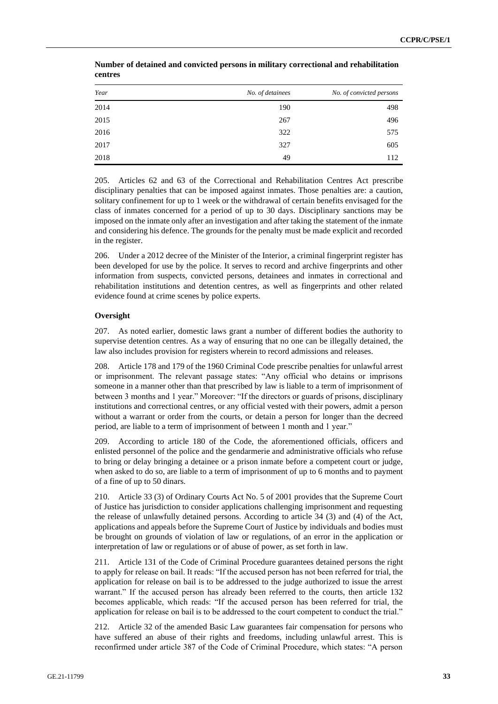| Year | No. of detainees | No. of convicted persons |
|------|------------------|--------------------------|
| 2014 | 190              | 498                      |
| 2015 | 267              | 496                      |
| 2016 | 322              | 575                      |
| 2017 | 327              | 605                      |
| 2018 | 49               | 112                      |

**Number of detained and convicted persons in military correctional and rehabilitation centres**

205. Articles 62 and 63 of the Correctional and Rehabilitation Centres Act prescribe disciplinary penalties that can be imposed against inmates. Those penalties are: a caution, solitary confinement for up to 1 week or the withdrawal of certain benefits envisaged for the class of inmates concerned for a period of up to 30 days. Disciplinary sanctions may be imposed on the inmate only after an investigation and after taking the statement of the inmate and considering his defence. The grounds for the penalty must be made explicit and recorded in the register.

206. Under a 2012 decree of the Minister of the Interior, a criminal fingerprint register has been developed for use by the police. It serves to record and archive fingerprints and other information from suspects, convicted persons, detainees and inmates in correctional and rehabilitation institutions and detention centres, as well as fingerprints and other related evidence found at crime scenes by police experts.

### **Oversight**

207. As noted earlier, domestic laws grant a number of different bodies the authority to supervise detention centres. As a way of ensuring that no one can be illegally detained, the law also includes provision for registers wherein to record admissions and releases.

208. Article 178 and 179 of the 1960 Criminal Code prescribe penalties for unlawful arrest or imprisonment. The relevant passage states: "Any official who detains or imprisons someone in a manner other than that prescribed by law is liable to a term of imprisonment of between 3 months and 1 year." Moreover: "If the directors or guards of prisons, disciplinary institutions and correctional centres, or any official vested with their powers, admit a person without a warrant or order from the courts, or detain a person for longer than the decreed period, are liable to a term of imprisonment of between 1 month and 1 year."

209. According to article 180 of the Code, the aforementioned officials, officers and enlisted personnel of the police and the gendarmerie and administrative officials who refuse to bring or delay bringing a detainee or a prison inmate before a competent court or judge, when asked to do so, are liable to a term of imprisonment of up to 6 months and to payment of a fine of up to 50 dinars.

210. Article 33 (3) of Ordinary Courts Act No. 5 of 2001 provides that the Supreme Court of Justice has jurisdiction to consider applications challenging imprisonment and requesting the release of unlawfully detained persons. According to article 34 (3) and (4) of the Act, applications and appeals before the Supreme Court of Justice by individuals and bodies must be brought on grounds of violation of law or regulations, of an error in the application or interpretation of law or regulations or of abuse of power, as set forth in law.

211. Article 131 of the Code of Criminal Procedure guarantees detained persons the right to apply for release on bail. It reads: "If the accused person has not been referred for trial, the application for release on bail is to be addressed to the judge authorized to issue the arrest warrant." If the accused person has already been referred to the courts, then article 132 becomes applicable, which reads: "If the accused person has been referred for trial, the application for release on bail is to be addressed to the court competent to conduct the trial."

212. Article 32 of the amended Basic Law guarantees fair compensation for persons who have suffered an abuse of their rights and freedoms, including unlawful arrest. This is reconfirmed under article 387 of the Code of Criminal Procedure, which states: "A person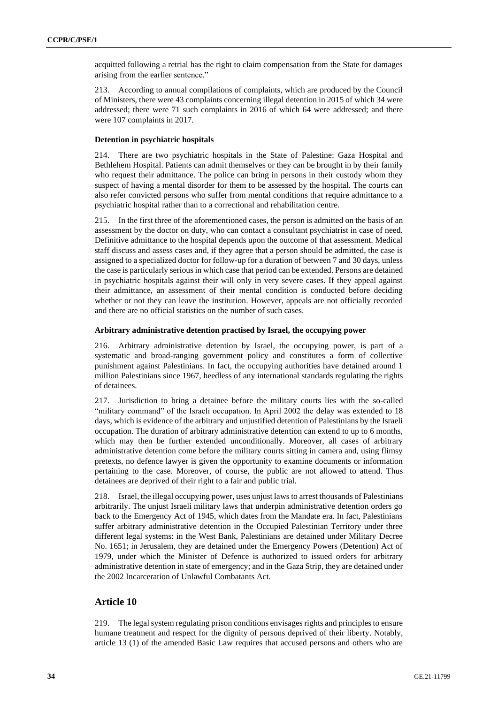acquitted following a retrial has the right to claim compensation from the State for damages arising from the earlier sentence."

213. According to annual compilations of complaints, which are produced by the Council of Ministers, there were 43 complaints concerning illegal detention in 2015 of which 34 were addressed; there were 71 such complaints in 2016 of which 64 were addressed; and there were 107 complaints in 2017.

### **Detention in psychiatric hospitals**

214. There are two psychiatric hospitals in the State of Palestine: Gaza Hospital and Bethlehem Hospital. Patients can admit themselves or they can be brought in by their family who request their admittance. The police can bring in persons in their custody whom they suspect of having a mental disorder for them to be assessed by the hospital. The courts can also refer convicted persons who suffer from mental conditions that require admittance to a psychiatric hospital rather than to a correctional and rehabilitation centre.

215. In the first three of the aforementioned cases, the person is admitted on the basis of an assessment by the doctor on duty, who can contact a consultant psychiatrist in case of need. Definitive admittance to the hospital depends upon the outcome of that assessment. Medical staff discuss and assess cases and, if they agree that a person should be admitted, the case is assigned to a specialized doctor for follow-up for a duration of between 7 and 30 days, unless the case is particularly serious in which case that period can be extended. Persons are detained in psychiatric hospitals against their will only in very severe cases. If they appeal against their admittance, an assessment of their mental condition is conducted before deciding whether or not they can leave the institution. However, appeals are not officially recorded and there are no official statistics on the number of such cases.

#### **Arbitrary administrative detention practised by Israel, the occupying power**

216. Arbitrary administrative detention by Israel, the occupying power, is part of a systematic and broad-ranging government policy and constitutes a form of collective punishment against Palestinians. In fact, the occupying authorities have detained around 1 million Palestinians since 1967, heedless of any international standards regulating the rights of detainees.

217. Jurisdiction to bring a detainee before the military courts lies with the so-called "military command" of the Israeli occupation. In April 2002 the delay was extended to 18 days, which is evidence of the arbitrary and unjustified detention of Palestinians by the Israeli occupation. The duration of arbitrary administrative detention can extend to up to 6 months, which may then be further extended unconditionally. Moreover, all cases of arbitrary administrative detention come before the military courts sitting in camera and, using flimsy pretexts, no defence lawyer is given the opportunity to examine documents or information pertaining to the case. Moreover, of course, the public are not allowed to attend. Thus detainees are deprived of their right to a fair and public trial.

218. Israel, the illegal occupying power, uses unjust laws to arrest thousands of Palestinians arbitrarily. The unjust Israeli military laws that underpin administrative detention orders go back to the Emergency Act of 1945, which dates from the Mandate era. In fact, Palestinians suffer arbitrary administrative detention in the Occupied Palestinian Territory under three different legal systems: in the West Bank, Palestinians are detained under Military Decree No. 1651; in Jerusalem, they are detained under the Emergency Powers (Detention) Act of 1979, under which the Minister of Defence is authorized to issued orders for arbitrary administrative detention in state of emergency; and in the Gaza Strip, they are detained under the 2002 Incarceration of Unlawful Combatants Act.

# **Article 10**

219. The legal system regulating prison conditions envisages rights and principles to ensure humane treatment and respect for the dignity of persons deprived of their liberty. Notably, article 13 (1) of the amended Basic Law requires that accused persons and others who are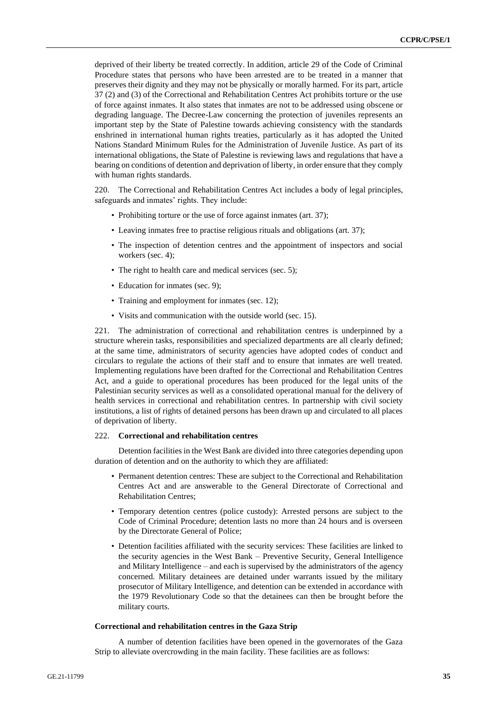deprived of their liberty be treated correctly. In addition, article 29 of the Code of Criminal Procedure states that persons who have been arrested are to be treated in a manner that preserves their dignity and they may not be physically or morally harmed. For its part, article 37 (2) and (3) of the Correctional and Rehabilitation Centres Act prohibits torture or the use of force against inmates. It also states that inmates are not to be addressed using obscene or degrading language. The Decree-Law concerning the protection of juveniles represents an important step by the State of Palestine towards achieving consistency with the standards enshrined in international human rights treaties, particularly as it has adopted the United Nations Standard Minimum Rules for the Administration of Juvenile Justice. As part of its international obligations, the State of Palestine is reviewing laws and regulations that have a bearing on conditions of detention and deprivation of liberty, in order ensure that they comply with human rights standards.

220. The Correctional and Rehabilitation Centres Act includes a body of legal principles, safeguards and inmates' rights. They include:

- Prohibiting torture or the use of force against inmates (art. 37);
- Leaving inmates free to practise religious rituals and obligations (art. 37);
- The inspection of detention centres and the appointment of inspectors and social workers (sec. 4);
- The right to health care and medical services (sec. 5);
- Education for inmates (sec. 9);
- Training and employment for inmates (sec. 12);
- Visits and communication with the outside world (sec. 15).

221. The administration of correctional and rehabilitation centres is underpinned by a structure wherein tasks, responsibilities and specialized departments are all clearly defined; at the same time, administrators of security agencies have adopted codes of conduct and circulars to regulate the actions of their staff and to ensure that inmates are well treated. Implementing regulations have been drafted for the Correctional and Rehabilitation Centres Act, and a guide to operational procedures has been produced for the legal units of the Palestinian security services as well as a consolidated operational manual for the delivery of health services in correctional and rehabilitation centres. In partnership with civil society institutions, a list of rights of detained persons has been drawn up and circulated to all places of deprivation of liberty.

### 222. **Correctional and rehabilitation centres**

Detention facilities in the West Bank are divided into three categories depending upon duration of detention and on the authority to which they are affiliated:

- Permanent detention centres: These are subject to the Correctional and Rehabilitation Centres Act and are answerable to the General Directorate of Correctional and Rehabilitation Centres;
- Temporary detention centres (police custody): Arrested persons are subject to the Code of Criminal Procedure; detention lasts no more than 24 hours and is overseen by the Directorate General of Police;
- Detention facilities affiliated with the security services: These facilities are linked to the security agencies in the West Bank – Preventive Security, General Intelligence and Military Intelligence – and each is supervised by the administrators of the agency concerned. Military detainees are detained under warrants issued by the military prosecutor of Military Intelligence, and detention can be extended in accordance with the 1979 Revolutionary Code so that the detainees can then be brought before the military courts.

### **Correctional and rehabilitation centres in the Gaza Strip**

A number of detention facilities have been opened in the governorates of the Gaza Strip to alleviate overcrowding in the main facility. These facilities are as follows: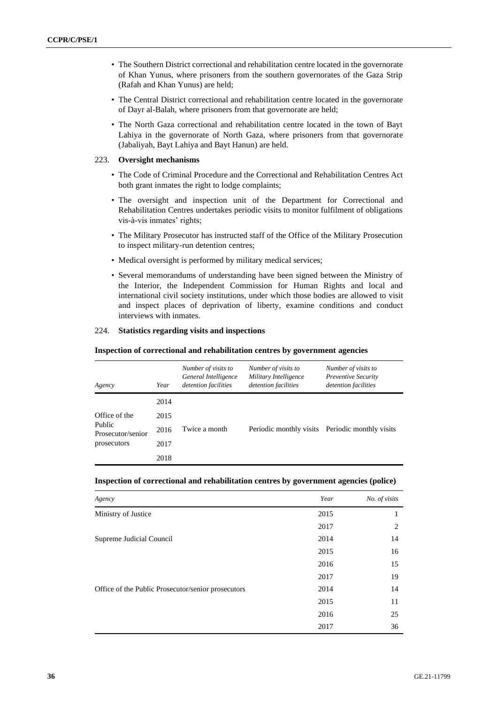- The Southern District correctional and rehabilitation centre located in the governorate of Khan Yunus, where prisoners from the southern governorates of the Gaza Strip (Rafah and Khan Yunus) are held;
- The Central District correctional and rehabilitation centre located in the governorate of Dayr al-Balah, where prisoners from that governorate are held;
- The North Gaza correctional and rehabilitation centre located in the town of Bayt Lahiya in the governorate of North Gaza, where prisoners from that governorate (Jabaliyah, Bayt Lahiya and Bayt Hanun) are held.

### 223. **Oversight mechanisms**

- The Code of Criminal Procedure and the Correctional and Rehabilitation Centres Act both grant inmates the right to lodge complaints;
- The oversight and inspection unit of the Department for Correctional and Rehabilitation Centres undertakes periodic visits to monitor fulfilment of obligations vis-à-vis inmates' rights;
- The Military Prosecutor has instructed staff of the Office of the Military Prosecution to inspect military-run detention centres;
- Medical oversight is performed by military medical services;
- Several memorandums of understanding have been signed between the Ministry of the Interior, the Independent Commission for Human Rights and local and international civil society institutions, under which those bodies are allowed to visit and inspect places of deprivation of liberty, examine conditions and conduct interviews with inmates.

### 224. **Statistics regarding visits and inspections**

### **Inspection of correctional and rehabilitation centres by government agencies**

| Agency                                                      | Year | Number of visits to<br>General Intelligence<br>detention facilities | Number of visits to<br>Military Intelligence<br>detention facilities | Number of visits to<br><b>Preventive Security</b><br>detention facilities |
|-------------------------------------------------------------|------|---------------------------------------------------------------------|----------------------------------------------------------------------|---------------------------------------------------------------------------|
|                                                             | 2014 |                                                                     |                                                                      |                                                                           |
| Office of the<br>Public<br>Prosecutor/senior<br>prosecutors | 2015 | Twice a month                                                       |                                                                      | Periodic monthly visits Periodic monthly visits                           |
|                                                             | 2016 |                                                                     |                                                                      |                                                                           |
|                                                             | 2017 |                                                                     |                                                                      |                                                                           |
|                                                             | 2018 |                                                                     |                                                                      |                                                                           |

| Inspection of correctional and rehabilitation centres by government agencies (police) |  |
|---------------------------------------------------------------------------------------|--|
|---------------------------------------------------------------------------------------|--|

| Agency                                             | Year | No. of visits |
|----------------------------------------------------|------|---------------|
| Ministry of Justice                                | 2015 | 1             |
|                                                    | 2017 | 2             |
| Supreme Judicial Council                           | 2014 | 14            |
|                                                    | 2015 | 16            |
|                                                    | 2016 | 15            |
|                                                    | 2017 | 19            |
| Office of the Public Prosecutor/senior prosecutors | 2014 | 14            |
|                                                    | 2015 | 11            |
|                                                    | 2016 | 25            |
|                                                    | 2017 | 36            |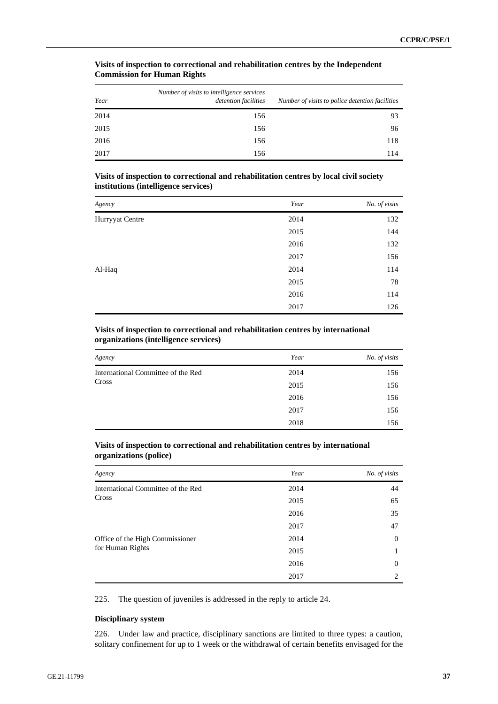| Year | Number of visits to intelligence services<br>detention facilities | Number of visits to police detention facilities |
|------|-------------------------------------------------------------------|-------------------------------------------------|
| 2014 | 156                                                               | 93                                              |
| 2015 | 156                                                               | 96                                              |
| 2016 | 156                                                               | 118                                             |
| 2017 | 156                                                               | 114                                             |

# **Visits of inspection to correctional and rehabilitation centres by the Independent Commission for Human Rights**

# **Visits of inspection to correctional and rehabilitation centres by local civil society institutions (intelligence services)**

| Agency          | Year | No. of visits |
|-----------------|------|---------------|
| Hurryyat Centre | 2014 | 132           |
|                 | 2015 | 144           |
|                 | 2016 | 132           |
|                 | 2017 | 156           |
| Al-Haq          | 2014 | 114           |
|                 | 2015 | 78            |
|                 | 2016 | 114           |
|                 | 2017 | 126           |

# **Visits of inspection to correctional and rehabilitation centres by international organizations (intelligence services)**

| Agency                             | Year | No. of visits |
|------------------------------------|------|---------------|
| International Committee of the Red | 2014 | 156           |
| Cross                              | 2015 | 156           |
|                                    | 2016 | 156           |
|                                    | 2017 | 156           |
|                                    | 2018 | 156           |

# **Visits of inspection to correctional and rehabilitation centres by international organizations (police)**

| Agency                             | Year | No. of visits                 |
|------------------------------------|------|-------------------------------|
| International Committee of the Red | 2014 | 44                            |
| Cross                              | 2015 | 65                            |
|                                    | 2016 | 35                            |
|                                    | 2017 | 47                            |
| Office of the High Commissioner    | 2014 | $\overline{0}$                |
| for Human Rights                   | 2015 |                               |
|                                    | 2016 | $\Omega$                      |
|                                    | 2017 | $\mathfrak{D}_{\mathfrak{p}}$ |

225. The question of juveniles is addressed in the reply to article 24.

### **Disciplinary system**

226. Under law and practice, disciplinary sanctions are limited to three types: a caution, solitary confinement for up to 1 week or the withdrawal of certain benefits envisaged for the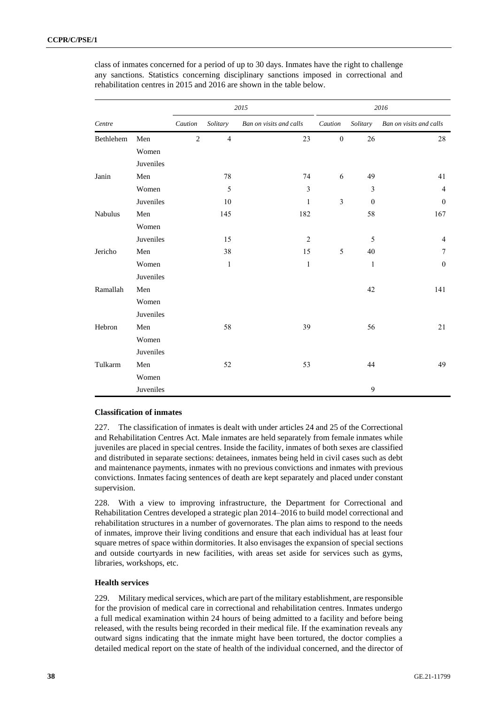|           |           |                |                | 2015                    | 2016             |                |                         |  |
|-----------|-----------|----------------|----------------|-------------------------|------------------|----------------|-------------------------|--|
| Centre    |           | Caution        | Solitary       | Ban on visits and calls | Caution          | Solitary       | Ban on visits and calls |  |
| Bethlehem | Men       | $\overline{c}$ | $\overline{4}$ | 23                      | $\boldsymbol{0}$ | 26             | 28                      |  |
|           | Women     |                |                |                         |                  |                |                         |  |
|           | Juveniles |                |                |                         |                  |                |                         |  |
| Janin     | Men       |                | 78             | 74                      | 6                | 49             | 41                      |  |
|           | Women     |                | $\sqrt{5}$     | $\overline{\mathbf{3}}$ |                  | $\mathfrak{Z}$ | $\overline{4}$          |  |
|           | Juveniles |                | $10\,$         | $\mathbf{1}$            | $\mathfrak{Z}$   | $\mathbf{0}$   | $\mathbf{0}$            |  |
| Nabulus   | Men       |                | 145            | 182                     |                  | 58             | 167                     |  |
|           | Women     |                |                |                         |                  |                |                         |  |
|           | Juveniles |                | 15             | $\overline{2}$          |                  | 5              | $\overline{4}$          |  |
| Jericho   | Men       |                | 38             | 15                      | 5                | 40             | 7                       |  |
|           | Women     |                | $\mathbf{1}$   | $\mathbf{1}$            |                  | $\mathbf{1}$   | $\boldsymbol{0}$        |  |
|           | Juveniles |                |                |                         |                  |                |                         |  |
| Ramallah  | Men       |                |                |                         |                  | 42             | 141                     |  |
|           | Women     |                |                |                         |                  |                |                         |  |
|           | Juveniles |                |                |                         |                  |                |                         |  |
| Hebron    | Men       |                | 58             | 39                      |                  | 56             | 21                      |  |
|           | Women     |                |                |                         |                  |                |                         |  |
|           | Juveniles |                |                |                         |                  |                |                         |  |
| Tulkarm   | Men       |                | 52             | 53                      |                  | 44             | 49                      |  |
|           | Women     |                |                |                         |                  |                |                         |  |
|           | Juveniles |                |                |                         |                  | 9              |                         |  |

class of inmates concerned for a period of up to 30 days. Inmates have the right to challenge any sanctions. Statistics concerning disciplinary sanctions imposed in correctional and rehabilitation centres in 2015 and 2016 are shown in the table below.

### **Classification of inmates**

227. The classification of inmates is dealt with under articles 24 and 25 of the Correctional and Rehabilitation Centres Act. Male inmates are held separately from female inmates while juveniles are placed in special centres. Inside the facility, inmates of both sexes are classified and distributed in separate sections: detainees, inmates being held in civil cases such as debt and maintenance payments, inmates with no previous convictions and inmates with previous convictions. Inmates facing sentences of death are kept separately and placed under constant supervision.

228. With a view to improving infrastructure, the Department for Correctional and Rehabilitation Centres developed a strategic plan 2014–2016 to build model correctional and rehabilitation structures in a number of governorates. The plan aims to respond to the needs of inmates, improve their living conditions and ensure that each individual has at least four square metres of space within dormitories. It also envisages the expansion of special sections and outside courtyards in new facilities, with areas set aside for services such as gyms, libraries, workshops, etc.

# **Health services**

229. Military medical services, which are part of the military establishment, are responsible for the provision of medical care in correctional and rehabilitation centres. Inmates undergo a full medical examination within 24 hours of being admitted to a facility and before being released, with the results being recorded in their medical file. If the examination reveals any outward signs indicating that the inmate might have been tortured, the doctor complies a detailed medical report on the state of health of the individual concerned, and the director of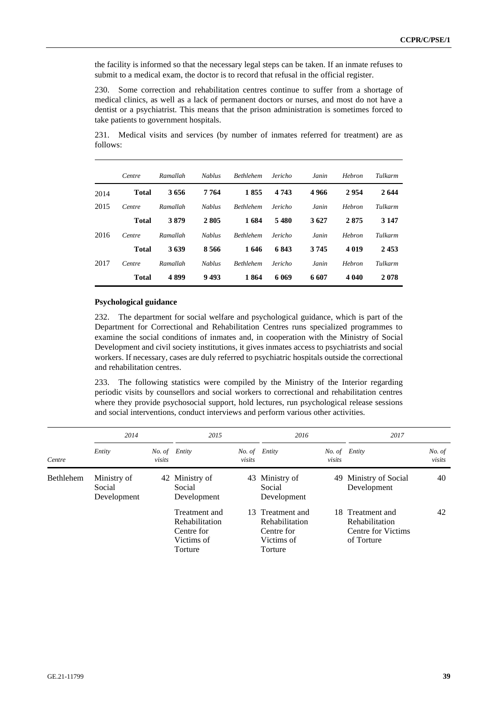the facility is informed so that the necessary legal steps can be taken. If an inmate refuses to submit to a medical exam, the doctor is to record that refusal in the official register.

230. Some correction and rehabilitation centres continue to suffer from a shortage of medical clinics, as well as a lack of permanent doctors or nurses, and most do not have a dentist or a psychiatrist. This means that the prison administration is sometimes forced to take patients to government hospitals.

231. Medical visits and services (by number of inmates referred for treatment) are as follows:

|      | Centre       | Ramallah | <b>Nablus</b> | <b>Bethlehem</b> | Jericho | Janin | <b>Hebron</b> | Tulkarm |
|------|--------------|----------|---------------|------------------|---------|-------|---------------|---------|
| 2014 | <b>Total</b> | 3656     | 7 764         | 1855             | 4 7 4 3 | 4966  | 2954          | 2644    |
| 2015 | Centre       | Ramallah | <b>Nablus</b> | <b>Bethlehem</b> | Jericho | Janin | Hebron        | Tulkarm |
|      | <b>Total</b> | 3879     | 2 805         | 1684             | 5480    | 3627  | 2875          | 3 1 4 7 |
| 2016 | Centre       | Ramallah | <b>Nablus</b> | <b>Bethlehem</b> | Jericho | Janin | Hebron        | Tulkarm |
|      | <b>Total</b> | 3639     | 8566          | 1646             | 6843    | 3745  | 4 0 1 9       | 2453    |
| 2017 | Centre       | Ramallah | <b>Nablus</b> | <b>Bethlehem</b> | Jericho | Janin | Hebron        | Tulkarm |
|      | <b>Total</b> | 4899     | 9493          | 1864             | 6 069   | 6 607 | 4 040         | 2078    |

### **Psychological guidance**

232. The department for social welfare and psychological guidance, which is part of the Department for Correctional and Rehabilitation Centres runs specialized programmes to examine the social conditions of inmates and, in cooperation with the Ministry of Social Development and civil society institutions, it gives inmates access to psychiatrists and social workers. If necessary, cases are duly referred to psychiatric hospitals outside the correctional and rehabilitation centres.

233. The following statistics were compiled by the Ministry of the Interior regarding periodic visits by counsellors and social workers to correctional and rehabilitation centres where they provide psychosocial support, hold lectures, run psychological release sessions and social interventions, conduct interviews and perform various other activities.

|                  | 2014                                 |        | 2015                                                                   |        | 2016                                                                             |                         | 2017                                                                   |                  |
|------------------|--------------------------------------|--------|------------------------------------------------------------------------|--------|----------------------------------------------------------------------------------|-------------------------|------------------------------------------------------------------------|------------------|
| Centre           | Entity                               | visits | No. of Entity                                                          | visits | No. of Entity                                                                    | No. of Entity<br>visits |                                                                        | No. of<br>visits |
| <b>Bethlehem</b> | Ministry of<br>Social<br>Development |        | 42 Ministry of<br>Social<br>Development                                |        | 43 Ministry of<br>Social<br>Development                                          |                         | 49 Ministry of Social<br>Development                                   | 40               |
|                  |                                      |        | Treatment and<br>Rehabilitation<br>Centre for<br>Victims of<br>Torture |        | 13 Treatment and<br><b>Rehabilitation</b><br>Centre for<br>Victims of<br>Torture |                         | 18 Treatment and<br>Rehabilitation<br>Centre for Victims<br>of Torture | 42               |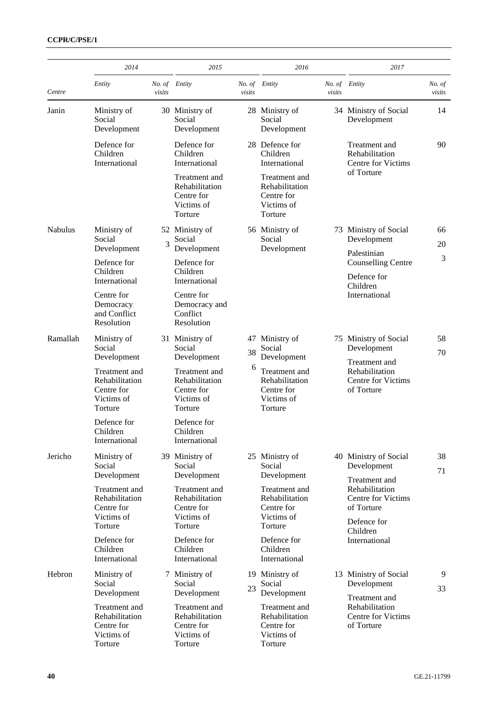|                | 2014                                                                   |                         | 2015                                                                   |          | 2016                                                                   |                                                                     | 2017                                                                                 |                  |
|----------------|------------------------------------------------------------------------|-------------------------|------------------------------------------------------------------------|----------|------------------------------------------------------------------------|---------------------------------------------------------------------|--------------------------------------------------------------------------------------|------------------|
| Centre         | Entity                                                                 | No. of Entity<br>visits |                                                                        | visits   | No. of Entity                                                          | No. of Entity<br>visits                                             |                                                                                      | No. of<br>visits |
| Janin          | Ministry of<br>Social<br>Development                                   |                         | 30 Ministry of<br>Social<br>Development                                |          | 28 Ministry of<br>Social<br>Development                                |                                                                     | 34 Ministry of Social<br>Development                                                 | 14               |
|                | Defence for<br>Children<br>International                               |                         | Defence for<br>Children<br>International                               |          | 28 Defence for<br>Children<br>International                            |                                                                     | Treatment and<br>Rehabilitation<br><b>Centre for Victims</b>                         | 90               |
|                |                                                                        |                         | Treatment and<br>Rehabilitation<br>Centre for<br>Victims of<br>Torture |          | Treatment and<br>Rehabilitation<br>Centre for<br>Victims of<br>Torture |                                                                     | of Torture                                                                           |                  |
| <b>Nabulus</b> | Ministry of<br>Social                                                  | 3                       | 52 Ministry of<br>Social                                               |          | 56 Ministry of<br>Social                                               |                                                                     | 73 Ministry of Social<br>Development                                                 | 66<br>20         |
|                | Development<br>Defence for<br>Children                                 |                         | Development<br>Defence for<br>Children                                 |          | Development                                                            |                                                                     | Palestinian<br><b>Counselling Centre</b>                                             | 3                |
|                | International<br>Centre for                                            |                         | International<br>Centre for                                            |          |                                                                        |                                                                     | Defence for<br>Children<br>International                                             |                  |
|                | Democracy<br>and Conflict<br>Resolution                                |                         | Democracy and<br>Conflict<br>Resolution                                |          |                                                                        |                                                                     |                                                                                      |                  |
| Ramallah       | Ministry of<br>Social<br>Development                                   |                         | 31 Ministry of<br>Social<br>Development                                | 47<br>38 | Ministry of<br>Social<br>Development                                   | 75                                                                  | Ministry of Social<br>Development<br>Treatment and                                   | 58<br>70         |
|                | Treatment and<br>Rehabilitation<br>Centre for<br>Victims of<br>Torture |                         | Treatment and<br>Rehabilitation<br>Centre for<br>Victims of<br>Torture | 6        | Treatment and<br>Rehabilitation<br>Centre for<br>Victims of<br>Torture |                                                                     | Rehabilitation<br><b>Centre for Victims</b><br>of Torture                            |                  |
|                | Defence for<br>Children<br>International                               |                         | Defence for<br>Children<br>International                               |          |                                                                        |                                                                     |                                                                                      |                  |
| Jericho        | Ministry of<br>Social<br>Development                                   |                         | 39 Ministry of<br>Social<br>Development                                |          | 25 Ministry of<br>Social<br>Development                                |                                                                     | 40 Ministry of Social<br>Development<br>Treatment and                                | 38<br>71         |
|                | Treatment and<br>Rehabilitation<br>Centre for<br>Victims of<br>Torture |                         | Treatment and<br>Rehabilitation<br>Centre for<br>Victims of<br>Torture |          | Treatment and<br>Rehabilitation<br>Centre for<br>Victims of<br>Torture |                                                                     | Rehabilitation<br><b>Centre for Victims</b><br>of Torture<br>Defence for<br>Children |                  |
|                | Defence for<br>Children<br>International                               |                         | Defence for<br>Children<br>International                               |          | Defence for<br>Children<br>International                               |                                                                     | International                                                                        |                  |
| Hebron         | Ministry of<br>Social<br>Development                                   |                         | 7 Ministry of<br>Social<br>Development                                 | 23       | 19 Ministry of<br>Social<br>Development                                |                                                                     | 13 Ministry of Social<br>Development                                                 | 9<br>33          |
|                | Treatment and<br>Rehabilitation<br>Centre for<br>Victims of<br>Torture |                         | Treatment and<br>Rehabilitation<br>Centre for<br>Victims of<br>Torture |          | Treatment and<br>Rehabilitation<br>Centre for<br>Victims of<br>Torture | Treatment and<br>Rehabilitation<br>Centre for Victims<br>of Torture |                                                                                      |                  |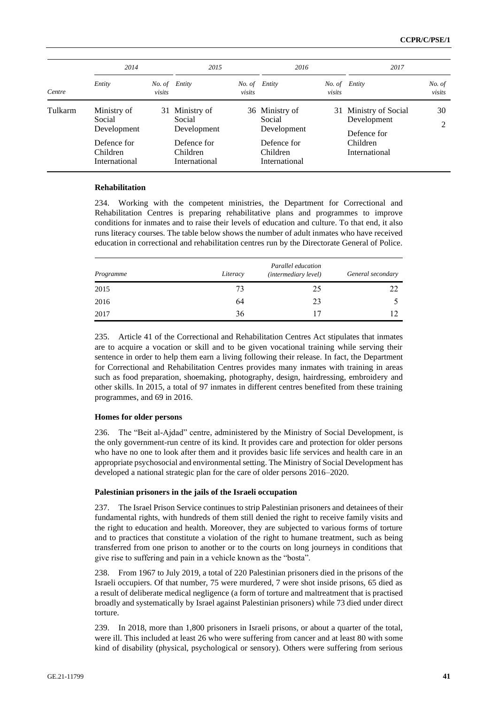| Centre  | 2014                                                                             |        | 2015                                                                                |        |                                                                                     |        | 2017                                                                             |                  |
|---------|----------------------------------------------------------------------------------|--------|-------------------------------------------------------------------------------------|--------|-------------------------------------------------------------------------------------|--------|----------------------------------------------------------------------------------|------------------|
|         | Entity                                                                           | visits | No. of Entity                                                                       | visits | No. of Entity                                                                       | visits | No. of Entity                                                                    | No. of<br>visits |
| Tulkarm | Ministry of<br>Social<br>Development<br>Defence for<br>Children<br>International |        | 31 Ministry of<br>Social<br>Development<br>Defence for<br>Children<br>International |        | 36 Ministry of<br>Social<br>Development<br>Defence for<br>Children<br>International |        | 31 Ministry of Social<br>Development<br>Defence for<br>Children<br>International | 30<br>2          |

### **Rehabilitation**

234. Working with the competent ministries, the Department for Correctional and Rehabilitation Centres is preparing rehabilitative plans and programmes to improve conditions for inmates and to raise their levels of education and culture. To that end, it also runs literacy courses. The table below shows the number of adult inmates who have received education in correctional and rehabilitation centres run by the Directorate General of Police.

| Programme | Literacy | Parallel education<br><i>(intermediary level)</i> | General secondary |
|-----------|----------|---------------------------------------------------|-------------------|
| 2015      | 73       | 25                                                |                   |
| 2016      | 64       | 23                                                |                   |
| 2017      | 36       | 17                                                |                   |

235. Article 41 of the Correctional and Rehabilitation Centres Act stipulates that inmates are to acquire a vocation or skill and to be given vocational training while serving their sentence in order to help them earn a living following their release. In fact, the Department for Correctional and Rehabilitation Centres provides many inmates with training in areas such as food preparation, shoemaking, photography, design, hairdressing, embroidery and other skills. In 2015, a total of 97 inmates in different centres benefited from these training programmes, and 69 in 2016.

### **Homes for older persons**

236. The "Beit al-Ajdad" centre, administered by the Ministry of Social Development, is the only government-run centre of its kind. It provides care and protection for older persons who have no one to look after them and it provides basic life services and health care in an appropriate psychosocial and environmental setting. The Ministry of Social Development has developed a national strategic plan for the care of older persons 2016–2020.

### **Palestinian prisoners in the jails of the Israeli occupation**

237. The Israel Prison Service continues to strip Palestinian prisoners and detainees of their fundamental rights, with hundreds of them still denied the right to receive family visits and the right to education and health. Moreover, they are subjected to various forms of torture and to practices that constitute a violation of the right to humane treatment, such as being transferred from one prison to another or to the courts on long journeys in conditions that give rise to suffering and pain in a vehicle known as the "bosta".

238. From 1967 to July 2019, a total of 220 Palestinian prisoners died in the prisons of the Israeli occupiers. Of that number, 75 were murdered, 7 were shot inside prisons, 65 died as a result of deliberate medical negligence (a form of torture and maltreatment that is practised broadly and systematically by Israel against Palestinian prisoners) while 73 died under direct torture.

239. In 2018, more than 1,800 prisoners in Israeli prisons, or about a quarter of the total, were ill. This included at least 26 who were suffering from cancer and at least 80 with some kind of disability (physical, psychological or sensory). Others were suffering from serious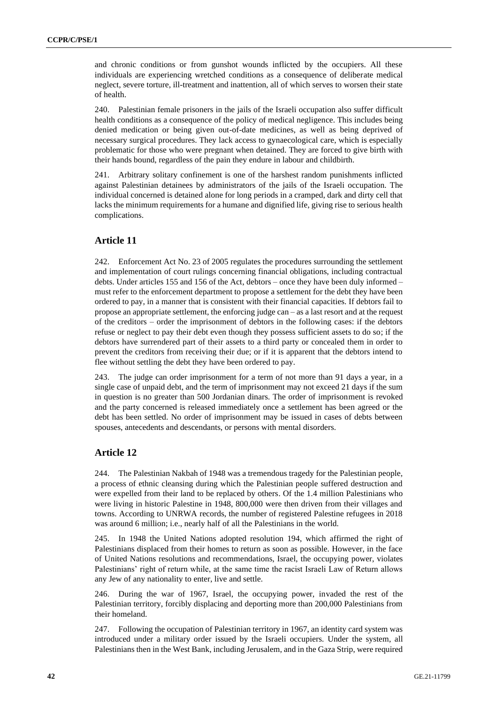and chronic conditions or from gunshot wounds inflicted by the occupiers. All these individuals are experiencing wretched conditions as a consequence of deliberate medical neglect, severe torture, ill-treatment and inattention, all of which serves to worsen their state of health.

240. Palestinian female prisoners in the jails of the Israeli occupation also suffer difficult health conditions as a consequence of the policy of medical negligence. This includes being denied medication or being given out-of-date medicines, as well as being deprived of necessary surgical procedures. They lack access to gynaecological care, which is especially problematic for those who were pregnant when detained. They are forced to give birth with their hands bound, regardless of the pain they endure in labour and childbirth.

241. Arbitrary solitary confinement is one of the harshest random punishments inflicted against Palestinian detainees by administrators of the jails of the Israeli occupation. The individual concerned is detained alone for long periods in a cramped, dark and dirty cell that lacks the minimum requirements for a humane and dignified life, giving rise to serious health complications.

# **Article 11**

242. Enforcement Act No. 23 of 2005 regulates the procedures surrounding the settlement and implementation of court rulings concerning financial obligations, including contractual debts. Under articles 155 and 156 of the Act, debtors – once they have been duly informed – must refer to the enforcement department to propose a settlement for the debt they have been ordered to pay, in a manner that is consistent with their financial capacities. If debtors fail to propose an appropriate settlement, the enforcing judge can – as a last resort and at the request of the creditors – order the imprisonment of debtors in the following cases: if the debtors refuse or neglect to pay their debt even though they possess sufficient assets to do so; if the debtors have surrendered part of their assets to a third party or concealed them in order to prevent the creditors from receiving their due; or if it is apparent that the debtors intend to flee without settling the debt they have been ordered to pay.

243. The judge can order imprisonment for a term of not more than 91 days a year, in a single case of unpaid debt, and the term of imprisonment may not exceed 21 days if the sum in question is no greater than 500 Jordanian dinars. The order of imprisonment is revoked and the party concerned is released immediately once a settlement has been agreed or the debt has been settled. No order of imprisonment may be issued in cases of debts between spouses, antecedents and descendants, or persons with mental disorders.

# **Article 12**

244. The Palestinian Nakbah of 1948 was a tremendous tragedy for the Palestinian people, a process of ethnic cleansing during which the Palestinian people suffered destruction and were expelled from their land to be replaced by others. Of the 1.4 million Palestinians who were living in historic Palestine in 1948, 800,000 were then driven from their villages and towns. According to UNRWA records, the number of registered Palestine refugees in 2018 was around 6 million; i.e., nearly half of all the Palestinians in the world.

245. In 1948 the United Nations adopted resolution 194, which affirmed the right of Palestinians displaced from their homes to return as soon as possible. However, in the face of United Nations resolutions and recommendations, Israel, the occupying power, violates Palestinians' right of return while, at the same time the racist Israeli Law of Return allows any Jew of any nationality to enter, live and settle.

246. During the war of 1967, Israel, the occupying power, invaded the rest of the Palestinian territory, forcibly displacing and deporting more than 200,000 Palestinians from their homeland.

247. Following the occupation of Palestinian territory in 1967, an identity card system was introduced under a military order issued by the Israeli occupiers. Under the system, all Palestinians then in the West Bank, including Jerusalem, and in the Gaza Strip, were required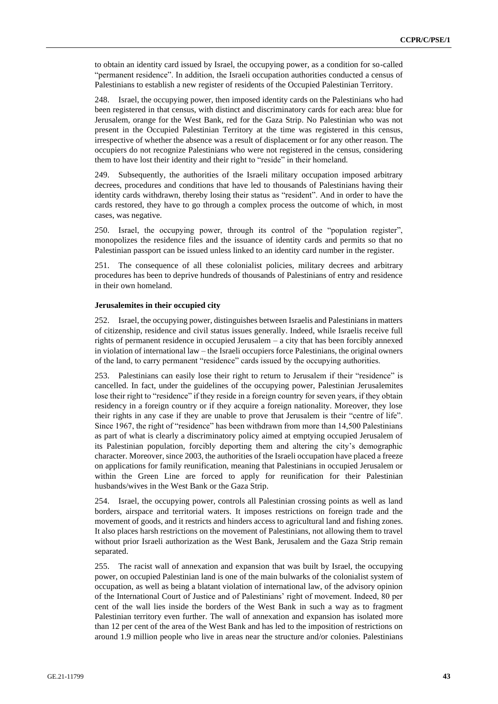to obtain an identity card issued by Israel, the occupying power, as a condition for so-called "permanent residence". In addition, the Israeli occupation authorities conducted a census of Palestinians to establish a new register of residents of the Occupied Palestinian Territory.

248. Israel, the occupying power, then imposed identity cards on the Palestinians who had been registered in that census, with distinct and discriminatory cards for each area: blue for Jerusalem, orange for the West Bank, red for the Gaza Strip. No Palestinian who was not present in the Occupied Palestinian Territory at the time was registered in this census, irrespective of whether the absence was a result of displacement or for any other reason. The occupiers do not recognize Palestinians who were not registered in the census, considering them to have lost their identity and their right to "reside" in their homeland.

249. Subsequently, the authorities of the Israeli military occupation imposed arbitrary decrees, procedures and conditions that have led to thousands of Palestinians having their identity cards withdrawn, thereby losing their status as "resident". And in order to have the cards restored, they have to go through a complex process the outcome of which, in most cases, was negative.

250. Israel, the occupying power, through its control of the "population register", monopolizes the residence files and the issuance of identity cards and permits so that no Palestinian passport can be issued unless linked to an identity card number in the register.

251. The consequence of all these colonialist policies, military decrees and arbitrary procedures has been to deprive hundreds of thousands of Palestinians of entry and residence in their own homeland.

### **Jerusalemites in their occupied city**

252. Israel, the occupying power, distinguishes between Israelis and Palestinians in matters of citizenship, residence and civil status issues generally. Indeed, while Israelis receive full rights of permanent residence in occupied Jerusalem – a city that has been forcibly annexed in violation of international law – the Israeli occupiers force Palestinians, the original owners of the land, to carry permanent "residence" cards issued by the occupying authorities.

253. Palestinians can easily lose their right to return to Jerusalem if their "residence" is cancelled. In fact, under the guidelines of the occupying power, Palestinian Jerusalemites lose their right to "residence" if they reside in a foreign country for seven years, if they obtain residency in a foreign country or if they acquire a foreign nationality. Moreover, they lose their rights in any case if they are unable to prove that Jerusalem is their "centre of life". Since 1967, the right of "residence" has been withdrawn from more than 14,500 Palestinians as part of what is clearly a discriminatory policy aimed at emptying occupied Jerusalem of its Palestinian population, forcibly deporting them and altering the city's demographic character. Moreover, since 2003, the authorities of the Israeli occupation have placed a freeze on applications for family reunification, meaning that Palestinians in occupied Jerusalem or within the Green Line are forced to apply for reunification for their Palestinian husbands/wives in the West Bank or the Gaza Strip.

254. Israel, the occupying power, controls all Palestinian crossing points as well as land borders, airspace and territorial waters. It imposes restrictions on foreign trade and the movement of goods, and it restricts and hinders access to agricultural land and fishing zones. It also places harsh restrictions on the movement of Palestinians, not allowing them to travel without prior Israeli authorization as the West Bank, Jerusalem and the Gaza Strip remain separated.

255. The racist wall of annexation and expansion that was built by Israel, the occupying power, on occupied Palestinian land is one of the main bulwarks of the colonialist system of occupation, as well as being a blatant violation of international law, of the advisory opinion of the International Court of Justice and of Palestinians' right of movement. Indeed, 80 per cent of the wall lies inside the borders of the West Bank in such a way as to fragment Palestinian territory even further. The wall of annexation and expansion has isolated more than 12 per cent of the area of the West Bank and has led to the imposition of restrictions on around 1.9 million people who live in areas near the structure and/or colonies. Palestinians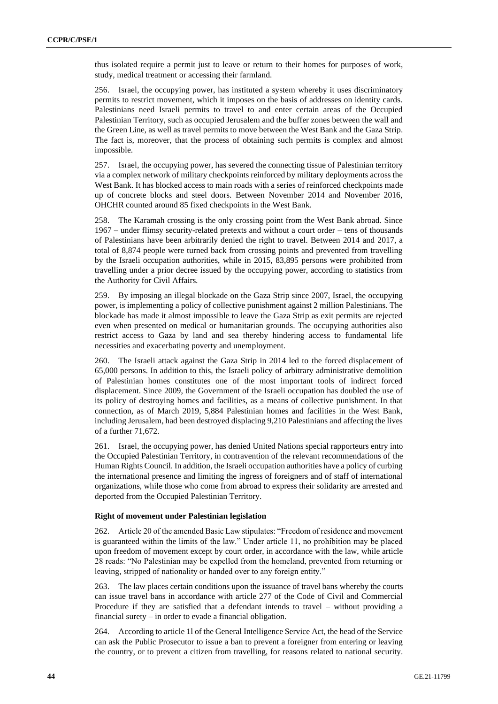thus isolated require a permit just to leave or return to their homes for purposes of work, study, medical treatment or accessing their farmland.

256. Israel, the occupying power, has instituted a system whereby it uses discriminatory permits to restrict movement, which it imposes on the basis of addresses on identity cards. Palestinians need Israeli permits to travel to and enter certain areas of the Occupied Palestinian Territory, such as occupied Jerusalem and the buffer zones between the wall and the Green Line, as well as travel permits to move between the West Bank and the Gaza Strip. The fact is, moreover, that the process of obtaining such permits is complex and almost impossible.

257. Israel, the occupying power, has severed the connecting tissue of Palestinian territory via a complex network of military checkpoints reinforced by military deployments across the West Bank. It has blocked access to main roads with a series of reinforced checkpoints made up of concrete blocks and steel doors. Between November 2014 and November 2016, OHCHR counted around 85 fixed checkpoints in the West Bank.

258. The Karamah crossing is the only crossing point from the West Bank abroad. Since 1967 – under flimsy security-related pretexts and without a court order – tens of thousands of Palestinians have been arbitrarily denied the right to travel. Between 2014 and 2017, a total of 8,874 people were turned back from crossing points and prevented from travelling by the Israeli occupation authorities, while in 2015, 83,895 persons were prohibited from travelling under a prior decree issued by the occupying power, according to statistics from the Authority for Civil Affairs.

259. By imposing an illegal blockade on the Gaza Strip since 2007, Israel, the occupying power, is implementing a policy of collective punishment against 2 million Palestinians. The blockade has made it almost impossible to leave the Gaza Strip as exit permits are rejected even when presented on medical or humanitarian grounds. The occupying authorities also restrict access to Gaza by land and sea thereby hindering access to fundamental life necessities and exacerbating poverty and unemployment.

260. The Israeli attack against the Gaza Strip in 2014 led to the forced displacement of 65,000 persons. In addition to this, the Israeli policy of arbitrary administrative demolition of Palestinian homes constitutes one of the most important tools of indirect forced displacement. Since 2009, the Government of the Israeli occupation has doubled the use of its policy of destroying homes and facilities, as a means of collective punishment. In that connection, as of March 2019, 5,884 Palestinian homes and facilities in the West Bank, including Jerusalem, had been destroyed displacing 9,210 Palestinians and affecting the lives of a further 71,672.

261. Israel, the occupying power, has denied United Nations special rapporteurs entry into the Occupied Palestinian Territory, in contravention of the relevant recommendations of the Human Rights Council. In addition, the Israeli occupation authorities have a policy of curbing the international presence and limiting the ingress of foreigners and of staff of international organizations, while those who come from abroad to express their solidarity are arrested and deported from the Occupied Palestinian Territory.

### **Right of movement under Palestinian legislation**

262. Article 20 of the amended Basic Law stipulates: "Freedom of residence and movement is guaranteed within the limits of the law." Under article 11, no prohibition may be placed upon freedom of movement except by court order, in accordance with the law, while article 28 reads: "No Palestinian may be expelled from the homeland, prevented from returning or leaving, stripped of nationality or handed over to any foreign entity."

263. The law places certain conditions upon the issuance of travel bans whereby the courts can issue travel bans in accordance with article 277 of the Code of Civil and Commercial Procedure if they are satisfied that a defendant intends to travel – without providing a financial surety – in order to evade a financial obligation.

264. According to article 1l of the General Intelligence Service Act, the head of the Service can ask the Public Prosecutor to issue a ban to prevent a foreigner from entering or leaving the country, or to prevent a citizen from travelling, for reasons related to national security.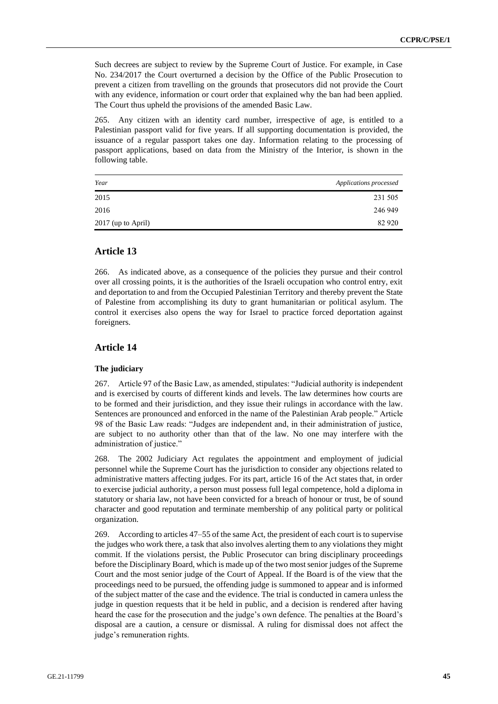Such decrees are subject to review by the Supreme Court of Justice. For example, in Case No. 234/2017 the Court overturned a decision by the Office of the Public Prosecution to prevent a citizen from travelling on the grounds that prosecutors did not provide the Court with any evidence, information or court order that explained why the ban had been applied. The Court thus upheld the provisions of the amended Basic Law.

265. Any citizen with an identity card number, irrespective of age, is entitled to a Palestinian passport valid for five years. If all supporting documentation is provided, the issuance of a regular passport takes one day. Information relating to the processing of passport applications, based on data from the Ministry of the Interior, is shown in the following table.

| Year               | Applications processed |
|--------------------|------------------------|
| 2015               | 231 505                |
| 2016               | 246 949                |
| 2017 (up to April) | 82 9 20                |

# **Article 13**

266. As indicated above, as a consequence of the policies they pursue and their control over all crossing points, it is the authorities of the Israeli occupation who control entry, exit and deportation to and from the Occupied Palestinian Territory and thereby prevent the State of Palestine from accomplishing its duty to grant humanitarian or political asylum. The control it exercises also opens the way for Israel to practice forced deportation against foreigners.

# **Article 14**

### **The judiciary**

267. Article 97 of the Basic Law, as amended, stipulates: "Judicial authority is independent and is exercised by courts of different kinds and levels. The law determines how courts are to be formed and their jurisdiction, and they issue their rulings in accordance with the law. Sentences are pronounced and enforced in the name of the Palestinian Arab people." Article 98 of the Basic Law reads: "Judges are independent and, in their administration of justice, are subject to no authority other than that of the law. No one may interfere with the administration of justice."

268. The 2002 Judiciary Act regulates the appointment and employment of judicial personnel while the Supreme Court has the jurisdiction to consider any objections related to administrative matters affecting judges. For its part, article 16 of the Act states that, in order to exercise judicial authority, a person must possess full legal competence, hold a diploma in statutory or sharia law, not have been convicted for a breach of honour or trust, be of sound character and good reputation and terminate membership of any political party or political organization.

269. According to articles 47–55 of the same Act, the president of each court is to supervise the judges who work there, a task that also involves alerting them to any violations they might commit. If the violations persist, the Public Prosecutor can bring disciplinary proceedings before the Disciplinary Board, which is made up of the two most senior judges of the Supreme Court and the most senior judge of the Court of Appeal. If the Board is of the view that the proceedings need to be pursued, the offending judge is summoned to appear and is informed of the subject matter of the case and the evidence. The trial is conducted in camera unless the judge in question requests that it be held in public, and a decision is rendered after having heard the case for the prosecution and the judge's own defence. The penalties at the Board's disposal are a caution, a censure or dismissal. A ruling for dismissal does not affect the judge's remuneration rights.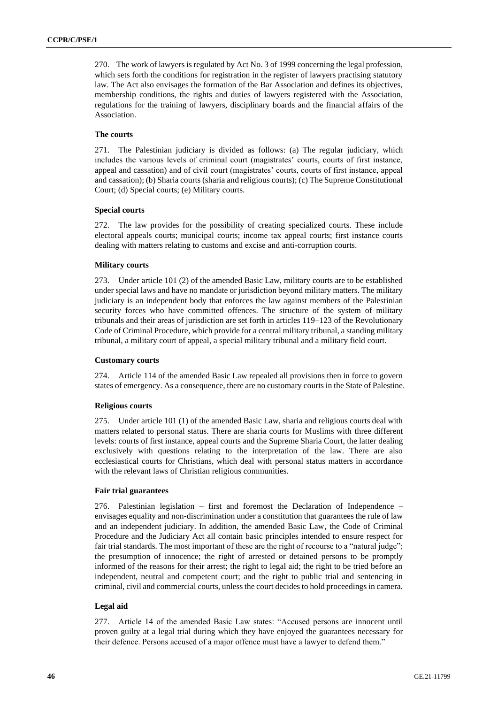270. The work of lawyers is regulated by Act No. 3 of 1999 concerning the legal profession, which sets forth the conditions for registration in the register of lawyers practising statutory law. The Act also envisages the formation of the Bar Association and defines its objectives, membership conditions, the rights and duties of lawyers registered with the Association, regulations for the training of lawyers, disciplinary boards and the financial affairs of the Association.

### **The courts**

271. The Palestinian judiciary is divided as follows: (a) The regular judiciary, which includes the various levels of criminal court (magistrates' courts, courts of first instance, appeal and cassation) and of civil court (magistrates' courts, courts of first instance, appeal and cassation); (b) Sharia courts (sharia and religious courts); (c) The Supreme Constitutional Court; (d) Special courts; (e) Military courts.

### **Special courts**

272. The law provides for the possibility of creating specialized courts. These include electoral appeals courts; municipal courts; income tax appeal courts; first instance courts dealing with matters relating to customs and excise and anti-corruption courts.

#### **Military courts**

273. Under article 101 (2) of the amended Basic Law, military courts are to be established under special laws and have no mandate or jurisdiction beyond military matters. The military judiciary is an independent body that enforces the law against members of the Palestinian security forces who have committed offences. The structure of the system of military tribunals and their areas of jurisdiction are set forth in articles 119–123 of the Revolutionary Code of Criminal Procedure, which provide for a central military tribunal, a standing military tribunal, a military court of appeal, a special military tribunal and a military field court.

### **Customary courts**

274. Article 114 of the amended Basic Law repealed all provisions then in force to govern states of emergency. As a consequence, there are no customary courts in the State of Palestine.

#### **Religious courts**

275. Under article 101 (1) of the amended Basic Law, sharia and religious courts deal with matters related to personal status. There are sharia courts for Muslims with three different levels: courts of first instance, appeal courts and the Supreme Sharia Court, the latter dealing exclusively with questions relating to the interpretation of the law. There are also ecclesiastical courts for Christians, which deal with personal status matters in accordance with the relevant laws of Christian religious communities.

### **Fair trial guarantees**

276. Palestinian legislation – first and foremost the Declaration of Independence – envisages equality and non-discrimination under a constitution that guarantees the rule of law and an independent judiciary. In addition, the amended Basic Law, the Code of Criminal Procedure and the Judiciary Act all contain basic principles intended to ensure respect for fair trial standards. The most important of these are the right of recourse to a "natural judge"; the presumption of innocence; the right of arrested or detained persons to be promptly informed of the reasons for their arrest; the right to legal aid; the right to be tried before an independent, neutral and competent court; and the right to public trial and sentencing in criminal, civil and commercial courts, unless the court decides to hold proceedings in camera.

### **Legal aid**

277. Article 14 of the amended Basic Law states: "Accused persons are innocent until proven guilty at a legal trial during which they have enjoyed the guarantees necessary for their defence. Persons accused of a major offence must have a lawyer to defend them."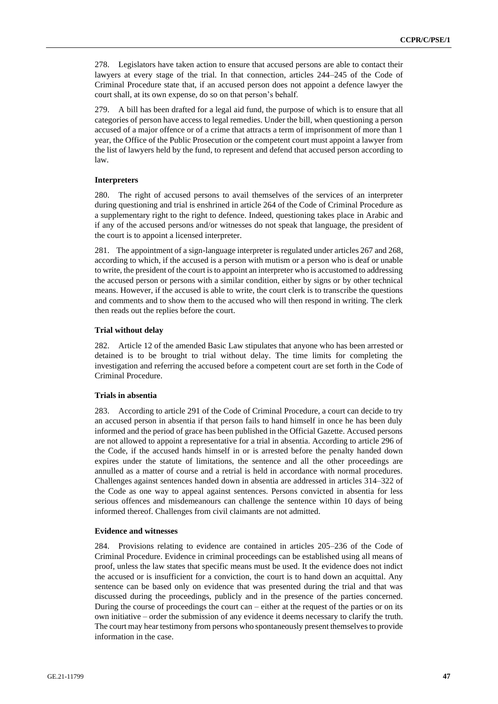278. Legislators have taken action to ensure that accused persons are able to contact their lawyers at every stage of the trial. In that connection, articles 244–245 of the Code of Criminal Procedure state that, if an accused person does not appoint a defence lawyer the court shall, at its own expense, do so on that person's behalf.

279. A bill has been drafted for a legal aid fund, the purpose of which is to ensure that all categories of person have access to legal remedies. Under the bill, when questioning a person accused of a major offence or of a crime that attracts a term of imprisonment of more than 1 year, the Office of the Public Prosecution or the competent court must appoint a lawyer from the list of lawyers held by the fund, to represent and defend that accused person according to law.

### **Interpreters**

280. The right of accused persons to avail themselves of the services of an interpreter during questioning and trial is enshrined in article 264 of the Code of Criminal Procedure as a supplementary right to the right to defence. Indeed, questioning takes place in Arabic and if any of the accused persons and/or witnesses do not speak that language, the president of the court is to appoint a licensed interpreter.

281. The appointment of a sign-language interpreter is regulated under articles 267 and 268, according to which, if the accused is a person with mutism or a person who is deaf or unable to write, the president of the court is to appoint an interpreter who is accustomed to addressing the accused person or persons with a similar condition, either by signs or by other technical means. However, if the accused is able to write, the court clerk is to transcribe the questions and comments and to show them to the accused who will then respond in writing. The clerk then reads out the replies before the court.

#### **Trial without delay**

282. Article 12 of the amended Basic Law stipulates that anyone who has been arrested or detained is to be brought to trial without delay. The time limits for completing the investigation and referring the accused before a competent court are set forth in the Code of Criminal Procedure.

#### **Trials in absentia**

283. According to article 291 of the Code of Criminal Procedure, a court can decide to try an accused person in absentia if that person fails to hand himself in once he has been duly informed and the period of grace has been published in the Official Gazette. Accused persons are not allowed to appoint a representative for a trial in absentia. According to article 296 of the Code, if the accused hands himself in or is arrested before the penalty handed down expires under the statute of limitations, the sentence and all the other proceedings are annulled as a matter of course and a retrial is held in accordance with normal procedures. Challenges against sentences handed down in absentia are addressed in articles 314–322 of the Code as one way to appeal against sentences. Persons convicted in absentia for less serious offences and misdemeanours can challenge the sentence within 10 days of being informed thereof. Challenges from civil claimants are not admitted.

### **Evidence and witnesses**

284. Provisions relating to evidence are contained in articles 205–236 of the Code of Criminal Procedure. Evidence in criminal proceedings can be established using all means of proof, unless the law states that specific means must be used. It the evidence does not indict the accused or is insufficient for a conviction, the court is to hand down an acquittal. Any sentence can be based only on evidence that was presented during the trial and that was discussed during the proceedings, publicly and in the presence of the parties concerned. During the course of proceedings the court can  $-$  either at the request of the parties or on its own initiative – order the submission of any evidence it deems necessary to clarify the truth. The court may hear testimony from persons who spontaneously present themselves to provide information in the case.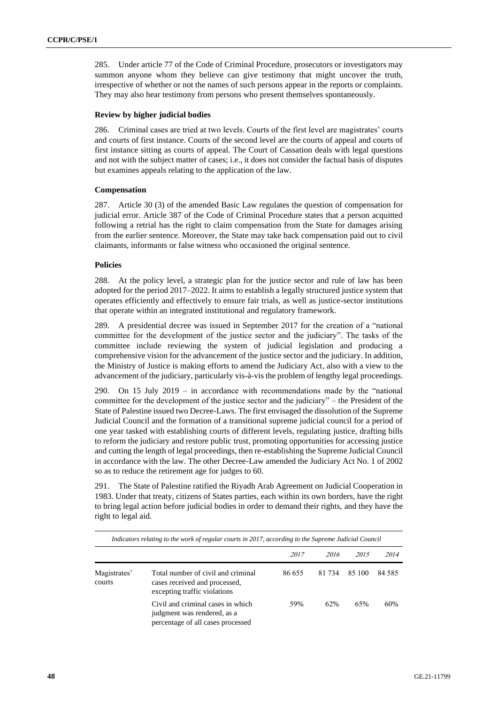285. Under article 77 of the Code of Criminal Procedure, prosecutors or investigators may summon anyone whom they believe can give testimony that might uncover the truth, irrespective of whether or not the names of such persons appear in the reports or complaints. They may also hear testimony from persons who present themselves spontaneously.

### **Review by higher judicial bodies**

286. Criminal cases are tried at two levels. Courts of the first level are magistrates' courts and courts of first instance. Courts of the second level are the courts of appeal and courts of first instance sitting as courts of appeal. The Court of Cassation deals with legal questions and not with the subject matter of cases; i.e., it does not consider the factual basis of disputes but examines appeals relating to the application of the law.

### **Compensation**

287. Article 30 (3) of the amended Basic Law regulates the question of compensation for judicial error. Article 387 of the Code of Criminal Procedure states that a person acquitted following a retrial has the right to claim compensation from the State for damages arising from the earlier sentence. Moreover, the State may take back compensation paid out to civil claimants, informants or false witness who occasioned the original sentence.

### **Policies**

288. At the policy level, a strategic plan for the justice sector and rule of law has been adopted for the period 2017–2022. It aims to establish a legally structured justice system that operates efficiently and effectively to ensure fair trials, as well as justice-sector institutions that operate within an integrated institutional and regulatory framework.

289. A presidential decree was issued in September 2017 for the creation of a "national committee for the development of the justice sector and the judiciary". The tasks of the committee include reviewing the system of judicial legislation and producing a comprehensive vision for the advancement of the justice sector and the judiciary. In addition, the Ministry of Justice is making efforts to amend the Judiciary Act, also with a view to the advancement of the judiciary, particularly vis-à-vis the problem of lengthy legal proceedings.

290. On 15 July 2019 – in accordance with recommendations made by the "national committee for the development of the justice sector and the judiciary" – the President of the State of Palestine issued two Decree-Laws. The first envisaged the dissolution of the Supreme Judicial Council and the formation of a transitional supreme judicial council for a period of one year tasked with establishing courts of different levels, regulating justice, drafting bills to reform the judiciary and restore public trust, promoting opportunities for accessing justice and cutting the length of legal proceedings, then re-establishing the Supreme Judicial Council in accordance with the law. The other Decree-Law amended the Judiciary Act No. 1 of 2002 so as to reduce the retirement age for judges to 60.

291. The State of Palestine ratified the Riyadh Arab Agreement on Judicial Cooperation in 1983. Under that treaty, citizens of States parties, each within its own borders, have the right to bring legal action before judicial bodies in order to demand their rights, and they have the right to legal aid.

|                        | Indicators relating to the work of regular courts in 2017, according to the Supreme Judicial Council  |        |        |        |        |
|------------------------|-------------------------------------------------------------------------------------------------------|--------|--------|--------|--------|
|                        |                                                                                                       | 2017   | 2016   | 2015   | 2014   |
| Magistrates'<br>courts | Total number of civil and criminal<br>cases received and processed,<br>excepting traffic violations   | 86 655 | 81 734 | 85 100 | 84 585 |
|                        | Civil and criminal cases in which<br>judgment was rendered, as a<br>percentage of all cases processed | 59%    | 62%    | 65%    | 60%    |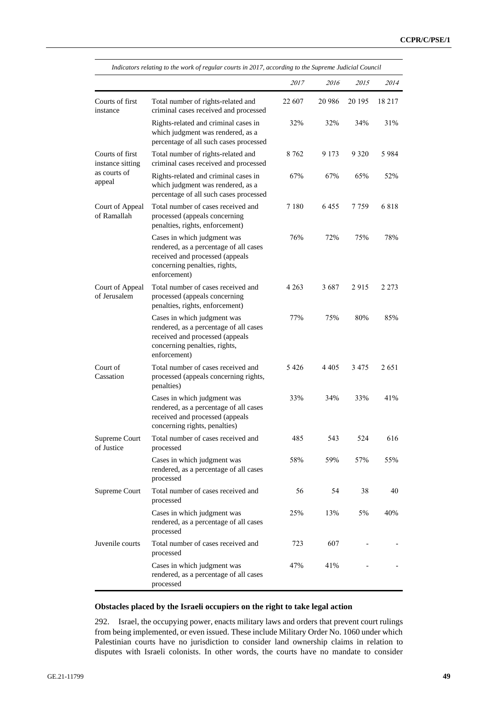|                                     | Indicators relating to the work of regular courts in 2017, according to the Supreme Judicial Council                                                      |         |         |         |         |
|-------------------------------------|-----------------------------------------------------------------------------------------------------------------------------------------------------------|---------|---------|---------|---------|
|                                     |                                                                                                                                                           | 2017    | 2016    | 2015    | 2014    |
| Courts of first<br>instance         | Total number of rights-related and<br>criminal cases received and processed                                                                               | 22 607  | 20 9 86 | 20 195  | 18 217  |
|                                     | Rights-related and criminal cases in<br>which judgment was rendered, as a<br>percentage of all such cases processed                                       | 32%     | 32%     | 34%     | 31%     |
| Courts of first<br>instance sitting | Total number of rights-related and<br>criminal cases received and processed                                                                               | 8 7 6 2 | 9 1 7 3 | 9 3 2 0 | 5984    |
| as courts of<br>appeal              | Rights-related and criminal cases in<br>which judgment was rendered, as a<br>percentage of all such cases processed                                       | 67%     | 67%     | 65%     | 52%     |
| Court of Appeal<br>of Ramallah      | Total number of cases received and<br>processed (appeals concerning<br>penalties, rights, enforcement)                                                    | 7 1 8 0 | 6455    | 7 759   | 6818    |
|                                     | Cases in which judgment was<br>rendered, as a percentage of all cases<br>received and processed (appeals<br>concerning penalties, rights,<br>enforcement) | 76%     | 72%     | 75%     | 78%     |
| Court of Appeal<br>of Jerusalem     | Total number of cases received and<br>processed (appeals concerning<br>penalties, rights, enforcement)                                                    | 4 2 6 3 | 3687    | 2915    | 2 2 7 3 |
|                                     | Cases in which judgment was<br>rendered, as a percentage of all cases<br>received and processed (appeals<br>concerning penalties, rights,<br>enforcement) | 77%     | 75%     | 80%     | 85%     |
| Court of<br>Cassation               | Total number of cases received and<br>processed (appeals concerning rights,<br>penalties)                                                                 | 5426    | 4 4 0 5 | 3475    | 2651    |
|                                     | Cases in which judgment was<br>rendered, as a percentage of all cases<br>received and processed (appeals<br>concerning rights, penalties)                 | 33%     | 34%     | 33%     | 41%     |
| Supreme Court<br>of Justice         | Total number of cases received and<br>processed                                                                                                           | 485     | 543     | 524     | 616     |
|                                     | Cases in which judgment was<br>rendered, as a percentage of all cases<br>processed                                                                        | 58%     | 59%     | 57%     | 55%     |
| Supreme Court                       | Total number of cases received and<br>processed                                                                                                           | 56      | 54      | 38      | 40      |
|                                     | Cases in which judgment was<br>rendered, as a percentage of all cases<br>processed                                                                        | 25%     | 13%     | 5%      | 40%     |
| Juvenile courts                     | Total number of cases received and<br>processed                                                                                                           | 723     | 607     |         |         |
|                                     | Cases in which judgment was<br>rendered, as a percentage of all cases<br>processed                                                                        | 47%     | 41%     |         |         |

### **Obstacles placed by the Israeli occupiers on the right to take legal action**

292. Israel, the occupying power, enacts military laws and orders that prevent court rulings from being implemented, or even issued. These include Military Order No. 1060 under which Palestinian courts have no jurisdiction to consider land ownership claims in relation to disputes with Israeli colonists. In other words, the courts have no mandate to consider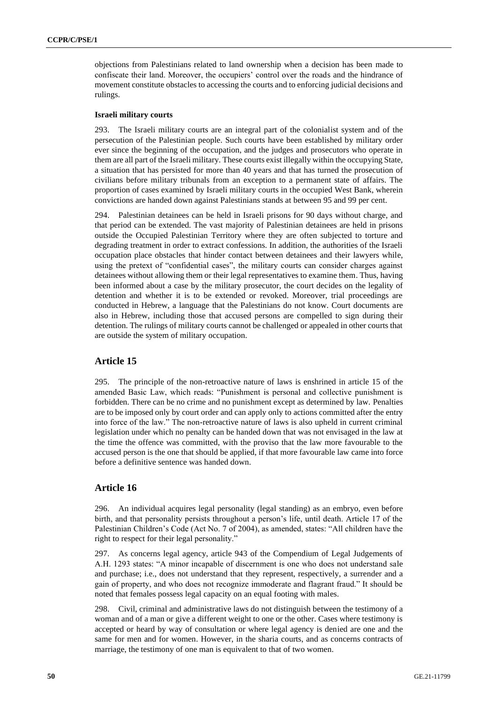objections from Palestinians related to land ownership when a decision has been made to confiscate their land. Moreover, the occupiers' control over the roads and the hindrance of movement constitute obstacles to accessing the courts and to enforcing judicial decisions and rulings.

### **Israeli military courts**

293. The Israeli military courts are an integral part of the colonialist system and of the persecution of the Palestinian people. Such courts have been established by military order ever since the beginning of the occupation, and the judges and prosecutors who operate in them are all part of the Israeli military. These courts exist illegally within the occupying State, a situation that has persisted for more than 40 years and that has turned the prosecution of civilians before military tribunals from an exception to a permanent state of affairs. The proportion of cases examined by Israeli military courts in the occupied West Bank, wherein convictions are handed down against Palestinians stands at between 95 and 99 per cent.

294. Palestinian detainees can be held in Israeli prisons for 90 days without charge, and that period can be extended. The vast majority of Palestinian detainees are held in prisons outside the Occupied Palestinian Territory where they are often subjected to torture and degrading treatment in order to extract confessions. In addition, the authorities of the Israeli occupation place obstacles that hinder contact between detainees and their lawyers while, using the pretext of "confidential cases", the military courts can consider charges against detainees without allowing them or their legal representatives to examine them. Thus, having been informed about a case by the military prosecutor, the court decides on the legality of detention and whether it is to be extended or revoked. Moreover, trial proceedings are conducted in Hebrew, a language that the Palestinians do not know. Court documents are also in Hebrew, including those that accused persons are compelled to sign during their detention. The rulings of military courts cannot be challenged or appealed in other courts that are outside the system of military occupation.

# **Article 15**

295. The principle of the non-retroactive nature of laws is enshrined in article 15 of the amended Basic Law, which reads: "Punishment is personal and collective punishment is forbidden. There can be no crime and no punishment except as determined by law. Penalties are to be imposed only by court order and can apply only to actions committed after the entry into force of the law." The non-retroactive nature of laws is also upheld in current criminal legislation under which no penalty can be handed down that was not envisaged in the law at the time the offence was committed, with the proviso that the law more favourable to the accused person is the one that should be applied, if that more favourable law came into force before a definitive sentence was handed down.

### **Article 16**

296. An individual acquires legal personality (legal standing) as an embryo, even before birth, and that personality persists throughout a person's life, until death. Article 17 of the Palestinian Children's Code (Act No. 7 of 2004), as amended, states: "All children have the right to respect for their legal personality."

297. As concerns legal agency, article 943 of the Compendium of Legal Judgements of A.H. 1293 states: "A minor incapable of discernment is one who does not understand sale and purchase; i.e., does not understand that they represent, respectively, a surrender and a gain of property, and who does not recognize immoderate and flagrant fraud." It should be noted that females possess legal capacity on an equal footing with males.

298. Civil, criminal and administrative laws do not distinguish between the testimony of a woman and of a man or give a different weight to one or the other. Cases where testimony is accepted or heard by way of consultation or where legal agency is denied are one and the same for men and for women. However, in the sharia courts, and as concerns contracts of marriage, the testimony of one man is equivalent to that of two women.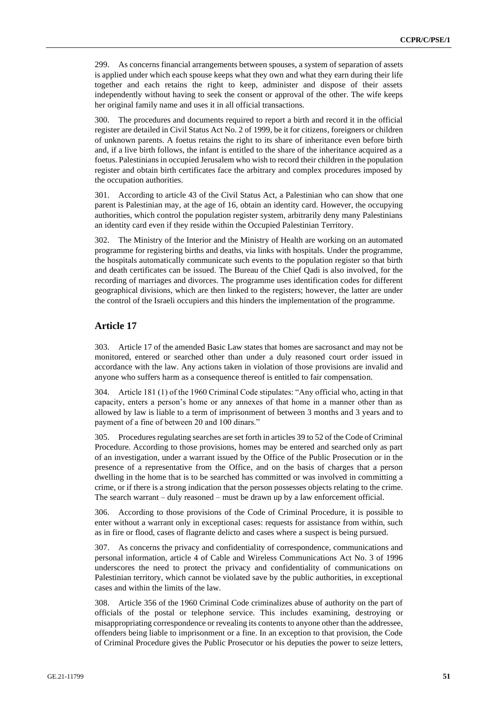299. As concerns financial arrangements between spouses, a system of separation of assets is applied under which each spouse keeps what they own and what they earn during their life together and each retains the right to keep, administer and dispose of their assets independently without having to seek the consent or approval of the other. The wife keeps her original family name and uses it in all official transactions.

300. The procedures and documents required to report a birth and record it in the official register are detailed in Civil Status Act No. 2 of 1999, be it for citizens, foreigners or children of unknown parents. A foetus retains the right to its share of inheritance even before birth and, if a live birth follows, the infant is entitled to the share of the inheritance acquired as a foetus. Palestinians in occupied Jerusalem who wish to record their children in the population register and obtain birth certificates face the arbitrary and complex procedures imposed by the occupation authorities.

301. According to article 43 of the Civil Status Act, a Palestinian who can show that one parent is Palestinian may, at the age of 16, obtain an identity card. However, the occupying authorities, which control the population register system, arbitrarily deny many Palestinians an identity card even if they reside within the Occupied Palestinian Territory.

302. The Ministry of the Interior and the Ministry of Health are working on an automated programme for registering births and deaths, via links with hospitals. Under the programme, the hospitals automatically communicate such events to the population register so that birth and death certificates can be issued. The Bureau of the Chief Qadi is also involved, for the recording of marriages and divorces. The programme uses identification codes for different geographical divisions, which are then linked to the registers; however, the latter are under the control of the Israeli occupiers and this hinders the implementation of the programme.

# **Article 17**

303. Article 17 of the amended Basic Law states that homes are sacrosanct and may not be monitored, entered or searched other than under a duly reasoned court order issued in accordance with the law. Any actions taken in violation of those provisions are invalid and anyone who suffers harm as a consequence thereof is entitled to fair compensation.

304. Article 181 (1) of the 1960 Criminal Code stipulates: "Any official who, acting in that capacity, enters a person's home or any annexes of that home in a manner other than as allowed by law is liable to a term of imprisonment of between 3 months and 3 years and to payment of a fine of between 20 and 100 dinars."

305. Procedures regulating searches are set forth in articles 39 to 52 of the Code of Criminal Procedure. According to those provisions, homes may be entered and searched only as part of an investigation, under a warrant issued by the Office of the Public Prosecution or in the presence of a representative from the Office, and on the basis of charges that a person dwelling in the home that is to be searched has committed or was involved in committing a crime, or if there is a strong indication that the person possesses objects relating to the crime. The search warrant – duly reasoned – must be drawn up by a law enforcement official.

306. According to those provisions of the Code of Criminal Procedure, it is possible to enter without a warrant only in exceptional cases: requests for assistance from within, such as in fire or flood, cases of flagrante delicto and cases where a suspect is being pursued.

307. As concerns the privacy and confidentiality of correspondence, communications and personal information, article 4 of Cable and Wireless Communications Act No. 3 of 1996 underscores the need to protect the privacy and confidentiality of communications on Palestinian territory, which cannot be violated save by the public authorities, in exceptional cases and within the limits of the law.

308. Article 356 of the 1960 Criminal Code criminalizes abuse of authority on the part of officials of the postal or telephone service. This includes examining, destroying or misappropriating correspondence or revealing its contents to anyone other than the addressee, offenders being liable to imprisonment or a fine. In an exception to that provision, the Code of Criminal Procedure gives the Public Prosecutor or his deputies the power to seize letters,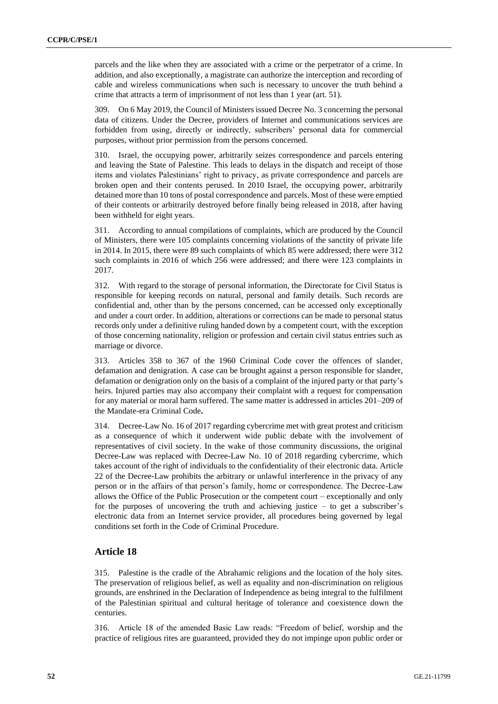parcels and the like when they are associated with a crime or the perpetrator of a crime. In addition, and also exceptionally, a magistrate can authorize the interception and recording of cable and wireless communications when such is necessary to uncover the truth behind a crime that attracts a term of imprisonment of not less than 1 year (art. 51).

309. On 6 May 2019, the Council of Ministers issued Decree No. 3 concerning the personal data of citizens. Under the Decree, providers of Internet and communications services are forbidden from using, directly or indirectly, subscribers' personal data for commercial purposes, without prior permission from the persons concerned.

310. Israel, the occupying power, arbitrarily seizes correspondence and parcels entering and leaving the State of Palestine. This leads to delays in the dispatch and receipt of those items and violates Palestinians' right to privacy, as private correspondence and parcels are broken open and their contents perused. In 2010 Israel, the occupying power, arbitrarily detained more than 10 tons of postal correspondence and parcels. Most of these were emptied of their contents or arbitrarily destroyed before finally being released in 2018, after having been withheld for eight years.

311. According to annual compilations of complaints, which are produced by the Council of Ministers, there were 105 complaints concerning violations of the sanctity of private life in 2014. In 2015, there were 89 such complaints of which 85 were addressed; there were 312 such complaints in 2016 of which 256 were addressed; and there were 123 complaints in 2017.

312. With regard to the storage of personal information, the Directorate for Civil Status is responsible for keeping records on natural, personal and family details. Such records are confidential and, other than by the persons concerned, can be accessed only exceptionally and under a court order. In addition, alterations or corrections can be made to personal status records only under a definitive ruling handed down by a competent court, with the exception of those concerning nationality, religion or profession and certain civil status entries such as marriage or divorce.

313. Articles 358 to 367 of the 1960 Criminal Code cover the offences of slander, defamation and denigration. A case can be brought against a person responsible for slander, defamation or denigration only on the basis of a complaint of the injured party or that party's heirs. Injured parties may also accompany their complaint with a request for compensation for any material or moral harm suffered. The same matter is addressed in articles 201–209 of the Mandate-era Criminal Code**.**

314. Decree-Law No. 16 of 2017 regarding cybercrime met with great protest and criticism as a consequence of which it underwent wide public debate with the involvement of representatives of civil society. In the wake of those community discussions, the original Decree-Law was replaced with Decree-Law No. 10 of 2018 regarding cybercrime, which takes account of the right of individuals to the confidentiality of their electronic data. Article 22 of the Decree-Law prohibits the arbitrary or unlawful interference in the privacy of any person or in the affairs of that person's family, home or correspondence. The Decree-Law allows the Office of the Public Prosecution or the competent court – exceptionally and only for the purposes of uncovering the truth and achieving justice – to get a subscriber's electronic data from an Internet service provider, all procedures being governed by legal conditions set forth in the Code of Criminal Procedure.

# **Article 18**

315. Palestine is the cradle of the Abrahamic religions and the location of the holy sites. The preservation of religious belief, as well as equality and non-discrimination on religious grounds, are enshrined in the Declaration of Independence as being integral to the fulfilment of the Palestinian spiritual and cultural heritage of tolerance and coexistence down the centuries.

316. Article 18 of the amended Basic Law reads: "Freedom of belief, worship and the practice of religious rites are guaranteed, provided they do not impinge upon public order or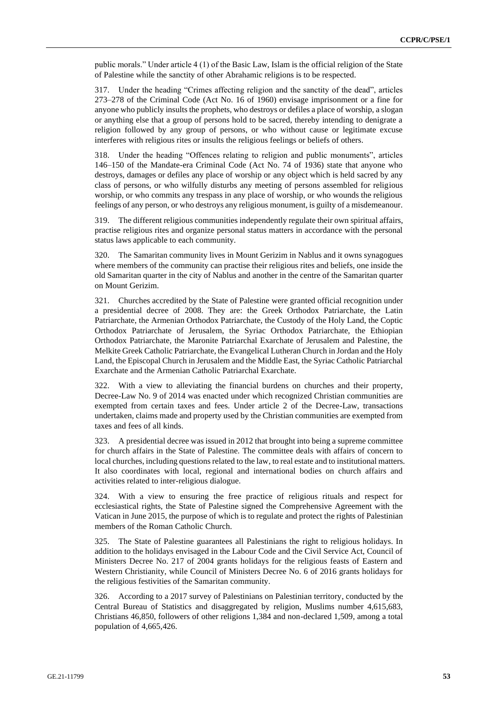public morals." Under article 4 (1) of the Basic Law, Islam is the official religion of the State of Palestine while the sanctity of other Abrahamic religions is to be respected.

317. Under the heading "Crimes affecting religion and the sanctity of the dead", articles 273–278 of the Criminal Code (Act No. 16 of 1960) envisage imprisonment or a fine for anyone who publicly insults the prophets, who destroys or defiles a place of worship, a slogan or anything else that a group of persons hold to be sacred, thereby intending to denigrate a religion followed by any group of persons, or who without cause or legitimate excuse interferes with religious rites or insults the religious feelings or beliefs of others.

318. Under the heading "Offences relating to religion and public monuments", articles 146–150 of the Mandate-era Criminal Code (Act No. 74 of 1936) state that anyone who destroys, damages or defiles any place of worship or any object which is held sacred by any class of persons, or who wilfully disturbs any meeting of persons assembled for religious worship, or who commits any trespass in any place of worship, or who wounds the religious feelings of any person, or who destroys any religious monument, is guilty of a misdemeanour.

319. The different religious communities independently regulate their own spiritual affairs, practise religious rites and organize personal status matters in accordance with the personal status laws applicable to each community.

320. The Samaritan community lives in Mount Gerizim in Nablus and it owns synagogues where members of the community can practise their religious rites and beliefs, one inside the old Samaritan quarter in the city of Nablus and another in the centre of the Samaritan quarter on Mount Gerizim.

321. Churches accredited by the State of Palestine were granted official recognition under a presidential decree of 2008. They are: the Greek Orthodox Patriarchate, the Latin Patriarchate, the Armenian Orthodox Patriarchate, the Custody of the Holy Land, the Coptic Orthodox Patriarchate of Jerusalem, the Syriac Orthodox Patriarchate, the Ethiopian Orthodox Patriarchate, the Maronite Patriarchal Exarchate of Jerusalem and Palestine, the Melkite Greek Catholic Patriarchate, the Evangelical Lutheran Church in Jordan and the Holy Land, the Episcopal Church in Jerusalem and the Middle East, the Syriac Catholic Patriarchal Exarchate and the Armenian Catholic Patriarchal Exarchate.

322. With a view to alleviating the financial burdens on churches and their property, Decree-Law No. 9 of 2014 was enacted under which recognized Christian communities are exempted from certain taxes and fees. Under article 2 of the Decree-Law, transactions undertaken, claims made and property used by the Christian communities are exempted from taxes and fees of all kinds.

323. A presidential decree was issued in 2012 that brought into being a supreme committee for church affairs in the State of Palestine. The committee deals with affairs of concern to local churches, including questions related to the law, to real estate and to institutional matters. It also coordinates with local, regional and international bodies on church affairs and activities related to inter-religious dialogue.

324. With a view to ensuring the free practice of religious rituals and respect for ecclesiastical rights, the State of Palestine signed the Comprehensive Agreement with the Vatican in June 2015, the purpose of which is to regulate and protect the rights of Palestinian members of the Roman Catholic Church.

325. The State of Palestine guarantees all Palestinians the right to religious holidays. In addition to the holidays envisaged in the Labour Code and the Civil Service Act, Council of Ministers Decree No. 217 of 2004 grants holidays for the religious feasts of Eastern and Western Christianity, while Council of Ministers Decree No. 6 of 2016 grants holidays for the religious festivities of the Samaritan community.

326. According to a 2017 survey of Palestinians on Palestinian territory, conducted by the Central Bureau of Statistics and disaggregated by religion, Muslims number 4,615,683, Christians 46,850, followers of other religions 1,384 and non-declared 1,509, among a total population of 4,665,426.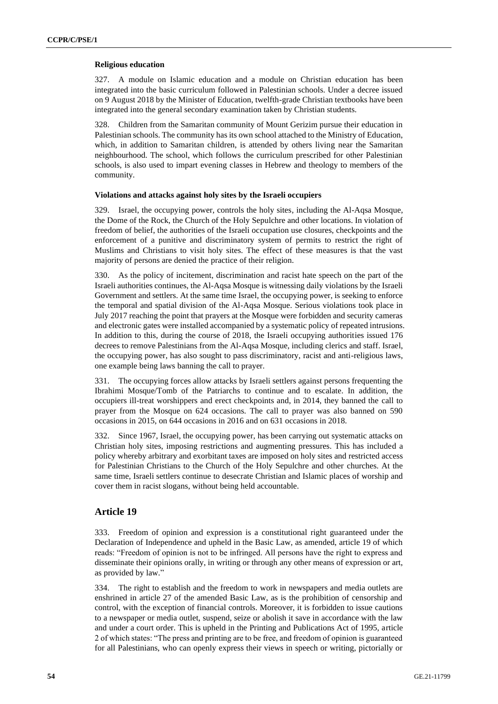### **Religious education**

327. A module on Islamic education and a module on Christian education has been integrated into the basic curriculum followed in Palestinian schools. Under a decree issued on 9 August 2018 by the Minister of Education, twelfth-grade Christian textbooks have been integrated into the general secondary examination taken by Christian students.

328. Children from the Samaritan community of Mount Gerizim pursue their education in Palestinian schools. The community has its own school attached to the Ministry of Education, which, in addition to Samaritan children, is attended by others living near the Samaritan neighbourhood. The school, which follows the curriculum prescribed for other Palestinian schools, is also used to impart evening classes in Hebrew and theology to members of the community.

### **Violations and attacks against holy sites by the Israeli occupiers**

329. Israel, the occupying power, controls the holy sites, including the Al-Aqsa Mosque, the Dome of the Rock, the Church of the Holy Sepulchre and other locations. In violation of freedom of belief, the authorities of the Israeli occupation use closures, checkpoints and the enforcement of a punitive and discriminatory system of permits to restrict the right of Muslims and Christians to visit holy sites. The effect of these measures is that the vast majority of persons are denied the practice of their religion.

330. As the policy of incitement, discrimination and racist hate speech on the part of the Israeli authorities continues, the Al-Aqsa Mosque is witnessing daily violations by the Israeli Government and settlers. At the same time Israel, the occupying power, is seeking to enforce the temporal and spatial division of the Al-Aqsa Mosque. Serious violations took place in July 2017 reaching the point that prayers at the Mosque were forbidden and security cameras and electronic gates were installed accompanied by a systematic policy of repeated intrusions. In addition to this, during the course of 2018, the Israeli occupying authorities issued 176 decrees to remove Palestinians from the Al-Aqsa Mosque, including clerics and staff. Israel, the occupying power, has also sought to pass discriminatory, racist and anti-religious laws, one example being laws banning the call to prayer.

331. The occupying forces allow attacks by Israeli settlers against persons frequenting the Ibrahimi Mosque/Tomb of the Patriarchs to continue and to escalate. In addition, the occupiers ill-treat worshippers and erect checkpoints and, in 2014, they banned the call to prayer from the Mosque on 624 occasions. The call to prayer was also banned on 590 occasions in 2015, on 644 occasions in 2016 and on 631 occasions in 2018.

332. Since 1967, Israel, the occupying power, has been carrying out systematic attacks on Christian holy sites, imposing restrictions and augmenting pressures. This has included a policy whereby arbitrary and exorbitant taxes are imposed on holy sites and restricted access for Palestinian Christians to the Church of the Holy Sepulchre and other churches. At the same time, Israeli settlers continue to desecrate Christian and Islamic places of worship and cover them in racist slogans, without being held accountable.

# **Article 19**

333. Freedom of opinion and expression is a constitutional right guaranteed under the Declaration of Independence and upheld in the Basic Law, as amended, article 19 of which reads: "Freedom of opinion is not to be infringed. All persons have the right to express and disseminate their opinions orally, in writing or through any other means of expression or art, as provided by law."

334. The right to establish and the freedom to work in newspapers and media outlets are enshrined in article 27 of the amended Basic Law, as is the prohibition of censorship and control, with the exception of financial controls. Moreover, it is forbidden to issue cautions to a newspaper or media outlet, suspend, seize or abolish it save in accordance with the law and under a court order. This is upheld in the Printing and Publications Act of 1995, article 2 of which states: "The press and printing are to be free, and freedom of opinion is guaranteed for all Palestinians, who can openly express their views in speech or writing, pictorially or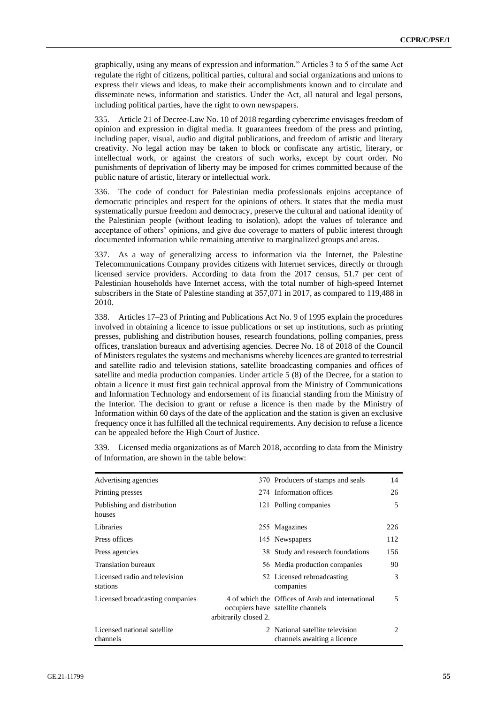graphically, using any means of expression and information." Articles 3 to 5 of the same Act regulate the right of citizens, political parties, cultural and social organizations and unions to express their views and ideas, to make their accomplishments known and to circulate and disseminate news, information and statistics. Under the Act, all natural and legal persons, including political parties, have the right to own newspapers.

335. Article 21 of Decree-Law No. 10 of 2018 regarding cybercrime envisages freedom of opinion and expression in digital media. It guarantees freedom of the press and printing, including paper, visual, audio and digital publications, and freedom of artistic and literary creativity. No legal action may be taken to block or confiscate any artistic, literary, or intellectual work, or against the creators of such works, except by court order. No punishments of deprivation of liberty may be imposed for crimes committed because of the public nature of artistic, literary or intellectual work.

336. The code of conduct for Palestinian media professionals enjoins acceptance of democratic principles and respect for the opinions of others. It states that the media must systematically pursue freedom and democracy, preserve the cultural and national identity of the Palestinian people (without leading to isolation), adopt the values of tolerance and acceptance of others' opinions, and give due coverage to matters of public interest through documented information while remaining attentive to marginalized groups and areas.

337. As a way of generalizing access to information via the Internet, the Palestine Telecommunications Company provides citizens with Internet services, directly or through licensed service providers. According to data from the 2017 census, 51.7 per cent of Palestinian households have Internet access, with the total number of high-speed Internet subscribers in the State of Palestine standing at 357,071 in 2017, as compared to 119,488 in 2010.

338. Articles 17–23 of Printing and Publications Act No. 9 of 1995 explain the procedures involved in obtaining a licence to issue publications or set up institutions, such as printing presses, publishing and distribution houses, research foundations, polling companies, press offices, translation bureaux and advertising agencies. Decree No. 18 of 2018 of the Council of Ministers regulates the systems and mechanisms whereby licences are granted to terrestrial and satellite radio and television stations, satellite broadcasting companies and offices of satellite and media production companies. Under article 5 (8) of the Decree, for a station to obtain a licence it must first gain technical approval from the Ministry of Communications and Information Technology and endorsement of its financial standing from the Ministry of the Interior. The decision to grant or refuse a licence is then made by the Ministry of Information within 60 days of the date of the application and the station is given an exclusive frequency once it has fulfilled all the technical requirements. Any decision to refuse a licence can be appealed before the High Court of Justice.

Licensed media organizations as of March 2018, according to data from the Ministry of Information, are shown in the table below:

| Advertising agencies                      |                       | 370 Producers of stamps and seals                                                     | 14                          |
|-------------------------------------------|-----------------------|---------------------------------------------------------------------------------------|-----------------------------|
| Printing presses                          |                       | 274 Information offices                                                               | 26                          |
| Publishing and distribution<br>houses     |                       | 121 Polling companies                                                                 | 5                           |
| Libraries                                 |                       | 255 Magazines                                                                         | 226                         |
| Press offices                             |                       | 145 Newspapers                                                                        | 112                         |
| Press agencies                            |                       | 38 Study and research foundations                                                     | 156                         |
| <b>Translation bureaux</b>                |                       | 56 Media production companies                                                         | 90                          |
| Licensed radio and television<br>stations |                       | 52 Licensed rebroadcasting<br>companies                                               | 3                           |
| Licensed broadcasting companies           | arbitrarily closed 2. | 4 of which the Offices of Arab and international<br>occupiers have satellite channels |                             |
| Licensed national satellite<br>channels   |                       | 2 National satellite television<br>channels awaiting a licence                        | $\mathcal{D}_{\mathcal{A}}$ |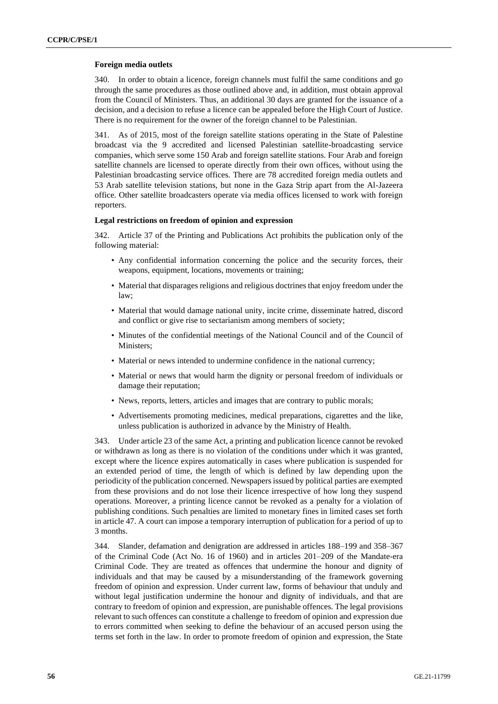### **Foreign media outlets**

340. In order to obtain a licence, foreign channels must fulfil the same conditions and go through the same procedures as those outlined above and, in addition, must obtain approval from the Council of Ministers. Thus, an additional 30 days are granted for the issuance of a decision, and a decision to refuse a licence can be appealed before the High Court of Justice. There is no requirement for the owner of the foreign channel to be Palestinian.

341. As of 2015, most of the foreign satellite stations operating in the State of Palestine broadcast via the 9 accredited and licensed Palestinian satellite-broadcasting service companies, which serve some 150 Arab and foreign satellite stations. Four Arab and foreign satellite channels are licensed to operate directly from their own offices, without using the Palestinian broadcasting service offices. There are 78 accredited foreign media outlets and 53 Arab satellite television stations, but none in the Gaza Strip apart from the Al-Jazeera office. Other satellite broadcasters operate via media offices licensed to work with foreign reporters.

#### **Legal restrictions on freedom of opinion and expression**

342. Article 37 of the Printing and Publications Act prohibits the publication only of the following material:

- Any confidential information concerning the police and the security forces, their weapons, equipment, locations, movements or training;
- Material that disparages religions and religious doctrines that enjoy freedom under the law;
- Material that would damage national unity, incite crime, disseminate hatred, discord and conflict or give rise to sectarianism among members of society;
- Minutes of the confidential meetings of the National Council and of the Council of Ministers;
- Material or news intended to undermine confidence in the national currency;
- Material or news that would harm the dignity or personal freedom of individuals or damage their reputation;
- News, reports, letters, articles and images that are contrary to public morals;
- Advertisements promoting medicines, medical preparations, cigarettes and the like, unless publication is authorized in advance by the Ministry of Health.

343. Under article 23 of the same Act, a printing and publication licence cannot be revoked or withdrawn as long as there is no violation of the conditions under which it was granted, except where the licence expires automatically in cases where publication is suspended for an extended period of time, the length of which is defined by law depending upon the periodicity of the publication concerned. Newspapers issued by political parties are exempted from these provisions and do not lose their licence irrespective of how long they suspend operations. Moreover, a printing licence cannot be revoked as a penalty for a violation of publishing conditions. Such penalties are limited to monetary fines in limited cases set forth in article 47. A court can impose a temporary interruption of publication for a period of up to 3 months.

344. Slander, defamation and denigration are addressed in articles 188–199 and 358–367 of the Criminal Code (Act No. 16 of 1960) and in articles 201–209 of the Mandate-era Criminal Code. They are treated as offences that undermine the honour and dignity of individuals and that may be caused by a misunderstanding of the framework governing freedom of opinion and expression. Under current law, forms of behaviour that unduly and without legal justification undermine the honour and dignity of individuals, and that are contrary to freedom of opinion and expression, are punishable offences. The legal provisions relevant to such offences can constitute a challenge to freedom of opinion and expression due to errors committed when seeking to define the behaviour of an accused person using the terms set forth in the law. In order to promote freedom of opinion and expression, the State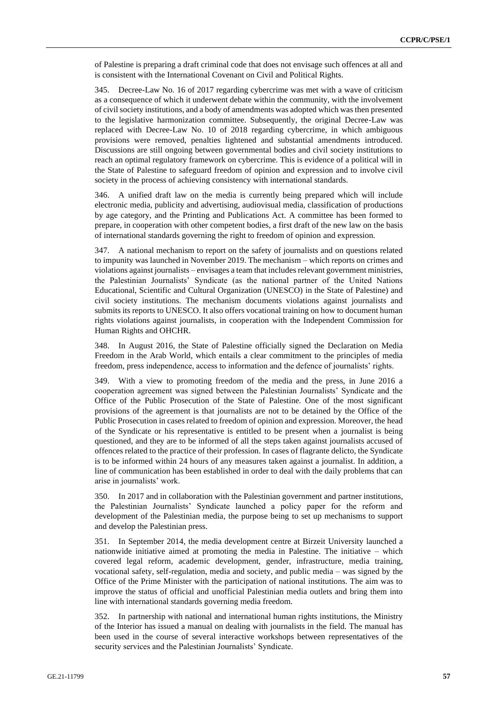of Palestine is preparing a draft criminal code that does not envisage such offences at all and is consistent with the International Covenant on Civil and Political Rights.

345. Decree-Law No. 16 of 2017 regarding cybercrime was met with a wave of criticism as a consequence of which it underwent debate within the community, with the involvement of civil society institutions, and a body of amendments was adopted which was then presented to the legislative harmonization committee. Subsequently, the original Decree-Law was replaced with Decree-Law No. 10 of 2018 regarding cybercrime, in which ambiguous provisions were removed, penalties lightened and substantial amendments introduced. Discussions are still ongoing between governmental bodies and civil society institutions to reach an optimal regulatory framework on cybercrime. This is evidence of a political will in the State of Palestine to safeguard freedom of opinion and expression and to involve civil society in the process of achieving consistency with international standards.

346. A unified draft law on the media is currently being prepared which will include electronic media, publicity and advertising, audiovisual media, classification of productions by age category, and the Printing and Publications Act. A committee has been formed to prepare, in cooperation with other competent bodies, a first draft of the new law on the basis of international standards governing the right to freedom of opinion and expression.

347. A national mechanism to report on the safety of journalists and on questions related to impunity was launched in November 2019. The mechanism – which reports on crimes and violations against journalists – envisages a team that includes relevant government ministries, the Palestinian Journalists' Syndicate (as the national partner of the United Nations Educational, Scientific and Cultural Organization (UNESCO) in the State of Palestine) and civil society institutions. The mechanism documents violations against journalists and submits its reports to UNESCO. It also offers vocational training on how to document human rights violations against journalists, in cooperation with the Independent Commission for Human Rights and OHCHR.

348. In August 2016, the State of Palestine officially signed the Declaration on Media Freedom in the Arab World, which entails a clear commitment to the principles of media freedom, press independence, access to information and the defence of journalists' rights.

349. With a view to promoting freedom of the media and the press, in June 2016 a cooperation agreement was signed between the Palestinian Journalists' Syndicate and the Office of the Public Prosecution of the State of Palestine. One of the most significant provisions of the agreement is that journalists are not to be detained by the Office of the Public Prosecution in cases related to freedom of opinion and expression. Moreover, the head of the Syndicate or his representative is entitled to be present when a journalist is being questioned, and they are to be informed of all the steps taken against journalists accused of offences related to the practice of their profession. In cases of flagrante delicto, the Syndicate is to be informed within 24 hours of any measures taken against a journalist. In addition, a line of communication has been established in order to deal with the daily problems that can arise in journalists' work.

350. In 2017 and in collaboration with the Palestinian government and partner institutions, the Palestinian Journalists' Syndicate launched a policy paper for the reform and development of the Palestinian media, the purpose being to set up mechanisms to support and develop the Palestinian press.

351. In September 2014, the media development centre at Birzeit University launched a nationwide initiative aimed at promoting the media in Palestine. The initiative – which covered legal reform, academic development, gender, infrastructure, media training, vocational safety, self-regulation, media and society, and public media – was signed by the Office of the Prime Minister with the participation of national institutions. The aim was to improve the status of official and unofficial Palestinian media outlets and bring them into line with international standards governing media freedom.

352. In partnership with national and international human rights institutions, the Ministry of the Interior has issued a manual on dealing with journalists in the field. The manual has been used in the course of several interactive workshops between representatives of the security services and the Palestinian Journalists' Syndicate.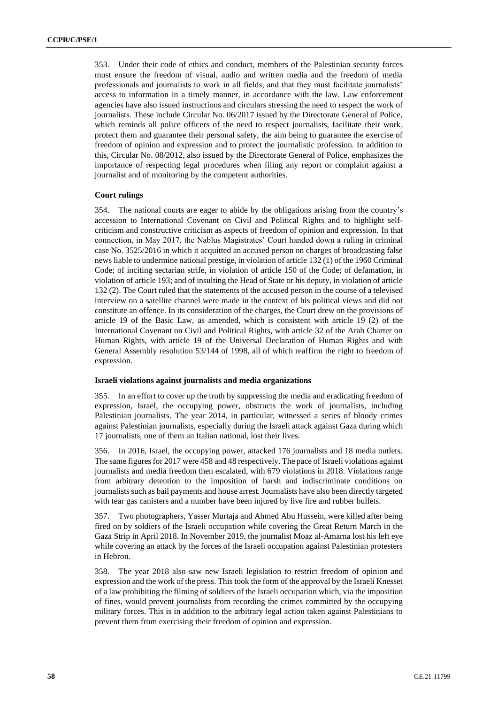353. Under their code of ethics and conduct, members of the Palestinian security forces must ensure the freedom of visual, audio and written media and the freedom of media professionals and journalists to work in all fields, and that they must facilitate journalists' access to information in a timely manner, in accordance with the law. Law enforcement agencies have also issued instructions and circulars stressing the need to respect the work of journalists. These include Circular No. 06/2017 issued by the Directorate General of Police, which reminds all police officers of the need to respect journalists, facilitate their work, protect them and guarantee their personal safety, the aim being to guarantee the exercise of freedom of opinion and expression and to protect the journalistic profession. In addition to this, Circular No. 08/2012, also issued by the Directorate General of Police, emphasizes the importance of respecting legal procedures when filing any report or complaint against a journalist and of monitoring by the competent authorities.

### **Court rulings**

354. The national courts are eager to abide by the obligations arising from the country's accession to International Covenant on Civil and Political Rights and to highlight selfcriticism and constructive criticism as aspects of freedom of opinion and expression. In that connection, in May 2017, the Nablus Magistrates' Court handed down a ruling in criminal case No. 3525/2016 in which it acquitted an accused person on charges of broadcasting false news liable to undermine national prestige, in violation of article 132 (1) of the 1960 Criminal Code; of inciting sectarian strife, in violation of article 150 of the Code; of defamation, in violation of article 193; and of insulting the Head of State or his deputy, in violation of article 132 (2). The Court ruled that the statements of the accused person in the course of a televised interview on a satellite channel were made in the context of his political views and did not constitute an offence. In its consideration of the charges, the Court drew on the provisions of article 19 of the Basic Law, as amended, which is consistent with article 19 (2) of the International Covenant on Civil and Political Rights, with article 32 of the Arab Charter on Human Rights, with article 19 of the Universal Declaration of Human Rights and with General Assembly resolution 53/144 of 1998, all of which reaffirm the right to freedom of expression.

### **Israeli violations against journalists and media organizations**

355. In an effort to cover up the truth by suppressing the media and eradicating freedom of expression, Israel, the occupying power, obstructs the work of journalists, including Palestinian journalists. The year 2014, in particular, witnessed a series of bloody crimes against Palestinian journalists, especially during the Israeli attack against Gaza during which 17 journalists, one of them an Italian national, lost their lives.

356. In 2016, Israel, the occupying power, attacked 176 journalists and 18 media outlets. The same figures for 2017 were 458 and 48 respectively. The pace of Israeli violations against journalists and media freedom then escalated, with 679 violations in 2018. Violations range from arbitrary detention to the imposition of harsh and indiscriminate conditions on journalists such as bail payments and house arrest. Journalists have also been directly targeted with tear gas canisters and a number have been injured by live fire and rubber bullets.

357. Two photographers, Yasser Murtaja and Ahmed Abu Hussein, were killed after being fired on by soldiers of the Israeli occupation while covering the Great Return March in the Gaza Strip in April 2018. In November 2019, the journalist Moaz al-Amarna lost his left eye while covering an attack by the forces of the Israeli occupation against Palestinian protesters in Hebron.

358. The year 2018 also saw new Israeli legislation to restrict freedom of opinion and expression and the work of the press. This took the form of the approval by the Israeli Knesset of a law prohibiting the filming of soldiers of the Israeli occupation which, via the imposition of fines, would prevent journalists from recording the crimes committed by the occupying military forces. This is in addition to the arbitrary legal action taken against Palestinians to prevent them from exercising their freedom of opinion and expression.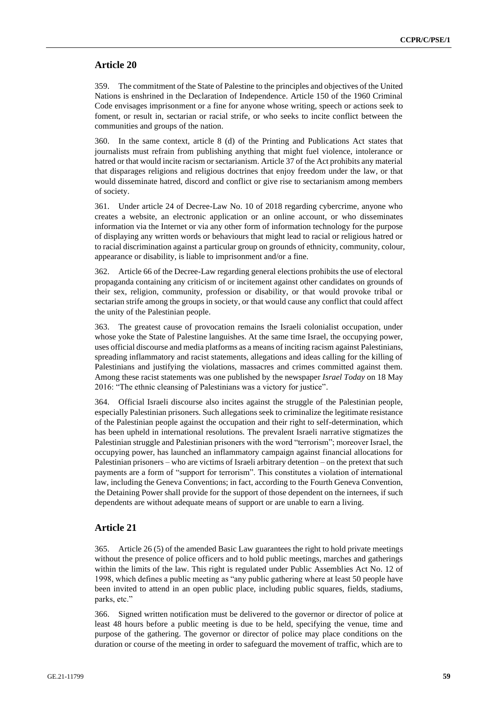### **Article 20**

359. The commitment of the State of Palestine to the principles and objectives of the United Nations is enshrined in the Declaration of Independence. Article 150 of the 1960 Criminal Code envisages imprisonment or a fine for anyone whose writing, speech or actions seek to foment, or result in, sectarian or racial strife, or who seeks to incite conflict between the communities and groups of the nation.

360. In the same context, article 8 (d) of the Printing and Publications Act states that journalists must refrain from publishing anything that might fuel violence, intolerance or hatred or that would incite racism or sectarianism. Article 37 of the Act prohibits any material that disparages religions and religious doctrines that enjoy freedom under the law, or that would disseminate hatred, discord and conflict or give rise to sectarianism among members of society.

361. Under article 24 of Decree-Law No. 10 of 2018 regarding cybercrime, anyone who creates a website, an electronic application or an online account, or who disseminates information via the Internet or via any other form of information technology for the purpose of displaying any written words or behaviours that might lead to racial or religious hatred or to racial discrimination against a particular group on grounds of ethnicity, community, colour, appearance or disability, is liable to imprisonment and/or a fine.

362. Article 66 of the Decree-Law regarding general elections prohibits the use of electoral propaganda containing any criticism of or incitement against other candidates on grounds of their sex, religion, community, profession or disability, or that would provoke tribal or sectarian strife among the groups in society, or that would cause any conflict that could affect the unity of the Palestinian people.

363. The greatest cause of provocation remains the Israeli colonialist occupation, under whose yoke the State of Palestine languishes. At the same time Israel, the occupying power, uses official discourse and media platforms as a means of inciting racism against Palestinians, spreading inflammatory and racist statements, allegations and ideas calling for the killing of Palestinians and justifying the violations, massacres and crimes committed against them. Among these racist statements was one published by the newspaper *Israel Today* on 18 May 2016: "The ethnic cleansing of Palestinians was a victory for justice".

364. Official Israeli discourse also incites against the struggle of the Palestinian people, especially Palestinian prisoners. Such allegations seek to criminalize the legitimate resistance of the Palestinian people against the occupation and their right to self-determination, which has been upheld in international resolutions. The prevalent Israeli narrative stigmatizes the Palestinian struggle and Palestinian prisoners with the word "terrorism"; moreover Israel, the occupying power, has launched an inflammatory campaign against financial allocations for Palestinian prisoners – who are victims of Israeli arbitrary detention – on the pretext that such payments are a form of "support for terrorism". This constitutes a violation of international law, including the Geneva Conventions; in fact, according to the Fourth Geneva Convention, the Detaining Power shall provide for the support of those dependent on the internees, if such dependents are without adequate means of support or are unable to earn a living.

### **Article 21**

365. Article 26 (5) of the amended Basic Law guarantees the right to hold private meetings without the presence of police officers and to hold public meetings, marches and gatherings within the limits of the law. This right is regulated under Public Assemblies Act No. 12 of 1998, which defines a public meeting as "any public gathering where at least 50 people have been invited to attend in an open public place, including public squares, fields, stadiums, parks, etc."

366. Signed written notification must be delivered to the governor or director of police at least 48 hours before a public meeting is due to be held, specifying the venue, time and purpose of the gathering. The governor or director of police may place conditions on the duration or course of the meeting in order to safeguard the movement of traffic, which are to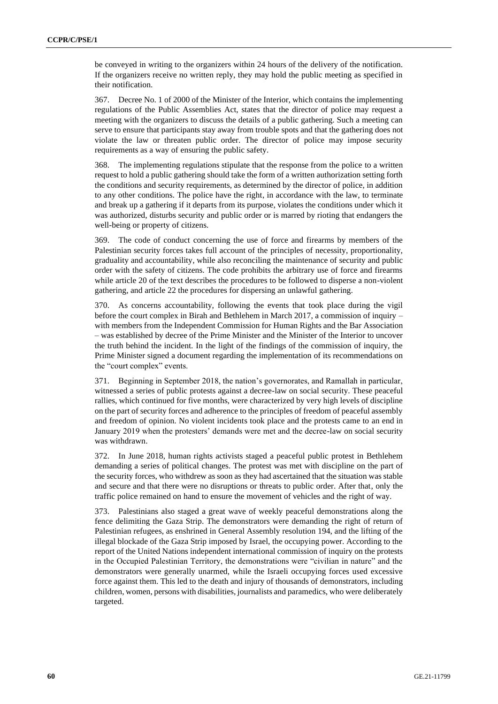be conveyed in writing to the organizers within 24 hours of the delivery of the notification. If the organizers receive no written reply, they may hold the public meeting as specified in their notification.

367. Decree No. 1 of 2000 of the Minister of the Interior, which contains the implementing regulations of the Public Assemblies Act, states that the director of police may request a meeting with the organizers to discuss the details of a public gathering. Such a meeting can serve to ensure that participants stay away from trouble spots and that the gathering does not violate the law or threaten public order. The director of police may impose security requirements as a way of ensuring the public safety.

368. The implementing regulations stipulate that the response from the police to a written request to hold a public gathering should take the form of a written authorization setting forth the conditions and security requirements, as determined by the director of police, in addition to any other conditions. The police have the right, in accordance with the law, to terminate and break up a gathering if it departs from its purpose, violates the conditions under which it was authorized, disturbs security and public order or is marred by rioting that endangers the well-being or property of citizens.

369. The code of conduct concerning the use of force and firearms by members of the Palestinian security forces takes full account of the principles of necessity, proportionality, graduality and accountability, while also reconciling the maintenance of security and public order with the safety of citizens. The code prohibits the arbitrary use of force and firearms while article 20 of the text describes the procedures to be followed to disperse a non-violent gathering, and article 22 the procedures for dispersing an unlawful gathering.

370. As concerns accountability, following the events that took place during the vigil before the court complex in Birah and Bethlehem in March 2017, a commission of inquiry – with members from the Independent Commission for Human Rights and the Bar Association – was established by decree of the Prime Minister and the Minister of the Interior to uncover the truth behind the incident. In the light of the findings of the commission of inquiry, the Prime Minister signed a document regarding the implementation of its recommendations on the "court complex" events.

371. Beginning in September 2018, the nation's governorates, and Ramallah in particular, witnessed a series of public protests against a decree-law on social security. These peaceful rallies, which continued for five months, were characterized by very high levels of discipline on the part of security forces and adherence to the principles of freedom of peaceful assembly and freedom of opinion. No violent incidents took place and the protests came to an end in January 2019 when the protesters' demands were met and the decree-law on social security was withdrawn.

372. In June 2018, human rights activists staged a peaceful public protest in Bethlehem demanding a series of political changes. The protest was met with discipline on the part of the security forces, who withdrew as soon as they had ascertained that the situation was stable and secure and that there were no disruptions or threats to public order. After that, only the traffic police remained on hand to ensure the movement of vehicles and the right of way.

373. Palestinians also staged a great wave of weekly peaceful demonstrations along the fence delimiting the Gaza Strip. The demonstrators were demanding the right of return of Palestinian refugees, as enshrined in General Assembly resolution 194, and the lifting of the illegal blockade of the Gaza Strip imposed by Israel, the occupying power. According to the report of the United Nations independent international commission of inquiry on the protests in the Occupied Palestinian Territory, the demonstrations were "civilian in nature" and the demonstrators were generally unarmed, while the Israeli occupying forces used excessive force against them. This led to the death and injury of thousands of demonstrators, including children, women, persons with disabilities, journalists and paramedics, who were deliberately targeted.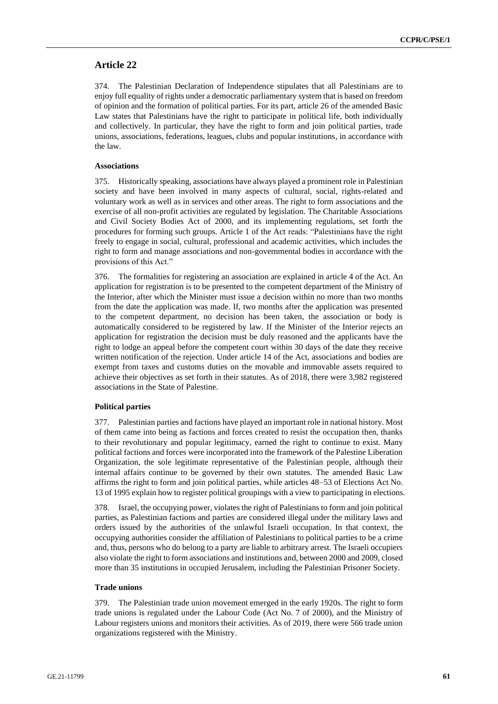# **Article 22**

374. The Palestinian Declaration of Independence stipulates that all Palestinians are to enjoy full equality of rights under a democratic parliamentary system that is based on freedom of opinion and the formation of political parties. For its part, article 26 of the amended Basic Law states that Palestinians have the right to participate in political life, both individually and collectively. In particular, they have the right to form and join political parties, trade unions, associations, federations, leagues, clubs and popular institutions, in accordance with the law.

### **Associations**

375. Historically speaking, associations have always played a prominent role in Palestinian society and have been involved in many aspects of cultural, social, rights-related and voluntary work as well as in services and other areas. The right to form associations and the exercise of all non-profit activities are regulated by legislation. The Charitable Associations and Civil Society Bodies Act of 2000, and its implementing regulations, set forth the procedures for forming such groups. Article 1 of the Act reads: "Palestinians have the right freely to engage in social, cultural, professional and academic activities, which includes the right to form and manage associations and non-governmental bodies in accordance with the provisions of this Act."

376. The formalities for registering an association are explained in article 4 of the Act. An application for registration is to be presented to the competent department of the Ministry of the Interior, after which the Minister must issue a decision within no more than two months from the date the application was made. If, two months after the application was presented to the competent department, no decision has been taken, the association or body is automatically considered to be registered by law. If the Minister of the Interior rejects an application for registration the decision must be duly reasoned and the applicants have the right to lodge an appeal before the competent court within 30 days of the date they receive written notification of the rejection. Under article 14 of the Act, associations and bodies are exempt from taxes and customs duties on the movable and immovable assets required to achieve their objectives as set forth in their statutes. As of 2018, there were 3,982 registered associations in the State of Palestine.

### **Political parties**

377. Palestinian parties and factions have played an important role in national history. Most of them came into being as factions and forces created to resist the occupation then, thanks to their revolutionary and popular legitimacy, earned the right to continue to exist. Many political factions and forces were incorporated into the framework of the Palestine Liberation Organization, the sole legitimate representative of the Palestinian people, although their internal affairs continue to be governed by their own statutes. The amended Basic Law affirms the right to form and join political parties, while articles 48–53 of Elections Act No. 13 of 1995 explain how to register political groupings with a view to participating in elections.

378. Israel, the occupying power, violates the right of Palestinians to form and join political parties, as Palestinian factions and parties are considered illegal under the military laws and orders issued by the authorities of the unlawful Israeli occupation. In that context, the occupying authorities consider the affiliation of Palestinians to political parties to be a crime and, thus, persons who do belong to a party are liable to arbitrary arrest. The Israeli occupiers also violate the right to form associations and institutions and, between 2000 and 2009, closed more than 35 institutions in occupied Jerusalem, including the Palestinian Prisoner Society.

### **Trade unions**

379. The Palestinian trade union movement emerged in the early 1920s. The right to form trade unions is regulated under the Labour Code (Act No. 7 of 2000), and the Ministry of Labour registers unions and monitors their activities. As of 2019, there were 566 trade union organizations registered with the Ministry.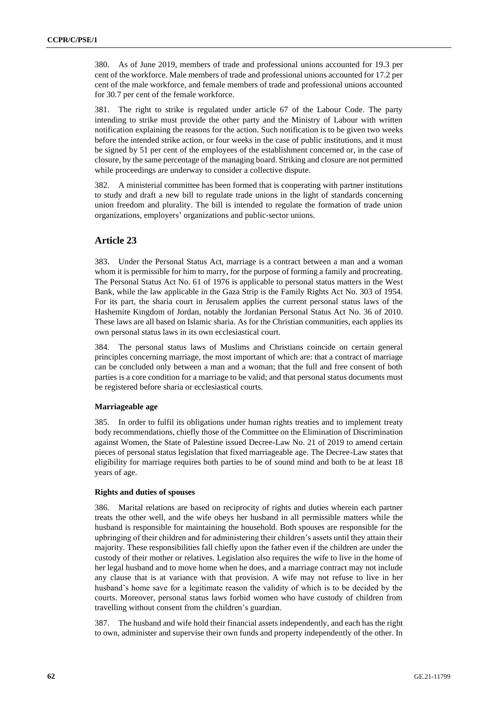380. As of June 2019, members of trade and professional unions accounted for 19.3 per cent of the workforce. Male members of trade and professional unions accounted for 17.2 per cent of the male workforce, and female members of trade and professional unions accounted for 30.7 per cent of the female workforce.

381. The right to strike is regulated under article 67 of the Labour Code. The party intending to strike must provide the other party and the Ministry of Labour with written notification explaining the reasons for the action. Such notification is to be given two weeks before the intended strike action, or four weeks in the case of public institutions, and it must be signed by 51 per cent of the employees of the establishment concerned or, in the case of closure, by the same percentage of the managing board. Striking and closure are not permitted while proceedings are underway to consider a collective dispute.

382. A ministerial committee has been formed that is cooperating with partner institutions to study and draft a new bill to regulate trade unions in the light of standards concerning union freedom and plurality. The bill is intended to regulate the formation of trade union organizations, employers' organizations and public-sector unions.

# **Article 23**

383. Under the Personal Status Act, marriage is a contract between a man and a woman whom it is permissible for him to marry, for the purpose of forming a family and procreating. The Personal Status Act No. 61 of 1976 is applicable to personal status matters in the West Bank, while the law applicable in the Gaza Strip is the Family Rights Act No. 303 of 1954. For its part, the sharia court in Jerusalem applies the current personal status laws of the Hashemite Kingdom of Jordan, notably the Jordanian Personal Status Act No. 36 of 2010. These laws are all based on Islamic sharia. As for the Christian communities, each applies its own personal status laws in its own ecclesiastical court.

384. The personal status laws of Muslims and Christians coincide on certain general principles concerning marriage, the most important of which are: that a contract of marriage can be concluded only between a man and a woman; that the full and free consent of both parties is a core condition for a marriage to be valid; and that personal status documents must be registered before sharia or ecclesiastical courts.

### **Marriageable age**

385. In order to fulfil its obligations under human rights treaties and to implement treaty body recommendations, chiefly those of the Committee on the Elimination of Discrimination against Women, the State of Palestine issued Decree-Law No. 21 of 2019 to amend certain pieces of personal status legislation that fixed marriageable age. The Decree-Law states that eligibility for marriage requires both parties to be of sound mind and both to be at least 18 years of age.

### **Rights and duties of spouses**

386. Marital relations are based on reciprocity of rights and duties wherein each partner treats the other well, and the wife obeys her husband in all permissible matters while the husband is responsible for maintaining the household. Both spouses are responsible for the upbringing of their children and for administering their children's assets until they attain their majority. These responsibilities fall chiefly upon the father even if the children are under the custody of their mother or relatives. Legislation also requires the wife to live in the home of her legal husband and to move home when he does, and a marriage contract may not include any clause that is at variance with that provision. A wife may not refuse to live in her husband's home save for a legitimate reason the validity of which is to be decided by the courts. Moreover, personal status laws forbid women who have custody of children from travelling without consent from the children's guardian.

387. The husband and wife hold their financial assets independently, and each has the right to own, administer and supervise their own funds and property independently of the other. In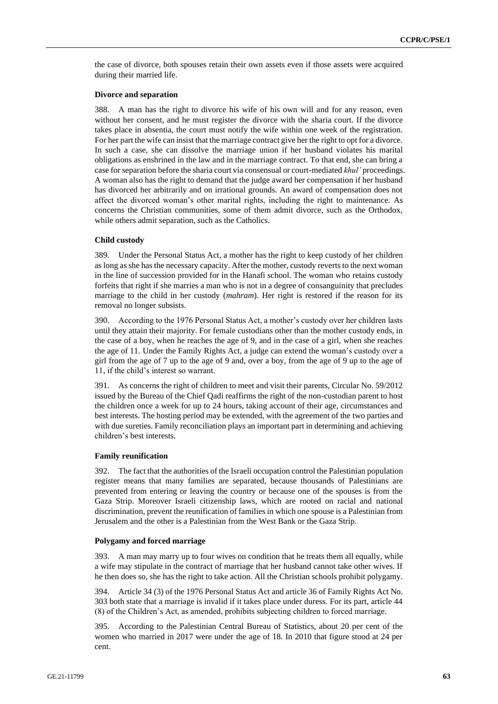the case of divorce, both spouses retain their own assets even if those assets were acquired during their married life.

#### **Divorce and separation**

388. A man has the right to divorce his wife of his own will and for any reason, even without her consent, and he must register the divorce with the sharia court. If the divorce takes place in absentia, the court must notify the wife within one week of the registration. For her part the wife can insist that the marriage contract give her the right to opt for a divorce. In such a case, she can dissolve the marriage union if her husband violates his marital obligations as enshrined in the law and in the marriage contract. To that end, she can bring a case for separation before the sharia court via consensual or court-mediated *khul'* proceedings. A woman also has the right to demand that the judge award her compensation if her husband has divorced her arbitrarily and on irrational grounds. An award of compensation does not affect the divorced woman's other marital rights, including the right to maintenance. As concerns the Christian communities, some of them admit divorce, such as the Orthodox, while others admit separation, such as the Catholics.

### **Child custody**

389. Under the Personal Status Act, a mother has the right to keep custody of her children as long as she has the necessary capacity. After the mother, custody reverts to the next woman in the line of succession provided for in the Hanafi school. The woman who retains custody forfeits that right if she marries a man who is not in a degree of consanguinity that precludes marriage to the child in her custody (*mahram*). Her right is restored if the reason for its removal no longer subsists.

390. According to the 1976 Personal Status Act, a mother's custody over her children lasts until they attain their majority. For female custodians other than the mother custody ends, in the case of a boy, when he reaches the age of 9, and in the case of a girl, when she reaches the age of 11. Under the Family Rights Act, a judge can extend the woman's custody over a girl from the age of 7 up to the age of 9 and, over a boy, from the age of 9 up to the age of 11, if the child's interest so warrant.

391. As concerns the right of children to meet and visit their parents, Circular No. 59/2012 issued by the Bureau of the Chief Qadi reaffirms the right of the non-custodian parent to host the children once a week for up to 24 hours, taking account of their age, circumstances and best interests. The hosting period may be extended, with the agreement of the two parties and with due sureties. Family reconciliation plays an important part in determining and achieving children's best interests.

### **Family reunification**

392. The fact that the authorities of the Israeli occupation control the Palestinian population register means that many families are separated, because thousands of Palestinians are prevented from entering or leaving the country or because one of the spouses is from the Gaza Strip. Moreover Israeli citizenship laws, which are rooted on racial and national discrimination, prevent the reunification of families in which one spouse is a Palestinian from Jerusalem and the other is a Palestinian from the West Bank or the Gaza Strip.

### **Polygamy and forced marriage**

393. A man may marry up to four wives on condition that he treats them all equally, while a wife may stipulate in the contract of marriage that her husband cannot take other wives. If he then does so, she has the right to take action. All the Christian schools prohibit polygamy.

394. Article 34 (3) of the 1976 Personal Status Act and article 36 of Family Rights Act No. 303 both state that a marriage is invalid if it takes place under duress. For its part, article 44 (8) of the Children's Act, as amended, prohibits subjecting children to forced marriage.

395. According to the Palestinian Central Bureau of Statistics, about 20 per cent of the women who married in 2017 were under the age of 18. In 2010 that figure stood at 24 per cent.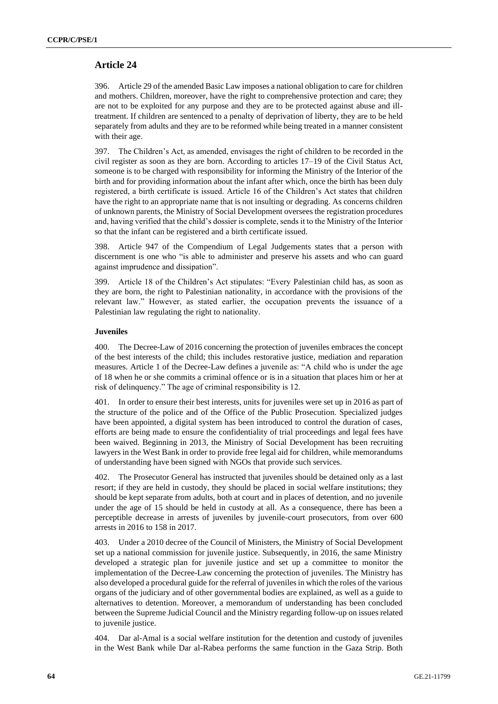# **Article 24**

396. Article 29 of the amended Basic Law imposes a national obligation to care for children and mothers. Children, moreover, have the right to comprehensive protection and care; they are not to be exploited for any purpose and they are to be protected against abuse and illtreatment. If children are sentenced to a penalty of deprivation of liberty, they are to be held separately from adults and they are to be reformed while being treated in a manner consistent with their age.

397. The Children's Act, as amended, envisages the right of children to be recorded in the civil register as soon as they are born. According to articles 17–19 of the Civil Status Act, someone is to be charged with responsibility for informing the Ministry of the Interior of the birth and for providing information about the infant after which, once the birth has been duly registered, a birth certificate is issued. Article 16 of the Children's Act states that children have the right to an appropriate name that is not insulting or degrading. As concerns children of unknown parents, the Ministry of Social Development oversees the registration procedures and, having verified that the child's dossier is complete, sends it to the Ministry of the Interior so that the infant can be registered and a birth certificate issued.

398. Article 947 of the Compendium of Legal Judgements states that a person with discernment is one who "is able to administer and preserve his assets and who can guard against imprudence and dissipation".

399. Article 18 of the Children's Act stipulates: "Every Palestinian child has, as soon as they are born, the right to Palestinian nationality, in accordance with the provisions of the relevant law." However, as stated earlier, the occupation prevents the issuance of a Palestinian law regulating the right to nationality.

### **Juveniles**

400. The Decree-Law of 2016 concerning the protection of juveniles embraces the concept of the best interests of the child; this includes restorative justice, mediation and reparation measures. Article 1 of the Decree-Law defines a juvenile as: "A child who is under the age of 18 when he or she commits a criminal offence or is in a situation that places him or her at risk of delinquency." The age of criminal responsibility is 12.

401. In order to ensure their best interests, units for juveniles were set up in 2016 as part of the structure of the police and of the Office of the Public Prosecution. Specialized judges have been appointed, a digital system has been introduced to control the duration of cases, efforts are being made to ensure the confidentiality of trial proceedings and legal fees have been waived. Beginning in 2013, the Ministry of Social Development has been recruiting lawyers in the West Bank in order to provide free legal aid for children, while memorandums of understanding have been signed with NGOs that provide such services.

402. The Prosecutor General has instructed that juveniles should be detained only as a last resort; if they are held in custody, they should be placed in social welfare institutions; they should be kept separate from adults, both at court and in places of detention, and no juvenile under the age of 15 should be held in custody at all. As a consequence, there has been a perceptible decrease in arrests of juveniles by juvenile-court prosecutors, from over 600 arrests in 2016 to 158 in 2017.

403. Under a 2010 decree of the Council of Ministers, the Ministry of Social Development set up a national commission for juvenile justice. Subsequently, in 2016, the same Ministry developed a strategic plan for juvenile justice and set up a committee to monitor the implementation of the Decree-Law concerning the protection of juveniles. The Ministry has also developed a procedural guide for the referral of juveniles in which the roles of the various organs of the judiciary and of other governmental bodies are explained, as well as a guide to alternatives to detention. Moreover, a memorandum of understanding has been concluded between the Supreme Judicial Council and the Ministry regarding follow-up on issues related to juvenile justice.

Dar al-Amal is a social welfare institution for the detention and custody of juveniles in the West Bank while Dar al-Rabea performs the same function in the Gaza Strip. Both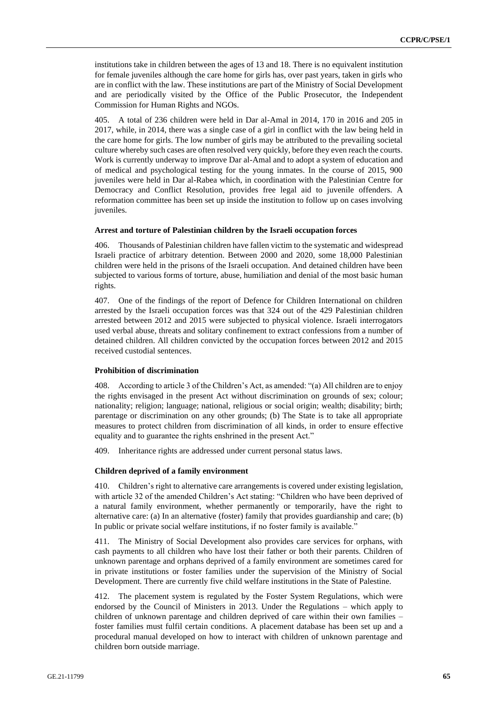institutions take in children between the ages of 13 and 18. There is no equivalent institution for female juveniles although the care home for girls has, over past years, taken in girls who are in conflict with the law. These institutions are part of the Ministry of Social Development and are periodically visited by the Office of the Public Prosecutor, the Independent Commission for Human Rights and NGOs.

405. A total of 236 children were held in Dar al-Amal in 2014, 170 in 2016 and 205 in 2017, while, in 2014, there was a single case of a girl in conflict with the law being held in the care home for girls. The low number of girls may be attributed to the prevailing societal culture whereby such cases are often resolved very quickly, before they even reach the courts. Work is currently underway to improve Dar al-Amal and to adopt a system of education and of medical and psychological testing for the young inmates. In the course of 2015, 900 juveniles were held in Dar al-Rabea which, in coordination with the Palestinian Centre for Democracy and Conflict Resolution, provides free legal aid to juvenile offenders. A reformation committee has been set up inside the institution to follow up on cases involving juveniles.

### **Arrest and torture of Palestinian children by the Israeli occupation forces**

406. Thousands of Palestinian children have fallen victim to the systematic and widespread Israeli practice of arbitrary detention. Between 2000 and 2020, some 18,000 Palestinian children were held in the prisons of the Israeli occupation. And detained children have been subjected to various forms of torture, abuse, humiliation and denial of the most basic human rights.

407. One of the findings of the report of Defence for Children International on children arrested by the Israeli occupation forces was that 324 out of the 429 Palestinian children arrested between 2012 and 2015 were subjected to physical violence. Israeli interrogators used verbal abuse, threats and solitary confinement to extract confessions from a number of detained children. All children convicted by the occupation forces between 2012 and 2015 received custodial sentences.

### **Prohibition of discrimination**

408. According to article 3 of the Children's Act, as amended: "(a) All children are to enjoy the rights envisaged in the present Act without discrimination on grounds of sex; colour; nationality; religion; language; national, religious or social origin; wealth; disability; birth; parentage or discrimination on any other grounds; (b) The State is to take all appropriate measures to protect children from discrimination of all kinds, in order to ensure effective equality and to guarantee the rights enshrined in the present Act."

409. Inheritance rights are addressed under current personal status laws.

### **Children deprived of a family environment**

410. Children's right to alternative care arrangements is covered under existing legislation, with article 32 of the amended Children's Act stating: "Children who have been deprived of a natural family environment, whether permanently or temporarily, have the right to alternative care: (a) In an alternative (foster) family that provides guardianship and care; (b) In public or private social welfare institutions, if no foster family is available."

411. The Ministry of Social Development also provides care services for orphans, with cash payments to all children who have lost their father or both their parents. Children of unknown parentage and orphans deprived of a family environment are sometimes cared for in private institutions or foster families under the supervision of the Ministry of Social Development. There are currently five child welfare institutions in the State of Palestine.

412. The placement system is regulated by the Foster System Regulations, which were endorsed by the Council of Ministers in 2013. Under the Regulations – which apply to children of unknown parentage and children deprived of care within their own families – foster families must fulfil certain conditions. A placement database has been set up and a procedural manual developed on how to interact with children of unknown parentage and children born outside marriage.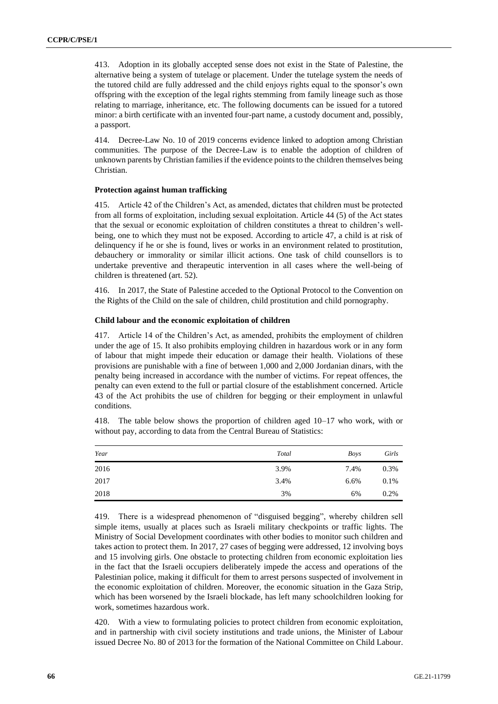413. Adoption in its globally accepted sense does not exist in the State of Palestine, the alternative being a system of tutelage or placement. Under the tutelage system the needs of the tutored child are fully addressed and the child enjoys rights equal to the sponsor's own offspring with the exception of the legal rights stemming from family lineage such as those relating to marriage, inheritance, etc. The following documents can be issued for a tutored minor: a birth certificate with an invented four-part name, a custody document and, possibly, a passport.

414. Decree-Law No. 10 of 2019 concerns evidence linked to adoption among Christian communities. The purpose of the Decree-Law is to enable the adoption of children of unknown parents by Christian families if the evidence points to the children themselves being Christian.

### **Protection against human trafficking**

415. Article 42 of the Children's Act, as amended, dictates that children must be protected from all forms of exploitation, including sexual exploitation. Article 44 (5) of the Act states that the sexual or economic exploitation of children constitutes a threat to children's wellbeing, one to which they must not be exposed. According to article 47, a child is at risk of delinquency if he or she is found, lives or works in an environment related to prostitution, debauchery or immorality or similar illicit actions. One task of child counsellors is to undertake preventive and therapeutic intervention in all cases where the well-being of children is threatened (art. 52).

416. In 2017, the State of Palestine acceded to the Optional Protocol to the Convention on the Rights of the Child on the sale of children, child prostitution and child pornography.

#### **Child labour and the economic exploitation of children**

417. Article 14 of the Children's Act, as amended, prohibits the employment of children under the age of 15. It also prohibits employing children in hazardous work or in any form of labour that might impede their education or damage their health. Violations of these provisions are punishable with a fine of between 1,000 and 2,000 Jordanian dinars, with the penalty being increased in accordance with the number of victims. For repeat offences, the penalty can even extend to the full or partial closure of the establishment concerned. Article 43 of the Act prohibits the use of children for begging or their employment in unlawful conditions.

| Year | Total | Boys    | Girls |
|------|-------|---------|-------|
| 2016 | 3.9%  | 7.4%    | 0.3%  |
| 2017 | 3.4%  | $6.6\%$ | 0.1%  |
| 2018 | 3%    | 6%      | 0.2%  |

418. The table below shows the proportion of children aged 10–17 who work, with or without pay, according to data from the Central Bureau of Statistics:

419. There is a widespread phenomenon of "disguised begging", whereby children sell simple items, usually at places such as Israeli military checkpoints or traffic lights. The Ministry of Social Development coordinates with other bodies to monitor such children and takes action to protect them. In 2017, 27 cases of begging were addressed, 12 involving boys and 15 involving girls. One obstacle to protecting children from economic exploitation lies in the fact that the Israeli occupiers deliberately impede the access and operations of the Palestinian police, making it difficult for them to arrest persons suspected of involvement in the economic exploitation of children. Moreover, the economic situation in the Gaza Strip, which has been worsened by the Israeli blockade, has left many schoolchildren looking for work, sometimes hazardous work.

420. With a view to formulating policies to protect children from economic exploitation, and in partnership with civil society institutions and trade unions, the Minister of Labour issued Decree No. 80 of 2013 for the formation of the National Committee on Child Labour.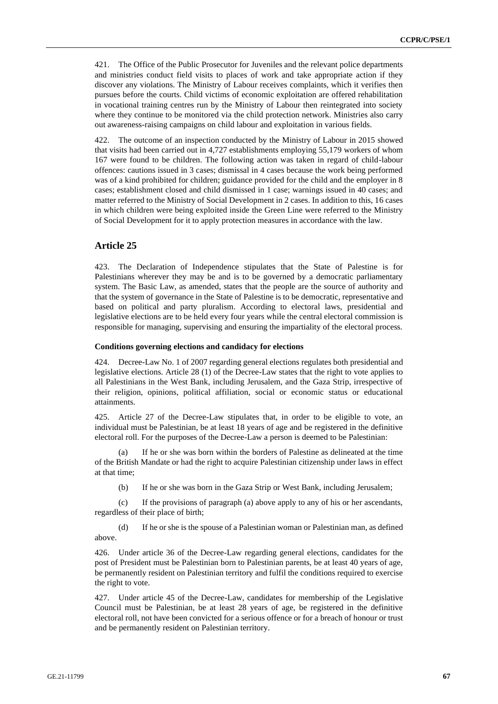421. The Office of the Public Prosecutor for Juveniles and the relevant police departments and ministries conduct field visits to places of work and take appropriate action if they discover any violations. The Ministry of Labour receives complaints, which it verifies then pursues before the courts. Child victims of economic exploitation are offered rehabilitation in vocational training centres run by the Ministry of Labour then reintegrated into society where they continue to be monitored via the child protection network. Ministries also carry out awareness-raising campaigns on child labour and exploitation in various fields.

422. The outcome of an inspection conducted by the Ministry of Labour in 2015 showed that visits had been carried out in 4,727 establishments employing 55,179 workers of whom 167 were found to be children. The following action was taken in regard of child-labour offences: cautions issued in 3 cases; dismissal in 4 cases because the work being performed was of a kind prohibited for children; guidance provided for the child and the employer in 8 cases; establishment closed and child dismissed in 1 case; warnings issued in 40 cases; and matter referred to the Ministry of Social Development in 2 cases. In addition to this, 16 cases in which children were being exploited inside the Green Line were referred to the Ministry of Social Development for it to apply protection measures in accordance with the law.

# **Article 25**

423. The Declaration of Independence stipulates that the State of Palestine is for Palestinians wherever they may be and is to be governed by a democratic parliamentary system. The Basic Law, as amended, states that the people are the source of authority and that the system of governance in the State of Palestine is to be democratic, representative and based on political and party pluralism. According to electoral laws, presidential and legislative elections are to be held every four years while the central electoral commission is responsible for managing, supervising and ensuring the impartiality of the electoral process.

#### **Conditions governing elections and candidacy for elections**

424. Decree-Law No. 1 of 2007 regarding general elections regulates both presidential and legislative elections. Article 28 (1) of the Decree-Law states that the right to vote applies to all Palestinians in the West Bank, including Jerusalem, and the Gaza Strip, irrespective of their religion, opinions, political affiliation, social or economic status or educational attainments.

425. Article 27 of the Decree-Law stipulates that, in order to be eligible to vote, an individual must be Palestinian, be at least 18 years of age and be registered in the definitive electoral roll. For the purposes of the Decree-Law a person is deemed to be Palestinian:

If he or she was born within the borders of Palestine as delineated at the time of the British Mandate or had the right to acquire Palestinian citizenship under laws in effect at that time;

(b) If he or she was born in the Gaza Strip or West Bank, including Jerusalem;

(c) If the provisions of paragraph (a) above apply to any of his or her ascendants, regardless of their place of birth;

(d) If he or she is the spouse of a Palestinian woman or Palestinian man, as defined above.

426. Under article 36 of the Decree-Law regarding general elections, candidates for the post of President must be Palestinian born to Palestinian parents, be at least 40 years of age, be permanently resident on Palestinian territory and fulfil the conditions required to exercise the right to vote.

427. Under article 45 of the Decree-Law, candidates for membership of the Legislative Council must be Palestinian, be at least 28 years of age, be registered in the definitive electoral roll, not have been convicted for a serious offence or for a breach of honour or trust and be permanently resident on Palestinian territory.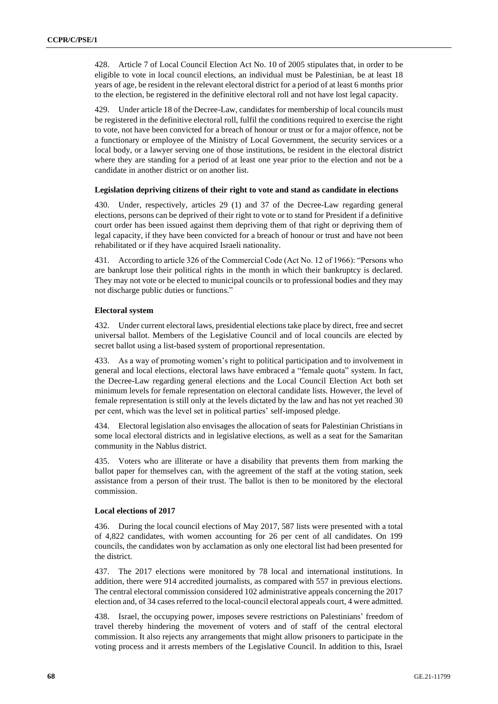428. Article 7 of Local Council Election Act No. 10 of 2005 stipulates that, in order to be eligible to vote in local council elections, an individual must be Palestinian, be at least 18 years of age, be resident in the relevant electoral district for a period of at least 6 months prior to the election, be registered in the definitive electoral roll and not have lost legal capacity.

Under article 18 of the Decree-Law, candidates for membership of local councils must be registered in the definitive electoral roll, fulfil the conditions required to exercise the right to vote, not have been convicted for a breach of honour or trust or for a major offence, not be a functionary or employee of the Ministry of Local Government, the security services or a local body, or a lawyer serving one of those institutions, be resident in the electoral district where they are standing for a period of at least one year prior to the election and not be a candidate in another district or on another list.

### **Legislation depriving citizens of their right to vote and stand as candidate in elections**

430. Under, respectively, articles 29 (1) and 37 of the Decree-Law regarding general elections, persons can be deprived of their right to vote or to stand for President if a definitive court order has been issued against them depriving them of that right or depriving them of legal capacity, if they have been convicted for a breach of honour or trust and have not been rehabilitated or if they have acquired Israeli nationality.

431. According to article 326 of the Commercial Code (Act No. 12 of 1966): "Persons who are bankrupt lose their political rights in the month in which their bankruptcy is declared. They may not vote or be elected to municipal councils or to professional bodies and they may not discharge public duties or functions."

### **Electoral system**

432. Under current electoral laws, presidential elections take place by direct, free and secret universal ballot. Members of the Legislative Council and of local councils are elected by secret ballot using a list-based system of proportional representation.

433. As a way of promoting women's right to political participation and to involvement in general and local elections, electoral laws have embraced a "female quota" system. In fact, the Decree-Law regarding general elections and the Local Council Election Act both set minimum levels for female representation on electoral candidate lists. However, the level of female representation is still only at the levels dictated by the law and has not yet reached 30 per cent, which was the level set in political parties' self-imposed pledge.

434. Electoral legislation also envisages the allocation of seats for Palestinian Christians in some local electoral districts and in legislative elections, as well as a seat for the Samaritan community in the Nablus district.

435. Voters who are illiterate or have a disability that prevents them from marking the ballot paper for themselves can, with the agreement of the staff at the voting station, seek assistance from a person of their trust. The ballot is then to be monitored by the electoral commission.

### **Local elections of 2017**

436. During the local council elections of May 2017, 587 lists were presented with a total of 4,822 candidates, with women accounting for 26 per cent of all candidates. On 199 councils, the candidates won by acclamation as only one electoral list had been presented for the district.

437. The 2017 elections were monitored by 78 local and international institutions. In addition, there were 914 accredited journalists, as compared with 557 in previous elections. The central electoral commission considered 102 administrative appeals concerning the 2017 election and, of 34 cases referred to the local-council electoral appeals court, 4 were admitted.

438. Israel, the occupying power, imposes severe restrictions on Palestinians' freedom of travel thereby hindering the movement of voters and of staff of the central electoral commission. It also rejects any arrangements that might allow prisoners to participate in the voting process and it arrests members of the Legislative Council. In addition to this, Israel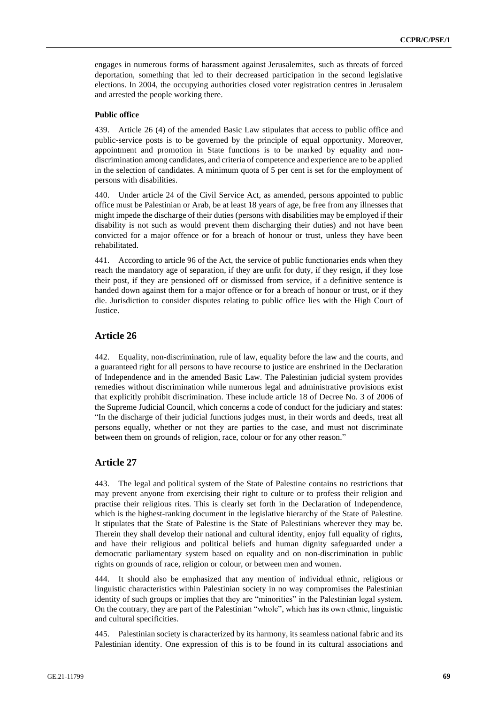engages in numerous forms of harassment against Jerusalemites, such as threats of forced deportation, something that led to their decreased participation in the second legislative elections. In 2004, the occupying authorities closed voter registration centres in Jerusalem and arrested the people working there.

### **Public office**

439. Article 26 (4) of the amended Basic Law stipulates that access to public office and public-service posts is to be governed by the principle of equal opportunity. Moreover, appointment and promotion in State functions is to be marked by equality and nondiscrimination among candidates, and criteria of competence and experience are to be applied in the selection of candidates. A minimum quota of 5 per cent is set for the employment of persons with disabilities.

440. Under article 24 of the Civil Service Act, as amended, persons appointed to public office must be Palestinian or Arab, be at least 18 years of age, be free from any illnesses that might impede the discharge of their duties (persons with disabilities may be employed if their disability is not such as would prevent them discharging their duties) and not have been convicted for a major offence or for a breach of honour or trust, unless they have been rehabilitated.

441. According to article 96 of the Act, the service of public functionaries ends when they reach the mandatory age of separation, if they are unfit for duty, if they resign, if they lose their post, if they are pensioned off or dismissed from service, if a definitive sentence is handed down against them for a major offence or for a breach of honour or trust, or if they die. Jurisdiction to consider disputes relating to public office lies with the High Court of **Justice** 

# **Article 26**

442. Equality, non-discrimination, rule of law, equality before the law and the courts, and a guaranteed right for all persons to have recourse to justice are enshrined in the Declaration of Independence and in the amended Basic Law. The Palestinian judicial system provides remedies without discrimination while numerous legal and administrative provisions exist that explicitly prohibit discrimination. These include article 18 of Decree No. 3 of 2006 of the Supreme Judicial Council, which concerns a code of conduct for the judiciary and states: "In the discharge of their judicial functions judges must, in their words and deeds, treat all persons equally, whether or not they are parties to the case, and must not discriminate between them on grounds of religion, race, colour or for any other reason."

# **Article 27**

443. The legal and political system of the State of Palestine contains no restrictions that may prevent anyone from exercising their right to culture or to profess their religion and practise their religious rites. This is clearly set forth in the Declaration of Independence, which is the highest-ranking document in the legislative hierarchy of the State of Palestine. It stipulates that the State of Palestine is the State of Palestinians wherever they may be. Therein they shall develop their national and cultural identity, enjoy full equality of rights, and have their religious and political beliefs and human dignity safeguarded under a democratic parliamentary system based on equality and on non-discrimination in public rights on grounds of race, religion or colour, or between men and women.

444. It should also be emphasized that any mention of individual ethnic, religious or linguistic characteristics within Palestinian society in no way compromises the Palestinian identity of such groups or implies that they are "minorities" in the Palestinian legal system. On the contrary, they are part of the Palestinian "whole", which has its own ethnic, linguistic and cultural specificities.

445. Palestinian society is characterized by its harmony, its seamless national fabric and its Palestinian identity. One expression of this is to be found in its cultural associations and